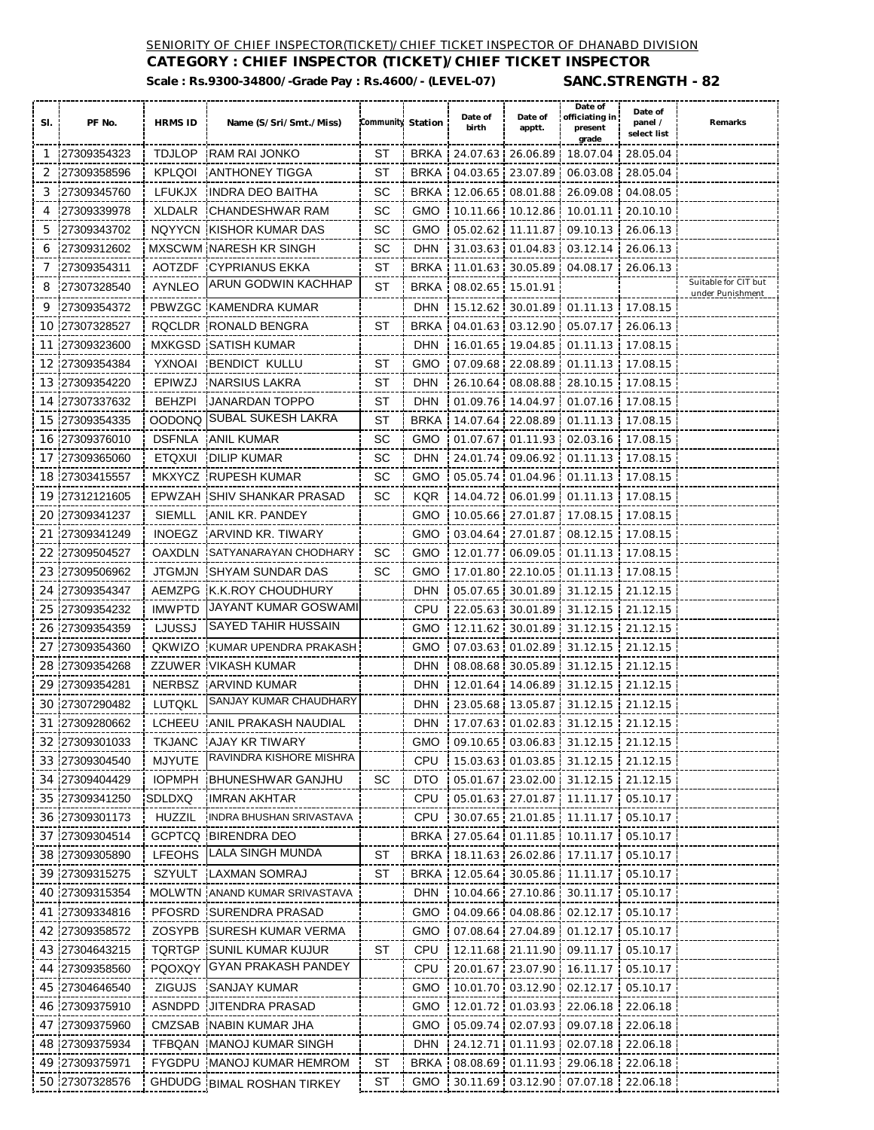### SENIORITY OF CHIEF INSPECTOR(TICKET)/CHIEF TICKET INSPECTOR OF DHANABD DIVISION

**CATEGORY : CHIEF INSPECTOR (TICKET)/CHIEF TICKET INSPECTOR Scale : Rs.9300-34800/-Grade Pay : Rs.4600/- (LEVEL-07) SANC.STRENGTH - 82**

| SI. | PF No.         | <b>HRMS ID</b> | Name (S/Sri/Smt./Miss)          | Community Station |             | Date of<br>birth  | Date of<br>apptt.          | Date of<br>officiating in<br>present<br>grade | Date of<br>panel /<br>select list | Remarks                                  |
|-----|----------------|----------------|---------------------------------|-------------------|-------------|-------------------|----------------------------|-----------------------------------------------|-----------------------------------|------------------------------------------|
| -1  | 27309354323    | <b>TDJLOP</b>  | <b>RAM RAI JONKO</b>            | ST                | <b>BRKA</b> |                   | 24.07.63 26.06.89          | 18.07.04                                      | 28.05.04                          |                                          |
| 2   | 27309358596    | <b>KPLQOI</b>  | ANTHONEY TIGGA                  | ST                | <b>BRKA</b> | 04.03.65          | 23.07.89                   | 06.03.08                                      | 28.05.04                          |                                          |
| 3   | 27309345760    | <b>LFUKJX</b>  | INDRA DEO BAITHA                | SС                | <b>BRKA</b> |                   | 12.06.65 08.01.88          | 26.09.08                                      | 04.08.05                          |                                          |
| 4   | 27309339978    | XLDALR         | ICHANDESHWAR RAM                | SС                | <b>GMO</b>  |                   | 10.11.66 10.12.86 1        | 10.01.11                                      | 20.10.10                          |                                          |
| 5   | 27309343702    | <b>NQYYCN</b>  | <b>KISHOR KUMAR DAS</b>         | SC                | <b>GMO</b>  |                   | 05.02.62 11.11.87          | 09.10.13                                      | 26.06.13                          |                                          |
| 6   | 27309312602    |                | <b>MXSCWM NARESH KR SINGH</b>   | SC                | <b>DHN</b>  |                   | 31.03.63 01.04.83          | 03.12.14                                      | 26.06.13                          |                                          |
| 7   | 27309354311    | <b>AOTZDF</b>  | <b>CYPRIANUS EKKA</b>           | ST                | <b>BRKA</b> |                   | 11.01.63 30.05.89          | 04.08.17                                      | 26.06.13                          |                                          |
| 8   | 27307328540    | AYNLEO         | ARUN GODWIN KACHHAP             | ST                | <b>BRKA</b> | 08.02.65 15.01.91 |                            |                                               |                                   | Suitable for CIT but<br>under Punishment |
| 9   | 27309354372    |                | PBWZGC KAMENDRA KUMAR           |                   | <b>DHN</b>  |                   | 15.12.62 30.01.89          | 01.11.13                                      | 17.08.15                          |                                          |
| 10  | 27307328527    | <b>RQCLDR</b>  | <b>RONALD BENGRA</b>            | ST                | <b>BRKA</b> |                   | 04.01.63 03.12.90          | 05.07.17                                      | 26.06.13                          |                                          |
| 11  | 27309323600    | <b>MXKGSD</b>  | <b>SATISH KUMAR</b>             |                   | <b>DHN</b>  |                   | 16.01.65 19.04.85          | 01.11.13                                      | 17.08.15                          |                                          |
| 12  | 27309354384    | YXNOAI         | BENDICT KULLU                   | ST                | GMO         |                   | 07.09.68 22.08.89          | 01.11.13                                      | 17.08.15                          |                                          |
| 13  | 27309354220    | EPIWZJ         | NARSIUS LAKRA                   | ST                | <b>DHN</b>  |                   | 26.10.64 08.08.88          | 28.10.15 17.08.15                             |                                   |                                          |
| 14  | 27307337632    | <b>BEHZPI</b>  | <b>JANARDAN TOPPO</b>           | ST                | <b>DHN</b>  |                   | 01.09.76 14.04.97          | 01.07.16                                      | 17.08.15                          |                                          |
| 15  | 127309354335   | OODONQ         | SUBAL SUKESH LAKRA              | ST                | <b>BRKA</b> |                   | 14.07.64 22.08.89          | 01.11.13                                      | 17.08.15                          |                                          |
| 16  | 27309376010    | <b>DSFNLA</b>  | ANIL KUMAR                      | SC                | <b>GMO</b>  |                   | 01.07.67 01.11.93          | 02.03.16                                      | 17.08.15                          |                                          |
| 17  | 27309365060    | <b>ETQXUI</b>  | DILIP KUMAR                     | SC                | <b>DHN</b>  |                   |                            | 24.01.74 09.06.92 01.11.13 17.08.15           |                                   |                                          |
| 18  | 27303415557    | <b>MKXYCZ</b>  | <b>RUPESH KUMAR</b>             | SC                | <b>GMO</b>  |                   | 05.05.74 01.04.96          | 01.11.13 17.08.15                             |                                   |                                          |
| 19  | 27312121605    |                | EPWZAH ISHIV SHANKAR PRASAD     | SC                | <b>KQR</b>  |                   | 14.04.72 06.01.99          | 01.11.13                                      | 17.08.15                          |                                          |
| 20  | 27309341237    | <b>SIEMLL</b>  | ANIL KR. PANDEY                 |                   | <b>GMO</b>  |                   | 10.05.66 27.01.87          | 17.08.15                                      | 17.08.15                          |                                          |
| 21  | 27309341249    | <b>INOEGZ</b>  | ARVIND KR. TIWARY               |                   | <b>GMO</b>  |                   | 03.04.64 27.01.87          | 08.12.15                                      | 17.08.15                          |                                          |
| 22  | 27309504527    | <b>OAXDLN</b>  | ISATYANARAYAN CHODHARY          | SC                | <b>GMO</b>  |                   | 12.01.77 06.09.05          | 01.11.13                                      | 17.08.15<br>H.                    |                                          |
| 23  | 27309506962    | <b>JTGMJN</b>  | <b>SHYAM SUNDAR DAS</b>         | SC.               | <b>GMO</b>  |                   | 17.01.80 22.10.05          | 01.11.13 17.08.15                             |                                   |                                          |
| 24  | 27309354347    | AEMZPG         | <b>K.K.ROY CHOUDHURY</b>        |                   | DHN         |                   | 05.07.65 30.01.89          | 31.12.15                                      | 21.12.15                          |                                          |
| 25  | 27309354232    | <b>IMWPTD</b>  | JAYANT KUMAR GOSWAMI            |                   | CPU         |                   | 22.05.63 30.01.89          | 31.12.15                                      | 21.12.15                          |                                          |
| 26  | 27309354359    | LJUSSJ         | SAYED TAHIR HUSSAIN             |                   | <b>GMO</b>  |                   | 12.11.62 30.01.89          | 31.12.15                                      | 21.12.15                          |                                          |
| 27  | 27309354360    | QKWIZO         | KUMAR UPENDRA PRAKASH           |                   | <b>GMO</b>  |                   | 07.03.63 01.02.89          | 31.12.15                                      | 21.12.15                          |                                          |
| 28  | 127309354268   |                | <b>ZZUWER IVIKASH KUMAR</b>     |                   | <b>DHN</b>  |                   | 08.08.68 30.05.89          | 31.12.15                                      | 21.12.15                          |                                          |
| 29  | 27309354281    | <b>NERBSZ</b>  | <b>ARVIND KUMAR</b>             |                   | <b>DHN</b>  | 12.01.64          | 14.06.89                   | 31.12.15                                      | 21.12.15                          |                                          |
| 30  | 27307290482    | LUTQKL         | SANJAY KUMAR CHAUDHARY          |                   | <b>DHN</b>  | 23.05.68          | 13.05.87                   | 31.12.15                                      | 21.12.15                          |                                          |
| 31  | 127309280662   | <b>LCHEEU</b>  | IANIL PRAKASH NAUDIAL           |                   | <b>DHN</b>  |                   | 17.07.63 01.02.83          | 31.12.15                                      | 21.12.15                          |                                          |
|     | 32 27309301033 |                | TKJANC AJAY KR TIWARY           |                   |             |                   |                            | GMO 09.10.65 03.06.83 31.12.15 21.12.15       |                                   |                                          |
|     | 33 27309304540 | <b>MJYUTE</b>  | RAVINDRA KISHORE MISHRA         |                   | <b>CPU</b>  |                   | 15.03.63 01.03.85          | 31.12.15                                      | 21.12.15                          |                                          |
|     | 34 27309404429 | <b>IOPMPH</b>  | <b>BHUNESHWAR GANJHU</b>        | SC                | <b>DTO</b>  |                   | 05.01.67   23.02.00        | 31.12.15                                      | 21.12.15                          |                                          |
|     | 35 27309341250 | SDLDXQ         | IMRAN AKHTAR                    |                   | <b>CPU</b>  |                   | 05.01.63 27.01.87          | 11.11.17                                      | 05.10.17                          |                                          |
|     | 36 27309301173 | <b>HUZZIL</b>  | INDRA BHUSHAN SRIVASTAVA        |                   | <b>CPU</b>  |                   | 30.07.65 21.01.85          | 11.11.17                                      | 05.10.17                          |                                          |
| 37  | 27309304514    |                | <b>GCPTCQ BIRENDRA DEO</b>      |                   | <b>BRKA</b> |                   | 27.05.64 01.11.85 10.11.17 |                                               | 05.10.17                          |                                          |
| 38  | 27309305890    | <b>LFEOHS</b>  | <b>LALA SINGH MUNDA</b>         | ST                | <b>BRKA</b> |                   | 18.11.63 26.02.86          | 17.11.17                                      | 05.10.17                          |                                          |
| 39  | 27309315275    | SZYULT         | <b>LAXMAN SOMRAJ</b>            | ST                | <b>BRKA</b> |                   | 12.05.64 30.05.86          | 11.11.17                                      | 05.10.17                          |                                          |
| 40  | 27309315354    |                | MOLWTN JANAND KUMAR SRIVASTAVA  |                   | <b>DHN</b>  |                   | 10.04.66 27.10.86          | 30.11.17                                      | 05.10.17                          |                                          |
| 41  | 27309334816    | <b>PFOSRD</b>  | <b>SURENDRA PRASAD</b>          |                   | <b>GMO</b>  |                   | 04.09.66 04.08.86          | 02.12.17                                      | 05.10.17                          |                                          |
| 42  | 27309358572    | <b>ZOSYPB</b>  | <b>ISURESH KUMAR VERMA</b>      |                   | <b>GMO</b>  |                   |                            | 07.08.64 27.04.89 01.12.17                    | 05.10.17                          |                                          |
|     | 43 27304643215 |                | <b>TQRTGP SUNIL KUMAR KUJUR</b> | ST                | <b>CPU</b>  |                   | 12.11.68 21.11.90          | 09.11.17                                      | 05.10.17                          |                                          |
| 44  | 27309358560    | <b>PQOXQY</b>  | <b>GYAN PRAKASH PANDEY</b>      |                   | <b>CPU</b>  |                   | 20.01.67 23.07.90          | 16.11.17                                      | 05.10.17                          |                                          |
| 45  | 27304646540    | <b>ZIGUJS</b>  | <b>SANJAY KUMAR</b>             |                   | <b>GMO</b>  |                   | 10.01.70 03.12.90          | 02.12.17                                      | 05.10.17                          |                                          |
| 46  | 27309375910    | ASNDPD         | <b>JITENDRA PRASAD</b>          |                   | <b>GMO</b>  |                   | 12.01.72 01.03.93          | 22.06.18                                      | 22.06.18                          |                                          |
| 47  | 27309375960    |                | CMZSAB NABIN KUMAR JHA          |                   | <b>GMO</b>  |                   | 05.09.74 02.07.93          | 09.07.18                                      | 22.06.18                          |                                          |
|     | 48 27309375934 |                | TFBQAN MANOJ KUMAR SINGH        |                   | <b>DHN</b>  |                   | 24.12.71 01.11.93          | 02.07.18                                      | 22.06.18                          |                                          |
| 49  | 27309375971    |                | FYGDPU MANOJ KUMAR HEMROM       | ST                | <b>BRKA</b> |                   | 08.08.69 01.11.93          | 29.06.18                                      | 22.06.18                          |                                          |
| 50  | 27307328576    |                | GHDUDG BIMAL ROSHAN TIRKEY      | ST                | <b>GMO</b>  |                   | 30.11.69 03.12.90 07.07.18 |                                               | 22.06.18                          |                                          |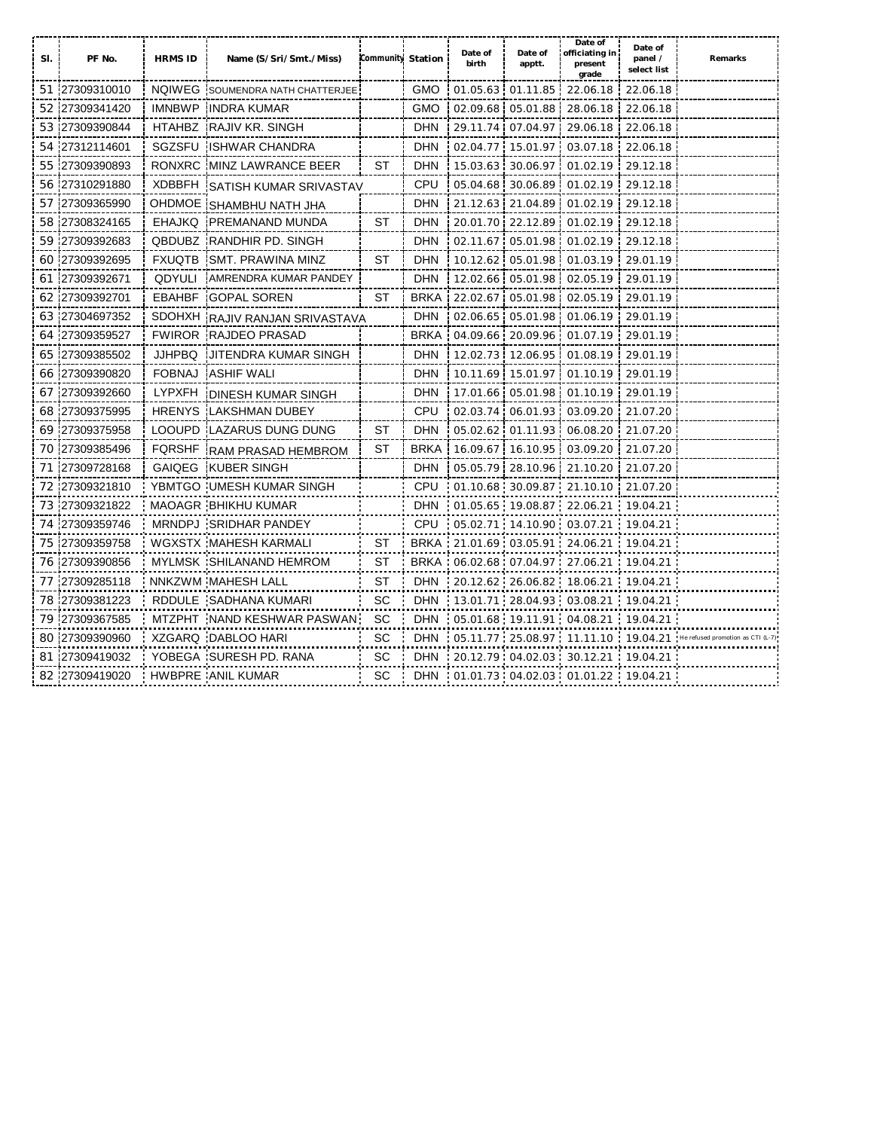| SI. | PF No.         | <b>HRMS ID</b> | Name (S/Sri/Smt./Miss)           | Community Station |             | Date of<br>birth | Date of<br>apptt.          | Date of<br>officiating in<br>present<br>grade                         | Date of<br>panel /<br>select list | Remarks |
|-----|----------------|----------------|----------------------------------|-------------------|-------------|------------------|----------------------------|-----------------------------------------------------------------------|-----------------------------------|---------|
|     | 51 27309310010 |                | NQIWEG SOUMENDRA NATH CHATTERJEE |                   | <b>GMO</b>  |                  | 01.05.63 01.11.85          | 22.06.18                                                              | 22.06.18                          |         |
|     | 52 27309341420 |                | IMNBWP INDRA KUMAR               |                   | <b>GMO</b>  |                  | 02.09.68 05.01.88          | 28.06.18                                                              | 22.06.18                          |         |
| 53  | 27309390844    |                | HTAHBZ RAJIV KR. SINGH           |                   | <b>DHN</b>  | 29.11.74         | 07.04.97                   | 29.06.18                                                              | 22.06.18                          |         |
| 54  | 27312114601    |                | SGZSFU ISHWAR CHANDRA            |                   | <b>DHN</b>  |                  | 02.04.77 15.01.97          | 03.07.18                                                              | 22.06.18                          |         |
| 55  | 27309390893    |                | RONXRC IMINZ LAWRANCE BEER       | ST                | <b>DHN</b>  | 15.03.63         | 30.06.97                   | 01.02.19                                                              | 29.12.18                          |         |
| 56  | '27310291880   | XDBBFH         | ISATISH KUMAR SRIVASTAV          |                   | <b>CPU</b>  | 05.04.68         | 30.06.89                   | 01.02.19                                                              | 29.12.18                          |         |
| 57  | :27309365990   |                | OHDMOE SHAMBHU NATH JHA          |                   | <b>DHN</b>  |                  | 21.12.63 21.04.89          | 01.02.19                                                              | 29.12.18                          |         |
| 58  | 27308324165    | <b>EHAJKQ</b>  | <b>PREMANAND MUNDA</b>           | ST                | <b>DHN</b>  |                  | 20.01.70 22.12.89          | 01.02.19                                                              | 29.12.18                          |         |
| 59  | 27309392683    |                | <b>QBDUBZ RANDHIR PD. SINGH</b>  |                   | <b>DHN</b>  | 02.11.67         | 05.01.98                   | 01.02.19                                                              | 29.12.18                          |         |
| 60  | 27309392695    | <b>FXUQTB</b>  | <b>SMT. PRAWINA MINZ</b>         | ST                | <b>DHN</b>  |                  | 10.12.62 05.01.98          | 01.03.19                                                              | 29.01.19                          |         |
| 61  | 27309392671    | <b>QDYULI</b>  | AMRENDRA KUMAR PANDEY            |                   | <b>DHN</b>  |                  | 12.02.66 05.01.98          | 02.05.19                                                              | 29.01.19                          |         |
| 62  | 27309392701    | <b>EBAHBF</b>  | <b>GOPAL SOREN</b>               | <b>ST</b>         | <b>BRKA</b> |                  | 22.02.67 05.01.98          | 02.05.19                                                              | 29.01.19                          |         |
| 63  | 27304697352    |                | SDOHXH RAJIV RANJAN SRIVASTAVA   |                   | <b>DHN</b>  |                  | 02.06.65 05.01.98          | 01.06.19                                                              | 29.01.19                          |         |
| 64  | 27309359527    |                | <b>FWIROR RAJDEO PRASAD</b>      |                   | <b>BRKA</b> |                  | 04.09.66 20.09.96          | 01.07.19                                                              | 29.01.19                          |         |
| 65  | 27309385502    | JJHPBQ         | IJITENDRA KUMAR SINGH            |                   | <b>DHN</b>  |                  | 12.02.73 12.06.95          | 01.08.19                                                              | 29.01.19                          |         |
| 66  | 27309390820    | <b>FOBNAJ</b>  | <b>ASHIF WALL</b>                |                   | <b>DHN</b>  |                  | 10.11.69 15.01.97          | 01.10.19                                                              | 29.01.19                          |         |
| 67  | 27309392660    | <b>LYPXFH</b>  | IDINESH KUMAR SINGH              |                   | <b>DHN</b>  |                  | 17.01.66 05.01.98          | 01.10.19                                                              | 29.01.19                          |         |
| 68  | 27309375995    | <b>HRENYS</b>  | <b>ILAKSHMAN DUBEY</b>           |                   | <b>CPU</b>  |                  | 02.03.74 06.01.93          | 03.09.20                                                              | 21.07.20                          |         |
| 69  | 27309375958    |                | LOOUPD ILAZARUS DUNG DUNG        | <b>ST</b>         | <b>DHN</b>  |                  | 05.02.62 01.11.93          | 06.08.20                                                              | 21.07.20                          |         |
| 70  | 27309385496    | <b>FQRSHF</b>  | <b>IRAM PRASAD HEMBROM</b>       | ST                | <b>BRKA</b> |                  | 16.09.67 16.10.95          | 03.09.20                                                              | 21.07.20                          |         |
| 71  | 27309728168    | <b>GAIQEG</b>  | <b>KUBER SINGH</b>               |                   | <b>DHN</b>  | 05.05.79         | 28.10.96                   | 21.10.20                                                              | 21.07.20                          |         |
| 72  | 27309321810    |                | YBMTGO : UMESH KUMAR SINGH       |                   | <b>CPU</b>  |                  | 01.10.68 30.09.87 21.10.10 |                                                                       | 21.07.20                          |         |
|     | 73 27309321822 |                | <b>MAOAGR BHIKHU KUMAR</b>       |                   | <b>DHN</b>  |                  |                            | 01.05.65 19.08.87 22.06.21 19.04.21                                   |                                   |         |
|     | 74 27309359746 |                | MRNDPJ SRIDHAR PANDEY            |                   | CPU         |                  |                            | $-05.02.71$ 14.10.90 03.07.21 19.04.21                                |                                   |         |
| 75  | 127309359758   |                | WGXSTX MAHESH KARMALI            | ST                | <b>BRKA</b> |                  | 21.01.69 03.05.91 24.06.21 |                                                                       | 19.04.21                          |         |
| 76  | 27309390856    |                | MYLMSK SHILANAND HEMROM          | ST                | <b>BRKA</b> |                  |                            | 06.02.68 07.04.97 27.06.21                                            | 19.04.21                          |         |
| 77  | 27309285118    |                | NNKZWM MAHESH LALL               | ST                | <b>DHN</b>  |                  |                            | 20.12.62 26.06.82 18.06.21 19.04.21                                   |                                   |         |
| 78  | 27309381223    |                | RDDULE SADHANA KUMARI            | <b>SC</b>         | <b>DHN</b>  |                  |                            | $13.01.71$ 28.04.93 03.08.21 19.04.21                                 |                                   |         |
| 79  | 27309367585    |                | MTZPHT NAND KESHWAR PASWAN       | <b>SC</b>         | <b>DHN</b>  |                  |                            | 05.01.68 19.11.91 04.08.21 19.04.21                                   |                                   |         |
|     | 80 27309390960 |                | XZGARQ DABLOO HARI               | SC.               | <b>DHN</b>  |                  |                            | $-05.11.77 \cdot 25.08.97 \cdot 11.11.10 \cdot 19.04.21$ He refused p |                                   |         |
|     | 81 27309419032 |                | YOBEGA SURESH PD. RANA           | <b>SC</b>         | <b>DHN</b>  |                  |                            | 20.12.79 04.02.03 30.12.21 19.04.21                                   |                                   |         |
|     | 82 27309419020 |                | HWBPRE ANIL KUMAR                | SC.               |             |                  |                            | DHN 01.01.73 04.02.03 01.01.22 19.04.21                               |                                   |         |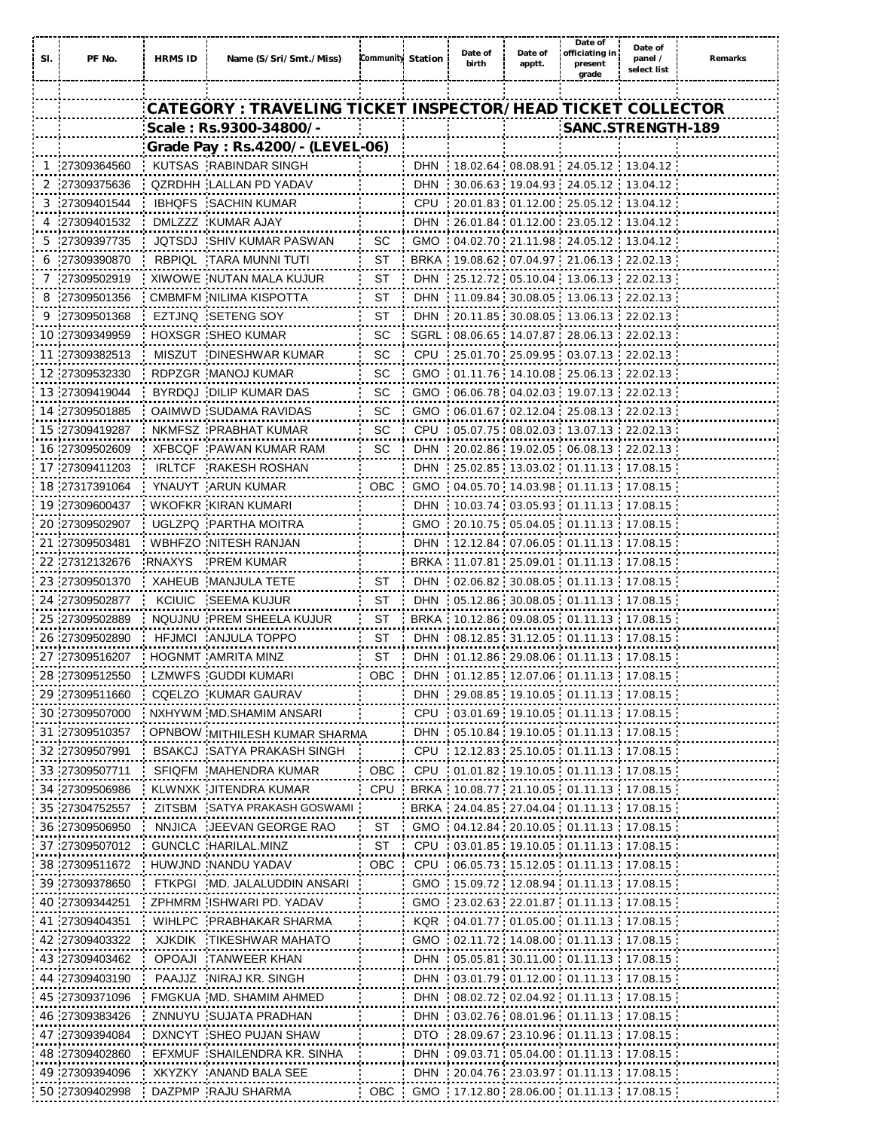| SI. | PF No.          | <b>HRMS ID</b> | Name (S/Sri/Smt./Miss)                                      | Community Station |            | Date of<br>birth | Date of<br>apptt. | Date of<br>officiating in<br>present<br>grade             | Date of<br>panel /<br>select list | Remarks |
|-----|-----------------|----------------|-------------------------------------------------------------|-------------------|------------|------------------|-------------------|-----------------------------------------------------------|-----------------------------------|---------|
|     |                 |                |                                                             |                   |            |                  |                   |                                                           |                                   |         |
|     |                 |                | CATEGORY : TRAVELING TICKET INSPECTOR/HEAD TICKET COLLECTOR |                   |            |                  |                   |                                                           |                                   |         |
|     |                 |                | Scale: Rs.9300-34800/-                                      |                   |            |                  |                   | SANC.STRENGTH-189                                         |                                   |         |
|     |                 |                | Grade Pay: Rs.4200/- (LEVEL-06)                             |                   |            |                  |                   |                                                           |                                   |         |
|     | 1 27309364560   |                | KUTSAS RABINDAR SINGH                                       |                   | <b>DHN</b> |                  |                   | 18.02.64 08.08.91 24.05.12 13.04.12                       |                                   |         |
|     | 2 27309375636   |                | QZRDHH LALLAN PD YADAV                                      |                   | <b>DHN</b> |                  |                   | 30.06.63 19.04.93 24.05.12 13.04.12                       |                                   |         |
| 3   | :27309401544    | IBHQFS         | : SACHIN KUMAR                                              |                   | <b>CPU</b> |                  |                   | 20.01.83 01.12.00 25.05.12 13.04.12                       |                                   |         |
|     | .27309401532    |                | DMLZZZ KUMAR AJAY                                           |                   | <b>DHN</b> |                  |                   |                                                           |                                   |         |
|     | .27309397735    |                | JQTSDJ SHIV KUMAR PASWAN                                    | -SC               | <b>GMO</b> |                  |                   | 04.02.70 21.11.98 24.05.12 13.04.12                       |                                   |         |
|     | 6 27309390870   |                | RBPIQL TARA MUNNI TUTI                                      | ST                |            |                  |                   | BRKA 19.08.62 07.04.97 21.06.13 22.02.13                  |                                   |         |
|     | 7 27309502919   |                | XIWOWE NUTAN MALA KUJUR                                     | ST                | <b>DHN</b> |                  |                   | 25.12.72 05.10.04 13.06.13 22.02.13                       |                                   |         |
|     | 8 27309501356   |                | CMBMFM NILIMA KISPOTTA                                      | ST                | <b>DHN</b> |                  |                   | $11.09.84$ 30.08.05 13.06.13 22.02.13                     |                                   |         |
|     | 9 27309501368   |                | EZTJNQ SETENG SOY                                           | ST                | <b>DHN</b> |                  |                   | $-20.11.85$ 30.08.05 13.06.13 22.02.13                    |                                   |         |
|     | 10 27309349959  |                | <b>HOXSGR SHEO KUMAR</b>                                    | SС                |            |                  |                   | SGRL 08.06.65 14.07.87 28.06.13 22.02.13                  |                                   |         |
|     | 11 27309382513  |                | MISZUT DINESHWAR KUMAR                                      | SC                |            |                  |                   | CPU 25.01.70 25.09.95 03.07.13 22.02.13                   |                                   |         |
|     | 12 27309532330  |                | RDPZGR MANOJ KUMAR                                          | SС                |            |                  |                   | GMO : 01.11.76 : 14.10.08 : 25.06.13 : 22.02.13           |                                   |         |
|     | 13 27309419044  |                | BYRDQJ DILIP KUMAR DAS                                      | SС                |            |                  |                   | GMO 06.06.78 04.02.03 19.07.13 22.02.13                   |                                   |         |
|     | 14 27309501885  |                | OAIMWD 'SUDAMA RAVIDAS                                      | SС                | <b>GMO</b> |                  |                   | 06.01.67 02.12.04 25.08.13 22.02.13                       |                                   |         |
|     | 15 27309419287  |                | NKMFSZ PRABHAT KUMAR                                        | SС                | <b>CPU</b> |                  |                   | $-05.07.75$ $-08.02.03$ $-13.07.13$ $-22.02.13$           |                                   |         |
|     | 16 27309502609  |                | XFBCQF PAWAN KUMAR RAM                                      | SС                | <b>DHN</b> |                  |                   | 20.02.86 19.02.05 06.08.13 22.02.13                       |                                   |         |
|     | 17 27309411203  |                | IRLTCF RAKESH ROSHAN                                        |                   | <b>DHN</b> |                  |                   | $: 25.02.85 \cdot 13.03.02 \cdot 01.11.13 \cdot 17.08.15$ |                                   |         |
|     | 18 27317391064  |                | YNAUYT ARUN KUMAR                                           | <b>OBC</b>        | <b>GMO</b> |                  |                   | 04.05.70 14.03.98 01.11.13 17.08.15                       |                                   |         |
|     | 19 27309600437  |                | WKOFKR KIRAN KUMARI                                         |                   | <b>DHN</b> |                  |                   | 10.03.74 03.05.93 01.11.13 17.08.15                       |                                   |         |
|     | 20 27309502907  |                | UGLZPQ PARTHA MOITRA                                        |                   | <b>GMO</b> |                  |                   | 20.10.75 05.04.05 01.11.13 17.08.15                       |                                   |         |
|     | 21 27309503481  |                | WBHFZO NITESH RANJAN                                        |                   | <b>DHN</b> |                  |                   | $-12.12.84$ 07.06.05 01.11.13 17.08.15                    |                                   |         |
|     | 22 27312132676  | RNAXYS         | <b>PREM KUMAR</b>                                           |                   |            |                  |                   | BRKA 11.07.81 25.09.01 01.11.13 17.08.15                  |                                   |         |
|     | 23 27309501370  |                | XAHEUB MANJULA TETE                                         | ST                | <b>DHN</b> |                  |                   | 02.06.82 30.08.05 01.11.13 17.08.15                       |                                   |         |
|     | 24 27309502877  |                | KCIUIC SEEMA KUJUR                                          | ST                | <b>DHN</b> |                  |                   | 05.12.86 30.08.05 01.11.13 17.08.15                       |                                   |         |
|     | 25:27309502889  |                | NQUJNU : PREM SHEELA KUJUR                                  | ST                |            |                  |                   | BRKA: 10.12.86: 09.08.05: 01.11.13: 17.08.15              |                                   |         |
|     | 26 27309502890  |                | HFJMCI ANJULA TOPPO                                         | ST                |            |                  |                   | DHN : 08.12.85 : 31.12.05 : 01.11.13 : 17.08.15           |                                   |         |
|     | 27 27309516207  |                | HOGNMT AMRITA MINZ                                          | ST                |            |                  |                   | <b>DHN</b> 01.12.86 29.08.06 01.11.13 17.08.15            |                                   |         |
|     | 28 27309512550  |                | LZMWFS GUDDI KUMARI                                         |                   |            |                  |                   | OBC DHN 01.12.85 12.07.06 01.11.13 17.08.15               |                                   |         |
|     | 29 27309511660  |                | CQELZO KUMAR GAURAV                                         |                   |            |                  |                   | DHN 29.08.85 19.10.05 01.11.13 17.08.15                   |                                   |         |
|     | 30 27309507000  |                | NXHYWM MD.SHAMIM ANSARI                                     |                   |            |                  |                   | CPU 03.01.69 19.10.05 01.11.13 17.08.15                   |                                   |         |
|     | 31 27309510357  |                | OPNBOW MITHILESH KUMAR SHARMA                               |                   | : DHN      |                  |                   | 05.10.84 19.10.05 01.11.13 17.08.15                       |                                   |         |
|     | 32 27309507991  |                | BSAKCJ SATYA PRAKASH SINGH                                  |                   |            |                  |                   | CPU  12.12.83  25.10.05  01.11.13  17.08.15               |                                   |         |
|     | 33:27309507711  |                | SFIQFM MAHENDRA KUMAR                                       | OBC               |            |                  |                   | CPU : 01.01.82 : 19.10.05 : 01.11.13 : 17.08.15           |                                   |         |
|     | 34 27309506986  |                | KLWNXK JITENDRA KUMAR                                       | <b>CPU</b>        |            |                  |                   | BRKA 10.08.77 21.10.05 01.11.13 17.08.15                  |                                   |         |
|     | 35 27304752557  |                | ZITSBM SATYA PRAKASH GOSWAMI                                |                   |            |                  |                   | BRKA 24.04.85 27.04.04 01.11.13 17.08.15                  |                                   |         |
|     | 36 27309506950  |                | NNJICA JEEVAN GEORGE RAO                                    | ST                |            |                  |                   | GMO 04.12.84 20.10.05 01.11.13 17.08.15                   |                                   |         |
|     | 37 27309507012  |                | GUNCLC HARILAL.MINZ                                         | ST                |            |                  |                   | CPU 03.01.85 19.10.05 01.11.13 17.08.15                   |                                   |         |
|     | 38 27309511672  |                | HUWJND NANDU YADAV                                          | OBC               |            |                  |                   | CPU 06.05.73 15.12.05 01.11.13 17.08.15                   |                                   |         |
|     | 39 27309378650  |                | FTKPGI MD. JALALUDDIN ANSARI                                |                   |            |                  |                   | GMO 15.09.72 12.08.94 01.11.13 17.08.15                   |                                   |         |
|     | 40 27309344251  |                | ZPHMRM ISHWARI PD. YADAV                                    |                   |            |                  |                   | GMO 23.02.63 22.01.87 01.11.13 17.08.15                   |                                   |         |
|     | 41 27309404351  |                | WIHLPC : PRABHAKAR SHARMA                                   |                   |            |                  |                   | KQR 04.01.77 01.05.00 01.11.13 17.08.15                   |                                   |         |
|     | 42 27309403322  |                | XJKDIK TIKESHWAR MAHATO                                     |                   |            |                  |                   | GMO 02.11.72 14.08.00 01.11.13 17.08.15                   |                                   |         |
|     | 43 27309403462  |                | OPOAJI TANWEER KHAN                                         |                   | <b>DHN</b> |                  |                   | 05.05.81 30.11.00 01.11.13 17.08.15                       |                                   |         |
|     | 44 27309403190  |                | PAAJJZ NIRAJ KR. SINGH                                      |                   | DHN        |                  |                   | $03.01.79$ $01.12.00$ $01.11.13$ $17.08.15$               |                                   |         |
|     | 45 27309371096  |                | FMGKUA MD. SHAMIM AHMED                                     |                   |            |                  |                   |                                                           |                                   |         |
|     | 46 27309383426  |                | ZNNUYU SUJATA PRADHAN                                       |                   |            |                  |                   | <b>DHN</b> 03.02.76  08.01.96  01.11.13  17.08.15         |                                   |         |
|     | 47 .27309394084 |                | DXNCYT : SHEO PUJAN SHAW                                    |                   | DTO        |                  |                   | . 28.09.67 . 23.10.96 . 01.11.13 . 17.08.15               |                                   |         |
|     | 48.27309402860  |                | EFXMUF SHAILENDRA KR. SINHA                                 |                   | <b>DHN</b> |                  |                   | 09.03.71 05.04.00 01.11.13 17.08.15                       |                                   |         |
|     | 49 27309394096  |                | XKYZKY ANAND BALA SEE                                       |                   | <b>DHN</b> |                  |                   | 20.04.76 23.03.97 01.11.13 17.08.15                       |                                   |         |
|     | 50 27309402998  |                | DAZPMP RAJU SHARMA                                          |                   |            |                  |                   | OBC GMO 17.12.80 28.06.00 01.11.13 17.08.15               |                                   |         |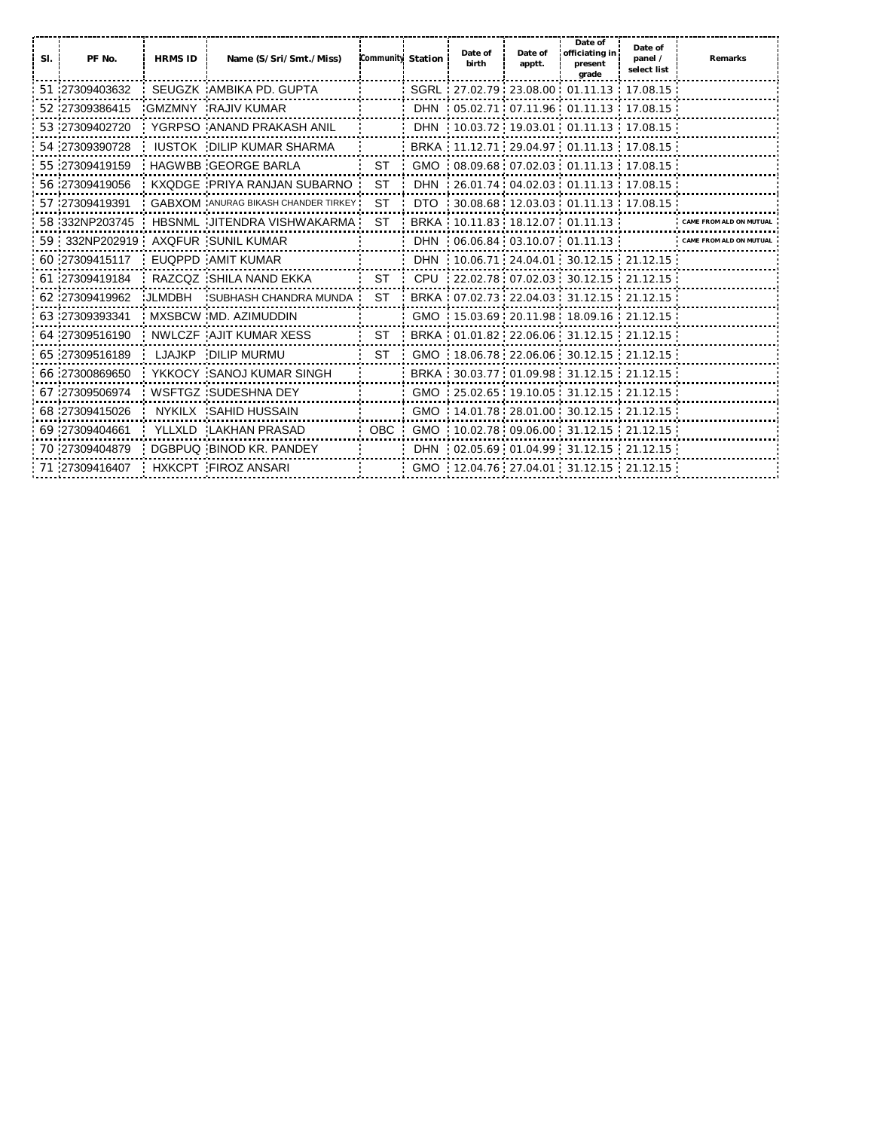| SI. | PF No.         | <b>HRMS ID</b> | Name (S/Sri/Smt./Miss)                     | <b>Community Station</b> | Date of<br>birth | Date of<br>apptt. | Date of<br>officiating in<br>present<br>grade  | Date of<br>panel /<br>select list | <b>Remarks</b>   |
|-----|----------------|----------------|--------------------------------------------|--------------------------|------------------|-------------------|------------------------------------------------|-----------------------------------|------------------|
|     | 51 27309403632 |                | SEUGZK AMBIKA PD. GUPTA                    |                          |                  |                   | SGRL 27.02.79 23.08.00 01.11.13 17.08.15       |                                   |                  |
|     | 52 27309386415 |                | GMZMNY RAJIV KUMAR                         |                          |                  |                   | <b>DHN</b> 05.02.71 07.11.96 01.11.13 17.08.15 |                                   |                  |
|     | 53 27309402720 |                | YGRPSO ANAND PRAKASH ANIL                  |                          |                  |                   | DHN 10.03.72 19.03.01 01.11.13 17.08.15        |                                   |                  |
|     | 54 27309390728 |                | <b>IUSTOK DILIP KUMAR SHARMA</b>           |                          |                  |                   | BRKA 11.12.71 29.04.97 01.11.13 17.08.15       |                                   |                  |
|     | 55 27309419159 |                | HAGWBB GEORGE BARLA                        | ST                       |                  |                   | $GMO$ 08.09.68 07.02.03 01.11.13 17.08.15      |                                   |                  |
|     | 56 27309419056 |                | KXQDGE PRIYA RANJAN SUBARNO                | <b>ST</b>                |                  |                   |                                                |                                   |                  |
|     | 57 27309419391 |                | <b>GABXOM</b> ANURAG BIKASH CHANDER TIRKEY | <b>ST</b>                |                  |                   | DTO 30.08.68 12.03.03 01.11.13 17.08.15        |                                   |                  |
|     | 58 332NP203745 |                | HBSNML JITENDRA VISHWAKARMA                | <b>ST</b>                |                  |                   | BRKA 10.11.83 18.12.07 01.11.13                |                                   |                  |
|     | 59 332NP202919 |                | AXQFUR SUNIL KUMAR                         |                          |                  |                   |                                                |                                   | <b>CAME FROM</b> |
|     | 60 27309415117 |                | EUQPPD AMIT KUMAR                          |                          |                  |                   | DHN 10.06.71 24.04.01 30.12.15 21.12.15        |                                   |                  |
|     | 61 27309419184 |                | RAZCQZ SHILA NAND EKKA                     | ST                       |                  |                   | CPU 22.02.78 07.02.03 30.12.15 21.12.15        |                                   |                  |
|     | 62 27309419962 |                | JLMDBH SUBHASH CHANDRA MUNDA               | ST                       |                  |                   | BRKA 07.02.73 22.04.03 31.12.15 21.12.15       |                                   |                  |
|     | 63 27309393341 |                | MXSBCW MD. AZIMUDDIN                       |                          |                  |                   | GMO 15.03.69 20.11.98 18.09.16 21.12.15        |                                   |                  |
|     | 64 27309516190 |                | NWLCZF AJIT KUMAR XESS                     | <b>ST</b>                |                  |                   | BRKA 01.01.82 22.06.06 31.12.15 21.12.15       |                                   |                  |
|     | 65 27309516189 |                | LJAJKP DILIP MURMU                         | ST.                      |                  |                   | GMO 18.06.78 22.06.06 30.12.15 21.12.15        |                                   |                  |
|     | 66 27300869650 |                | YKKOCY SANOJ KUMAR SINGH                   |                          |                  |                   | BRKA 30.03.77 01.09.98 31.12.15 21.12.15       |                                   |                  |
|     | 67 27309506974 |                | WSFTGZ : SUDESHNA DEY                      |                          |                  |                   | GMO 25.02.65 19.10.05 31.12.15 21.12.15        |                                   |                  |
|     | 68 27309415026 |                | NYKILX SAHID HUSSAIN                       |                          |                  |                   | GMO 14.01.78 28.01.00 30.12.15 21.12.15        |                                   |                  |
|     | 69 27309404661 |                | YLLXLD LAKHAN PRASAD                       |                          |                  |                   | OBC GMO 10.02.78 09.06.00 31.12.15 21.12.15    |                                   |                  |
|     | 70 27309404879 |                | DGBPUQ BINOD KR, PANDEY                    |                          |                  |                   | DHN 02.05.69 01.04.99 31.12.15 21.12.15        |                                   |                  |
|     | 71 27309416407 |                | <b>HXKCPT FIROZ ANSARI</b>                 |                          |                  |                   | GMO 12.04.76 27.04.01 31.12.15 21.12.15        |                                   |                  |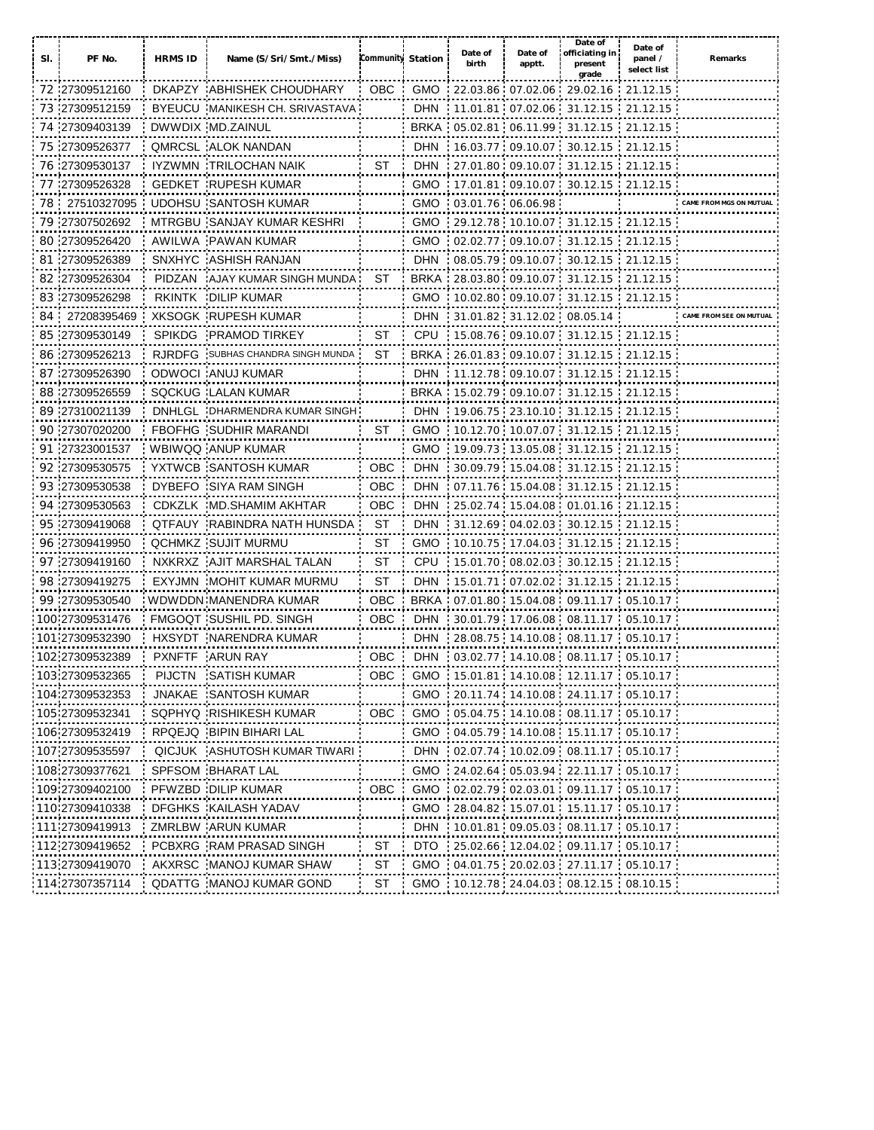| SI. | PF No.          | <b>HRMS ID</b> | Name (S/Sri/Smt./Miss)              | Community Station |            | Date of<br>birth    | Date of<br>apptt. | Date of<br>officiating in<br>present<br>grade           | Date of<br>panel /<br>select list | Remarks                 |
|-----|-----------------|----------------|-------------------------------------|-------------------|------------|---------------------|-------------------|---------------------------------------------------------|-----------------------------------|-------------------------|
|     | 72 27309512160  |                | DKAPZY ABHISHEK CHOUDHARY           | <b>OBC</b>        |            |                     |                   | GMO : 22.03.86 : 07.02.06 : 29.02.16 : 21.12.15         |                                   |                         |
|     | 73 27309512159  |                | BYEUCU MANIKESH CH. SRIVASTAVA:     |                   |            |                     |                   | DHN 11.01.81 07.02.06 31.12.15 21.12.15                 |                                   |                         |
|     | 74 27309403139  |                | DWWDIX MD.ZAINUL                    |                   |            |                     |                   | <b>BRKA</b> 05.02.81 06.11.99 31.12.15 21.12.15         |                                   |                         |
|     | 75 27309526377  |                | QMRCSL ALOK NANDAN                  |                   | <b>DHN</b> |                     |                   | $-16.03.77$ 09.10.07 30.12.15 21.12.15                  |                                   |                         |
|     | 76 27309530137  |                | IYZWMN TRILOCHAN NAIK               | ST                | <b>DHN</b> |                     |                   | $-27.01.80 - 09.10.07 - 31.12.15 - 21.12.15$            |                                   |                         |
|     | 77 27309526328  |                | <b>GEDKET RUPESH KUMAR</b>          |                   | GMO        |                     |                   | $17.01.81$ 09.10.07 30.12.15 21.12.15                   |                                   |                         |
|     |                 |                | 78 27510327095 UDOHSU SANTOSH KUMAR |                   | GMO        | $03.01.76$ 06.06.98 |                   |                                                         |                                   | CAME FROM MGS ON MUTUAL |
|     | 79 27307502692  |                | MTRGBU SANJAY KUMAR KESHRI          |                   | <b>GMO</b> |                     |                   | 29.12.78 10.10.07 31.12.15 21.12.15                     |                                   |                         |
|     | 80.27309526420  |                | AWILWA PAWAN KUMAR                  |                   | <b>GMO</b> |                     |                   | $02.02.77 \cdot 09.10.07 \cdot 31.12.15 \cdot 21.12.15$ |                                   |                         |
|     | 81 27309526389  |                | SNXHYC ASHISH RANJAN                |                   | <b>DHN</b> |                     |                   | 08.05.79 09.10.07 30.12.15 21.12.15                     |                                   |                         |
|     | 82 27309526304  |                | PIDZAN AJAY KUMAR SINGH MUNDA       | ST                |            |                     |                   | BRKA 28.03.80 09.10.07 31.12.15 21.12.15                |                                   |                         |
|     | 83 27309526298  |                | RKINTK DILIP KUMAR                  |                   |            |                     |                   | GMO 10.02.80 09.10.07 31.12.15 21.12.15                 |                                   |                         |
|     | 84 27208395469  |                | XKSOGK RUPESH KUMAR                 |                   | <b>DHN</b> |                     |                   | 31.01.82 31.12.02 08.05.14                              |                                   | CAME FROM SEE ON MUTUA  |
|     | 85 27309530149  |                | SPIKDG PRAMOD TIRKEY                | ST                | <b>CPU</b> |                     |                   | 15.08.76 09.10.07 31.12.15 21.12.15                     |                                   |                         |
|     | 86 27309526213  |                | RJRDFG SUBHAS CHANDRA SINGH MUNDA   | - ST              |            |                     |                   | <b>BRKA</b> 26.01.83 09.10.07 31.12.15 21.12.15         |                                   |                         |
|     | 87 27309526390  |                | ODWOCI ANUJ KUMAR                   |                   |            |                     |                   | DHN 11.12.78 09.10.07 31.12.15 21.12.15                 |                                   |                         |
|     | 88 27309526559  |                | SQCKUG LALAN KUMAR                  |                   |            |                     |                   | <b>BRKA</b> 15.02.79 09.10.07 31.12.15 21.12.15         |                                   |                         |
|     | 89 27310021139  |                | DNHLGL DHARMENDRA KUMAR SINGH       |                   | <b>DHN</b> |                     |                   | $19.06.75$ 23.10.10 31.12.15 21.12.15                   |                                   |                         |
|     | 90 27307020200  |                | FBOFHG SUDHIR MARANDI               | ST :              |            |                     |                   | GMO 10.12.70 10.07.07 31.12.15 21.12.15                 |                                   |                         |
|     | 91 27323001537  |                | WBIWQQ ANUP KUMAR                   |                   |            |                     |                   | GMO 19.09.73 13.05.08 31.12.15 21.12.15                 |                                   |                         |
|     | 92 27309530575  |                | YXTWCB SANTOSH KUMAR                | OBC               | DHN        |                     |                   | 30.09.79 15.04.08 31.12.15 21.12.15                     |                                   |                         |
|     | 93 27309530538  |                | DYBEFO SIYA RAM SINGH               | <b>OBC</b>        | <b>DHN</b> |                     |                   | .07.11.76.15.04.08.31.12.15.21.12.15                    |                                   |                         |
|     | 94 27309530563  |                | CDKZLK MD.SHAMIM AKHTAR             | OBC               | <b>DHN</b> |                     |                   |                                                         |                                   |                         |
|     | 95 27309419068  |                | QTFAUY RABINDRA NATH HUNSDA         | ST                | <b>DHN</b> |                     |                   | 31.12.69 04.02.03 30.12.15 21.12.15                     |                                   |                         |
|     | 96 27309419950  |                | <b>QCHMKZ SUJIT MURMU</b>           | ST                | <b>GMO</b> |                     |                   | $-10.10.75$ $17.04.03$ $31.12.15$ $21.12.15$            |                                   |                         |
|     | 97 27309419160  |                | NXKRXZ AJIT MARSHAL TALAN           | ST                | <b>CPU</b> |                     |                   | 15.01.70 08.02.03 30.12.15 21.12.15                     |                                   |                         |
|     | 98 27309419275  |                | EXYJMN MOHIT KUMAR MURMU            | ST                | <b>DHN</b> |                     |                   | $15.01.71$ 07.02.02 31.12.15 21.12.15                   |                                   |                         |
|     | 99 27309530540  |                | WDWDDN MANENDRA KUMAR               | <b>OBC</b>        |            |                     |                   | BRKA 07.01.80 15.04.08 09.11.17 05.10.17                |                                   |                         |
|     | 100:27309531476 |                | FMGOQT SUSHIL PD. SINGH             | <b>OBC</b>        | <b>DHN</b> |                     |                   | $: 30.01.79: 17.06.08: 08.11.17: 05.10.17$              |                                   |                         |
|     | 101:27309532390 |                | HXSYDT : NARENDRA KUMAR             |                   | <b>DHN</b> |                     |                   | $: 28.08.75 : 14.10.08 : 08.11.17 : 05.10.17$           |                                   |                         |
|     | 102 27309532389 |                | PXNFTF ARUN RAY                     | <b>OBC</b>        |            |                     |                   | DHN : 03.02.77 : 14.10.08 : 08.11.17 : 05.10.17         |                                   |                         |
|     | 103 27309532365 |                | PIJCTN SATISH KUMAR                 | OBC               |            |                     |                   | GMO 15.01.81 14.10.08 12.11.17 05.10.17                 |                                   |                         |
|     | 104 27309532353 |                | JNAKAE SANTOSH KUMAR                |                   |            |                     |                   | GMO 20.11.74 14.10.08 24.11.17 05.10.17                 |                                   |                         |
|     | 105 27309532341 |                | SQPHYQ RISHIKESH KUMAR              | <b>OBC</b>        |            |                     |                   | GMO 05.04.75 14.10.08 08.11.17 05.10.17                 |                                   |                         |
|     | 106 27309532419 |                | RPQEJQ BIPIN BIHARI LAL             |                   |            |                     |                   | GMO 04.05.79 14.10.08 15.11.17 05.10.17                 |                                   |                         |
|     | 107.27309535597 |                | QICJUK : ASHUTOSH KUMAR TIWARI :    |                   |            |                     |                   | DHN : 02.07.74 : 10.02.09 : 08.11.17 : 05.10.17         |                                   |                         |
|     | 108.27309377621 |                | SPFSOM : BHARAT LAL                 |                   | <b>GMO</b> |                     |                   | 24.02.64 05.03.94 22.11.17 05.10.17                     |                                   |                         |
|     | 109 27309402100 |                | PFWZBD DILIP KUMAR                  | <b>OBC</b>        | <b>GMO</b> |                     |                   | $02.02.79$ $02.03.01$ $09.11.17$ $05.10.17$             |                                   |                         |
|     | 110 27309410338 |                | DFGHKS KAILASH YADAV                |                   | <b>GMO</b> |                     |                   | $-28.04.82$ 15.07.01 15.11.17 05.10.17                  |                                   |                         |
|     | 111 27309419913 |                | ZMRLBW ARUN KUMAR                   |                   |            |                     |                   | DHN 10.01.81 09.05.03 08.11.17 05.10.17                 |                                   |                         |
|     | 112 27309419652 |                | PCBXRG RAM PRASAD SINGH             | ST                |            |                     |                   | DTO 25.02.66 12.04.02 09.11.17 05.10.17                 |                                   |                         |
|     | 113 27309419070 |                | AKXRSC MANOJ KUMAR SHAW             | ST                |            |                     |                   | GMO  04.01.75  20.02.03  27.11.17  05.10.17             |                                   |                         |
|     | 114.27307357114 |                | QDATTG MANOJ KUMAR GOND             | ST                |            |                     |                   | GMO 10.12.78 24.04.03 08.12.15 08.10.15                 |                                   |                         |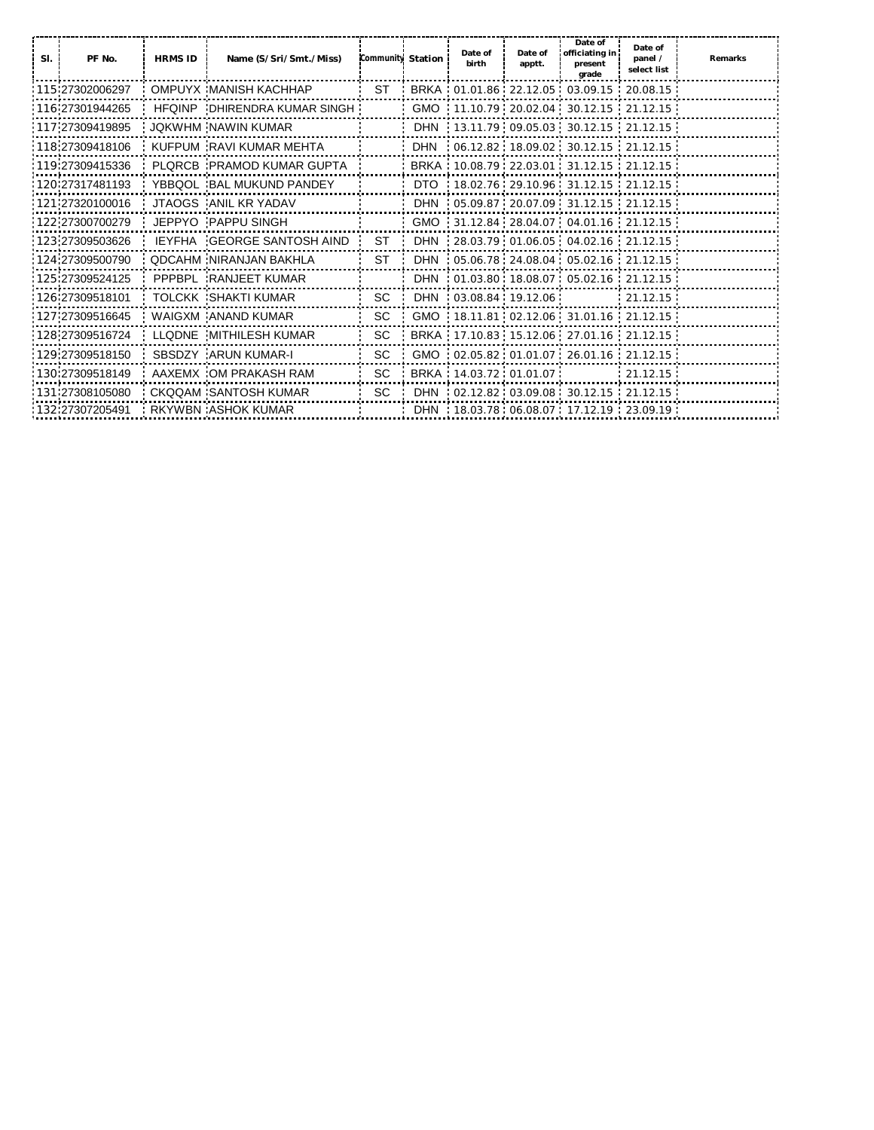| SI. | PF No.           | <b>HRMS ID</b> | Name (S/Sri/Smt./Miss)            | Community Station | Date of<br>birth       | Date of<br>apptt. | Date of<br>officiating in<br>present<br>grade      | Date of<br>panel /<br>select list | Remarks |
|-----|------------------|----------------|-----------------------------------|-------------------|------------------------|-------------------|----------------------------------------------------|-----------------------------------|---------|
|     | 115 27302006297  |                | OMPUYX MANISH KACHHAP             | ST                |                        |                   | BRKA : 01.01.86 : 22.12.05 : 03.09.15 : 20.08.15 : |                                   |         |
|     | 116 27301944265  |                | HEOINP DHIRENDRA KUMAR SINGH      |                   |                        |                   | GMO 11.10.79 20.02.04 30.12.15 21.12.15            |                                   |         |
|     | 117 27309419895  |                | JOKWHM NAWIN KUMAR                |                   |                        |                   | DHN 13.11.79 09.05.03 30.12.15 21.12.15            |                                   |         |
|     | 118 27309418106  |                | KUFPUM RAVI KUMAR MEHTA           |                   |                        |                   | DHN   06.12.82  18.09.02  30.12.15  21.12.15       |                                   |         |
|     | 119 27309415336  |                | PLORCB PRAMOD KUMAR GUPTA         |                   |                        |                   | BRKA 10.08.79 22.03.01 31.12.15 21.12.15           |                                   |         |
|     | 120 27317481193  |                | YBBQOL BAL MUKUND PANDEY          |                   |                        |                   | DTO 18.02.76 29.10.96 31.12.15 21.12.15            |                                   |         |
|     | 121.27320100016  |                | JTAOGS ANIL KR YADAV              |                   |                        |                   | DHN : 05.09.87 : 20.07.09 : 31.12.15 : 21.12.15 :  |                                   |         |
|     | 122 27300700279  |                | JEPPYO PAPPU SINGH                |                   |                        |                   | GMO 31.12.84 28.04.07 04.01.16 21.12.15            |                                   |         |
|     | 123.27309503626  |                | <b>IEYFHA GEORGE SANTOSH AIND</b> | ST.               |                        |                   | DHN 28.03.79 01.06.05 04.02.16 21.12.15            |                                   |         |
|     | 124 27309500790  |                | <b>QDCAHM NIRANJAN BAKHLA</b>     | ST                |                        |                   | DHN 05.06.78 24.08.04 05.02.16 21.12.15            |                                   |         |
|     | 125 27309524125  |                | PPPBPL RANJEET KUMAR              |                   |                        |                   | DHN   01.03.80  18.08.07  05.02.16  21.12.15       |                                   |         |
|     | 126 27309518101  |                | TOLCKK SHAKTI KUMAR               | SC.               | DHN 03.08.84 19.12.06  |                   |                                                    | 21.12.15                          |         |
|     | 127 27309516645  |                | WAIGXM ANAND KUMAR                | <b>SC</b>         |                        |                   | GMO 18.11.81 02.12.06 31.01.16 21.12.15            |                                   |         |
|     | 128 27309516724  |                | LLQDNE MITHILESH KUMAR            | <b>SC</b>         |                        |                   | BRKA 17.10.83 15.12.06 27.01.16 21.12.15           |                                   |         |
|     | 129 27309518150  |                | SBSDZY ARUN KUMAR-I               | SC.               |                        |                   | GMO 02.05.82 01.01.07 26.01.16 21.12.15            |                                   |         |
|     | 130 27309518149  |                | AAXEMX OM PRAKASH RAM             | <b>SC</b>         | BRKA 14.03.72 01.01.07 |                   |                                                    | $-21.12.15$                       |         |
|     | 131 27308105080  |                | CKQQAM SANTOSH KUMAR              | SC.               |                        |                   | DHN 02.12.82 03.09.08 30.12.15 21.12.15            |                                   |         |
|     | :132:27307205491 |                | <b>RKYWBN: ASHOK KUMAR</b>        |                   |                        |                   | DHN : 18.03.78 : 06.08.07 : 17.12.19 : 23.09.19 :  |                                   |         |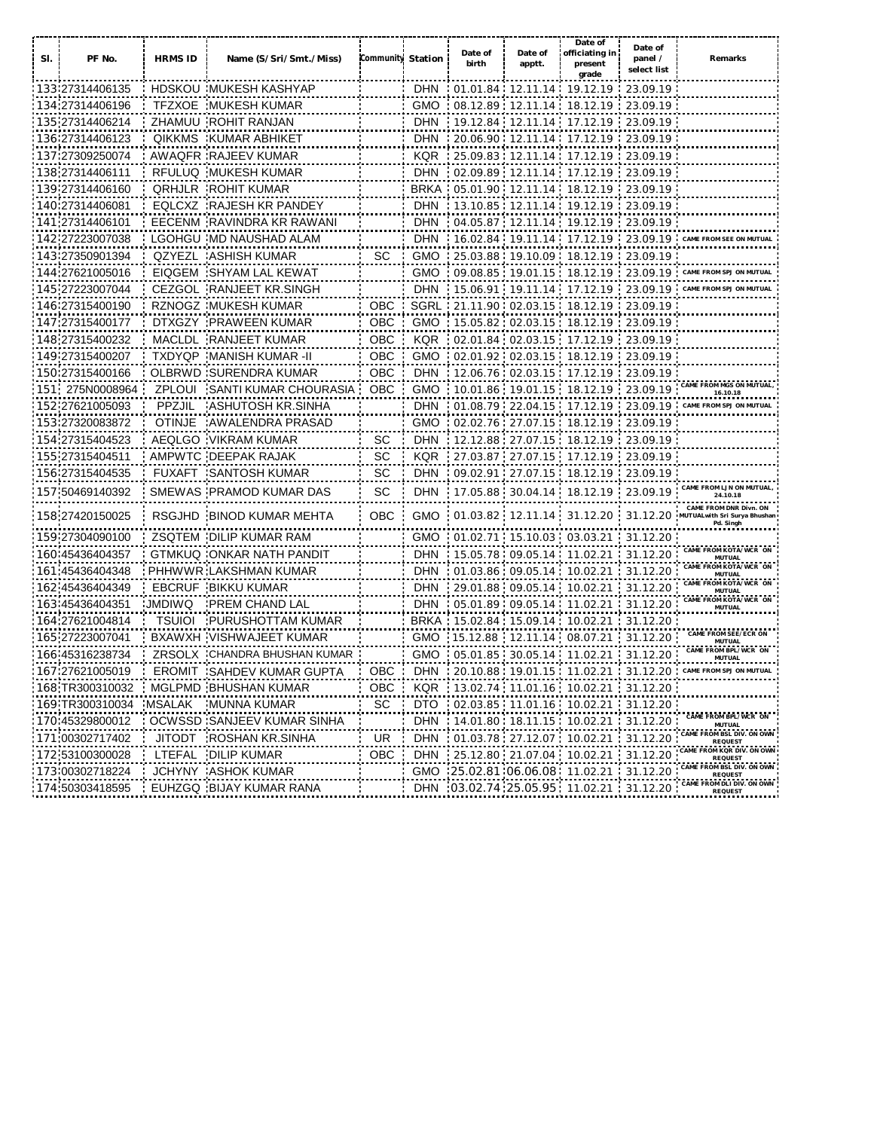|     |                         |                |                                  |                   |             | Date of | Date of                    | Date of<br>officiating in                               | Date of                |                                                                                                 |
|-----|-------------------------|----------------|----------------------------------|-------------------|-------------|---------|----------------------------|---------------------------------------------------------|------------------------|-------------------------------------------------------------------------------------------------|
| SI. | PF No.                  | <b>HRMS ID</b> | Name (S/Sri/Smt./Miss)           | Community Station |             | birth   | apptt.                     | present<br>grade                                        | panel /<br>select list | Remarks                                                                                         |
|     | 133 27314406135         |                | HDSKOU MUKESH KASHYAP            |                   | <b>DHN</b>  |         |                            | $01.01.84$ 12.11.14 19.12.19 23.09.19                   |                        |                                                                                                 |
|     | 134 27314406196         |                | <b>TFZXOE MUKESH KUMAR</b>       |                   | GMO         |         |                            | 08.12.89 12.11.14 18.12.19                              | 23.09.19               |                                                                                                 |
|     | 135. <b>27314406214</b> |                | ZHAMUU ROHIT RANJAN              |                   | <b>DHN</b>  |         |                            | 19.12.84 12.11.14 17.12.19                              | 23.09.19               |                                                                                                 |
|     | 136 27314406123         | <b>QIKKMS</b>  | <b>KUMAR ABHIKET</b>             |                   | <b>DHN</b>  |         |                            |                                                         | 23.09.19               |                                                                                                 |
|     | 137 <b>27309250074</b>  |                | AWAQFR RAJEEV KUMAR              |                   | <b>KQR</b>  |         |                            |                                                         | 23.09.19               |                                                                                                 |
|     | 138. <b>27314406111</b> | <b>RFULUQ</b>  | MUKESH KUMAR                     |                   | <b>DHN</b>  |         |                            | 02.09.89 12.11.14 17.12.19                              | 23.09.19               |                                                                                                 |
|     | 139 27314406160         |                | <b>QRHJLR ROHIT KUMAR</b>        |                   | <b>BRKA</b> |         |                            | 05.01.90 12.11.14 18.12.19                              | 23.09.19               |                                                                                                 |
|     | 140 27314406081         |                | EQLCXZ RAJESH KR PANDEY          |                   | <b>DHN</b>  |         |                            | 13.10.85 12.11.14 19.12.19                              | 23.09.19               |                                                                                                 |
|     | 141.27314406101         |                | EECENM RAVINDRA KR RAWANI        |                   | DHN         |         |                            | 04.05.87 12.11.14 19.12.19 23.09.19                     |                        |                                                                                                 |
|     | 142 27223007038         |                | LGOHGU MD NAUSHAD ALAM           |                   | <b>DHN</b>  |         | 16.02.84 19.11.14 17.12.19 |                                                         | $-23.09.19$            | CAME FROM                                                                                       |
|     | 143 27350901394         |                | QZYEZL ASHISH KUMAR              | SC.               | <b>GMO</b>  |         |                            | 25.03.88 19.10.09 18.12.19 23.09.19                     |                        |                                                                                                 |
|     | 144:27621005016         |                | EIQGEM : SHYAM LAL KEWAT         |                   | <b>GMO</b>  |         |                            | .09.08.85:19.01.15:18.12.19:23.09.19                    |                        | <b>CAME FROM SP.</b>                                                                            |
|     | 145 27223007044         |                | CEZGOL RANJEET KR.SINGH          |                   | <b>DHN</b>  |         |                            | $15.06.91$ 19.11.14 17.12.19 23.09.19                   |                        |                                                                                                 |
|     | 146 27315400190         |                | RZNOGZ MUKESH KUMAR              | <b>OBC</b>        |             |         |                            | SGRL 21.11.90 02.03.15 18.12.19 23.09.19                |                        |                                                                                                 |
|     | 147:27315400177         |                | DTXGZY : PRAWEEN KUMAR           | OBC               |             |         |                            | GMO : 15.05.82 : 02.03.15 : 18.12.19 : 23.09.19         |                        |                                                                                                 |
|     | 148 27315400232         |                | MACLDL RANJEET KUMAR             | OBC               | <b>KQR</b>  |         |                            | $-02.01.84$ $-02.03.15$ $-17.12.19$ $-23.09.19$         |                        |                                                                                                 |
|     | 149 27315400207         |                | TXDYQP MANISH KUMAR -II          | <b>OBC</b>        |             |         |                            | GMO 02.01.92 02.03.15 18.12.19 23.09.19                 |                        |                                                                                                 |
|     | 150:27315400166         |                | OLBRWD: SURENDRA KUMAR           | <b>OBC</b>        | <b>DHN</b>  |         |                            | $12.06.76 \cdot 02.03.15 \cdot 17.12.19 \cdot 23.09.19$ |                        |                                                                                                 |
|     | 151 275N0008964         |                | ZPLOUI SANTI KUMAR CHOURASIA     | OBC               | <b>GMO</b>  |         |                            | 10.01.86 19.01.15 18.12.19 23.09.19                     |                        | AME FROM MGS ON MUTUAL<br>16.10.18                                                              |
|     | 152.27621005093         | <b>PPZJIL</b>  | ASHUTOSH KR.SINHA                |                   | <b>DHN</b>  |         |                            | 01.08.79 22.04.15 17.12.19 23.09.19                     |                        | <b>CAME FROM SPJ ON</b>                                                                         |
|     | 153:27320083872         | <b>OTINJE</b>  | AWALENDRA PRASAD                 |                   | <b>GMO</b>  |         |                            | $: 02.02.76 : 27.07.15 : 18.12.19 : 23.09.19$           |                        |                                                                                                 |
|     | 154 27315404523         |                | AEQLGO VIKRAM KUMAR              | SC.               | DHN         |         |                            | 12.12.88 27.07.15 18.12.19 23.09.19                     |                        |                                                                                                 |
|     | 155 <b>27315404511</b>  |                | AMPWTC DEEPAK RAJAK              | SC                | <b>KQR</b>  |         |                            |                                                         | 23.09.19               |                                                                                                 |
|     | 156.27315404535         |                | FUXAFT SANTOSH KUMAR             | SC                | <b>DHN</b>  |         |                            | 09.02.91 27.07.15 18.12.19 23.09.19                     |                        |                                                                                                 |
|     | 157:50469140392         |                | SMEWAS : PRAMOD KUMAR DAS        | SС                | <b>DHN</b>  |         |                            |                                                         |                        | CAME FROM LJN ON MUTUAL<br>24.10.18                                                             |
|     | 158 27420150025         |                | RSGJHD BINOD KUMAR MEHTA         | OBC               |             |         |                            |                                                         |                        | CAME FROM DNR Divn. ON<br>GMO 01.03.82 12.11.14 31.12.20 31.12.20 MUTUAL with Sri Surya Bhushan |
|     |                         |                |                                  |                   |             |         |                            |                                                         |                        | Pd. Singh                                                                                       |
|     | 159:27304090100         |                | ZSQTEM : DILIP KUMAR RAM         |                   | <b>GMO</b>  |         |                            | 01.02.71:15.10.03:03.03.21:31.12.20                     |                        | AME FROM KOTA/WCR ON                                                                            |
|     | 160 45436404357         |                | GTMKUQ ONKAR NATH PANDIT         |                   | <b>DHN</b>  |         |                            | $15.05.78$ 09.05.14 11.02.21 31.12.20                   |                        | MUTUAL<br>ROM KOTA/WCR ON                                                                       |
|     | 161 45436404348         |                | PHHWWR LAKSHMAN KUMAR            |                   | <b>DHN</b>  |         |                            | $-01.03.86$ $-09.05.14$ $-10.02.21$ $-31.12.20$         |                        | MUTUAL<br>CAME FROM KOTA/WCR ON                                                                 |
|     | 162:45436404349         |                | <b>EBCRUF : BIKKU KUMAR</b>      |                   | <b>DHN</b>  |         |                            | $: 29.01.88: 09.05.14: 10.02.21: 31.12.20$              |                        | <b>MUTUAL</b><br><b>FROM KOTA/WCR ON</b>                                                        |
|     | 163 45436404351         | <b>JMDIWQ</b>  | <b>PREM CHAND LAL</b>            |                   | <b>DHN</b>  |         |                            | $05.01.89 \cdot 09.05.14 \cdot 11.02.21$                | 31.12.20               | <b>MUTUAL</b>                                                                                   |
|     | 164 27621004814         |                | <b>TSUIOI PURUSHOTTAM KUMAR</b>  |                   | <b>BRKA</b> |         |                            | $15.02.84$ 15.09.14 10.02.21                            | 31.12.20               | CAME FROM SEE/ECR ON                                                                            |
|     | 165:27223007041         |                | BXAWXH VISHWAJEET KUMAR          |                   | <b>GMO</b>  |         |                            | $15.12.88$ 12.11.14 08.07.21 31.12.20                   |                        | MUTUAL<br>CAME FROM BPL/WCR ON                                                                  |
|     | 166 45316238734         |                | ZRSOLX CHANDRA BHUSHAN KUMAR     |                   | <b>GMO</b>  |         |                            | $05.01.85$ 30.05.14 11.02.21                            | 31.12.20               | <b>MUTUAL</b>                                                                                   |
|     | 167 27621005019         |                | <b>EROMIT SAHDEV KUMAR GUPTA</b> | OBC.              | <b>DHN</b>  |         |                            | 20.10.88 19.01.15 11.02.21 31.12.20                     |                        | CAME FROM SPJ ON MUTUAL                                                                         |
|     | 168 TR300310032         |                | : MGLPMD : BHUSHAN KUMAR         | <b>OBC</b>        |             |         |                            | KQR 13.02.74 11.01.16 10.02.21 31.12.20                 |                        |                                                                                                 |
|     | 169 TR300310034         | <b>MSALAK</b>  | MUNNA KUMAR                      | SC                | DTO         |         |                            | $02.03.85$ 11.01.16 10.02.21 31.12.20                   |                        | CAME FROM BPL/WCR ON                                                                            |
|     | 170 45329800012         |                | OCWSSD SANJEEV KUMAR SINHA       |                   | DHN         |         |                            | $-14.01.80$ $18.11.15$ $10.02.21$                       | 31.12.20               | <b>MUTUAL</b><br>CAME FROM BSL DIV. ON OWN                                                      |
|     | 171.00302717402         |                | JITODT ROSHAN KR.SINHA           | <b>UR</b>         | <b>DHN</b>  |         |                            | 01.03.78 . 27.12.07 . 10.02.21 .                        | 31.12.20               | REQUEST<br>ME FROM KOR DIV. ON OWN                                                              |
|     | 172 53100300028         | LTEFAL         | <b>DILIP KUMAR</b>               | OBC               | DHN         |         |                            | 25.12.80 21.07.04 10.02.21                              | 31.12.20               | REQUEST<br>CAME FROM BSL DIV. ON OWN                                                            |
|     | 173 00302718224         |                | JCHYNY : ASHOK KUMAR             |                   |             |         |                            | GMO 25.02.81 06.06.08 11.02.21                          | 31.12.20               | <b>REQUEST</b><br>CAME FROM DLI DIV. ON OWN                                                     |
|     | 174:50303418595         |                | EUHZGQ BIJAY KUMAR RANA          |                   | DHN         |         |                            | 03.02.74.25.05.95.11.02.21                              | 31.12.20               | REQUEST                                                                                         |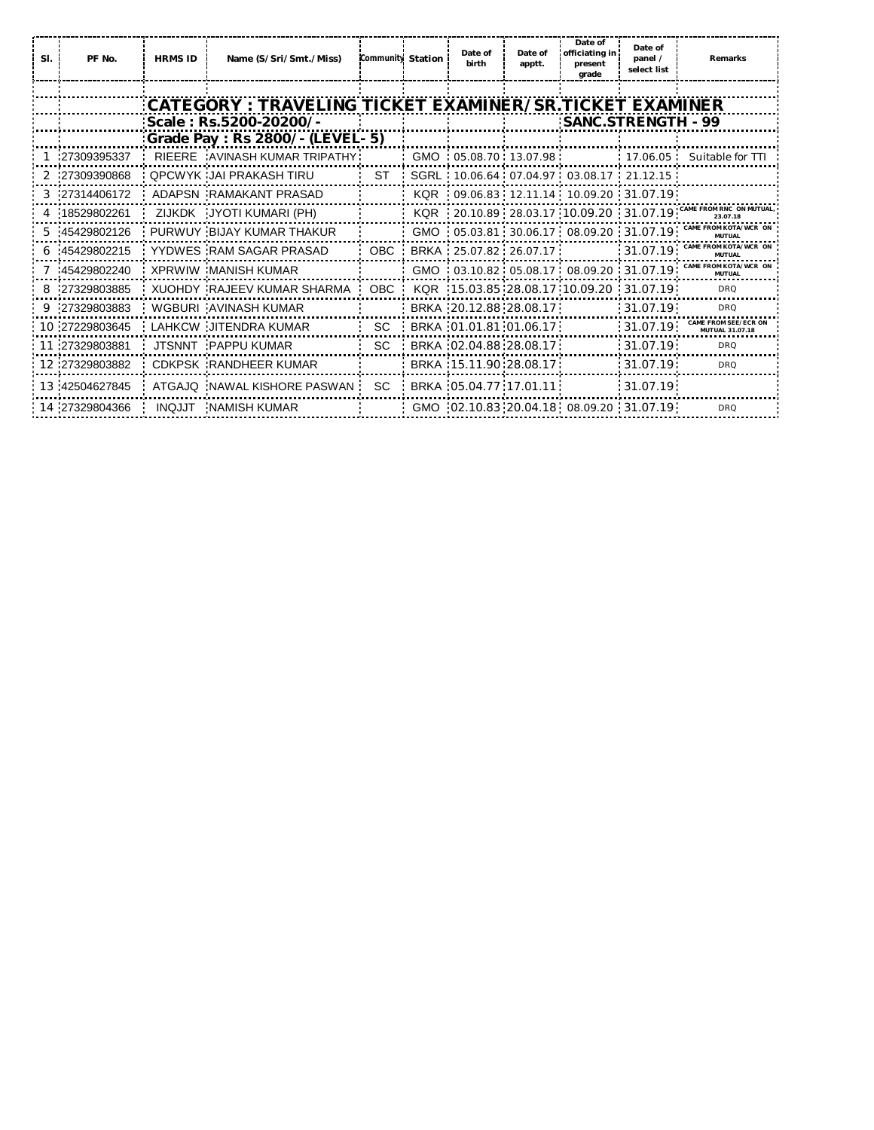| SI. | PF No.         | <b>HRMS ID</b> | Name (S/Sri/Smt./Miss)                                   | <b>Community Station</b> | Date of<br>birth           | Date of<br>apptt. | Date of<br>officiating in<br>present<br>grade     | Date of<br>panel /<br>select list | Remarks                                                         |
|-----|----------------|----------------|----------------------------------------------------------|--------------------------|----------------------------|-------------------|---------------------------------------------------|-----------------------------------|-----------------------------------------------------------------|
|     |                |                |                                                          |                          |                            |                   |                                                   |                                   |                                                                 |
|     |                |                | :CATEGORY : TRAVELING TICKET EXAMINER/SR.TICKET EXAMINER |                          |                            |                   |                                                   |                                   |                                                                 |
|     |                |                | Scale: Rs.5200-20200/-                                   |                          |                            |                   | SANC.STRENGTH - 99                                |                                   |                                                                 |
|     |                |                | : Grade Pay : Rs 2800/- (LEVEL- 5)                       |                          |                            |                   |                                                   |                                   |                                                                 |
|     | 27309395337    |                | RIEERE AVINASH KUMAR TRIPATHY                            |                          | GMO  05.08.70  13.07.98    |                   |                                                   |                                   | 17.06.05 Suitable for TTI                                       |
|     | 2 27309390868  |                | OPCWYK JAI PRAKASH TIRU                                  | <b>ST</b>                |                            |                   | SGRL: 10.06.64 07.04.97 03.08.17 21.12.15         |                                   |                                                                 |
|     | 3 27314406172  |                | ADAPSN RAMAKANT PRASAD                                   |                          |                            |                   | KQR : 09.06.83 : 12.11.14 : 10.09.20 : 31.07.19 : |                                   |                                                                 |
|     | 4 18529802261  |                | ZIJKDK JYOTI KUMARI (PH)                                 |                          |                            |                   | KQR : 20.10.89 : 28.03.17 : 10.09.20 : 31.07.19 : |                                   | AME FROM RNC ON MUTU.<br>23.07.18                               |
|     | 5 45429802126  |                | PURWUY BIJAY KUMAR THAKUR                                |                          |                            |                   |                                                   |                                   | GMO : 05.03.81 30.06.17 08.09.20 31.07.19 CAME FROM KOTA/WCR OF |
|     | 6 45429802215  |                | YYDWES RAM SAGAR PRASAD                                  |                          | OBC BRKA 25.07.82 26.07.17 |                   |                                                   | $-31.07.19$                       | CAME FROM KOTA/WCR O<br>MUTUAL                                  |
|     | 7 45429802240  |                | XPRWIW MANISH KUMAR                                      |                          |                            |                   | GMO 03.10.82 05.08.17 08.09.20 31.07.19           |                                   | CAME FROM KOTA/WCR ON<br>MUTUAL                                 |
|     | 8 27329803885  |                | XUOHDY RAJEEV KUMAR SHARMA                               | OBC :                    |                            |                   | KQR 15.03.85 28.08.17 10.09.20 31.07.19           |                                   | <b>DRQ</b>                                                      |
|     | 9 27329803883  |                | WGBURI AVINASH KUMAR                                     |                          | BRKA 20.12.88 28.08.17     |                   |                                                   | 31.07.19                          | <b>DRQ</b>                                                      |
|     | 10 27229803645 |                | LAHKCW JITENDRA KUMAR                                    | <b>SC</b>                | BRKA 01.01.81 01.06.17     |                   |                                                   | 31.07.19                          | FROM SEE/ECR ON<br>MUTUAL 31.07.18                              |
|     | 11 27329803881 |                | JTSNNT PAPPU KUMAR                                       | SC.                      | BRKA 02.04.88 28.08.17     |                   |                                                   | :31.07.19:                        | <b>DRQ</b>                                                      |
|     | 12 27329803882 |                | CDKPSK RANDHEER KUMAR                                    |                          | BRKA 15.11.90 28.08.17     |                   |                                                   | :31.07.19:                        | <b>DRQ</b>                                                      |
|     | 13 42504627845 |                | ATGAJQ NAWAL KISHORE PASWAN                              | SC.                      | BRKA 05.04.77 17.01.11     |                   |                                                   | :31.07.19:                        |                                                                 |
|     | 14 27329804366 |                | INQJJT NAMISH KUMAR                                      |                          |                            |                   | GMO 02.10.83 20.04.18 08.09.20 31.07.19           |                                   | <b>DRQ</b>                                                      |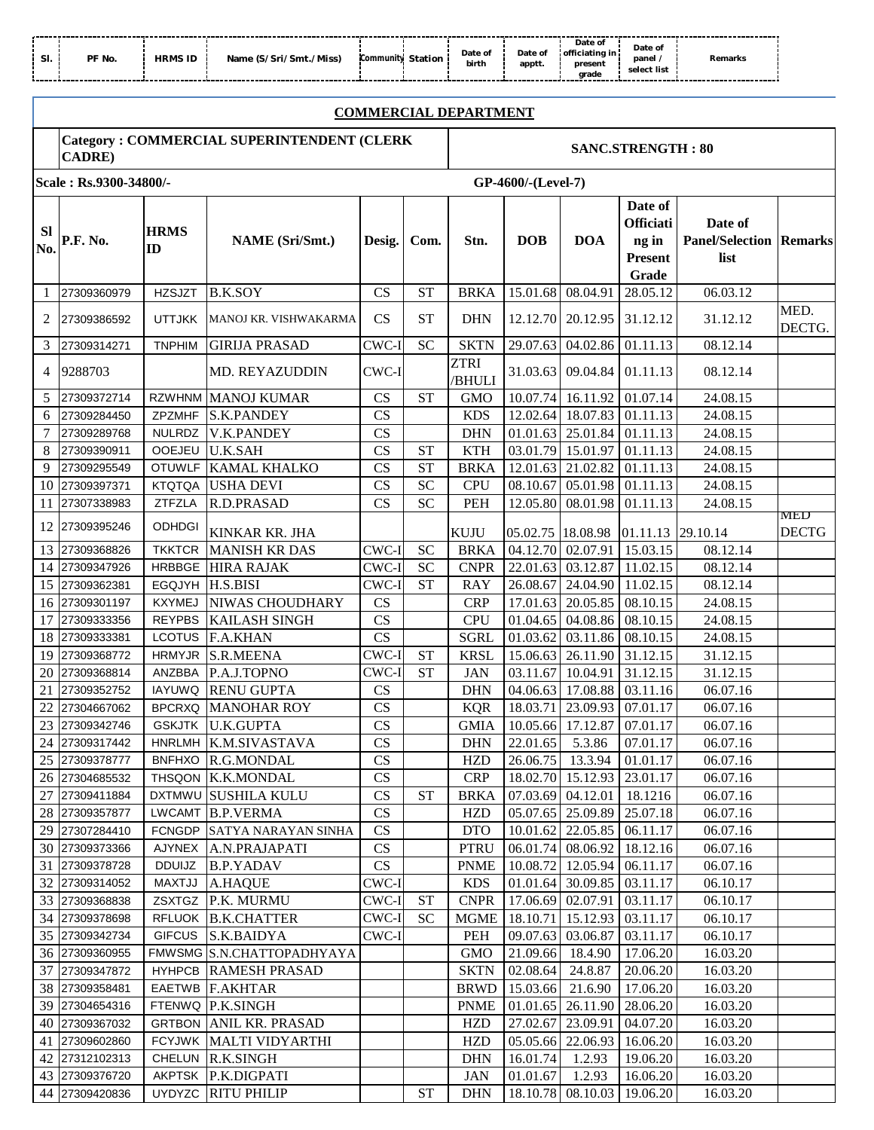| -31.<br>------- | PF No.<br>-------------------------------------- | HRMS ID | :/Sri/Smt./Miss)<br>Name<br>--------<br>-------- | Community<br>---------- | Station<br>------ | Date of<br>birth<br>-----<br>------- | Date of<br>apptt.<br>------<br>---------- | Date of<br>officiating in<br>present<br>arade<br>---------- | Date of<br>panel.<br>select list<br>-------- | Remarks<br>------<br>------------------- |  |
|-----------------|--------------------------------------------------|---------|--------------------------------------------------|-------------------------|-------------------|--------------------------------------|-------------------------------------------|-------------------------------------------------------------|----------------------------------------------|------------------------------------------|--|
|-----------------|--------------------------------------------------|---------|--------------------------------------------------|-------------------------|-------------------|--------------------------------------|-------------------------------------------|-------------------------------------------------------------|----------------------------------------------|------------------------------------------|--|

## **COMMERCIAL DEPARTMENT**

# **Category : COMMERCIAL SUPERINTENDENT (CLERK CADRE) SANC.STRENGTH : 80**

|                  | Scale: Rs.9300-34800/-           |                   |                                           |                |                        |                       | GP-4600/-(Level-7) |                                |                                                                 |                                                   |                     |
|------------------|----------------------------------|-------------------|-------------------------------------------|----------------|------------------------|-----------------------|--------------------|--------------------------------|-----------------------------------------------------------------|---------------------------------------------------|---------------------|
| <b>SI</b><br>No. | P.F. No.                         | <b>HRMS</b><br>ID | <b>NAME</b> (Sri/Smt.)                    | Desig.         | Com.                   | Stn.                  | <b>DOB</b>         | <b>DOA</b>                     | Date of<br><b>Officiati</b><br>ng in<br><b>Present</b><br>Grade | Date of<br><b>Panel/Selection Remarks</b><br>list |                     |
| -1               | 27309360979                      | <b>HZSJZT</b>     | <b>B.K.SOY</b>                            | CS             | <b>ST</b>              | <b>BRKA</b>           | 15.01.68           | 08.04.91                       | 28.05.12                                                        | 06.03.12                                          |                     |
| 2                | 27309386592                      | <b>UTTJKK</b>     | MANOJ KR. VISHWAKARMA                     | <b>CS</b>      | <b>ST</b>              | <b>DHN</b>            |                    | 12.12.70 20.12.95              | 31.12.12                                                        | 31.12.12                                          | MED.<br>DECTG.      |
| 3                | 27309314271                      | <b>TNPHIM</b>     | <b>GIRIJA PRASAD</b>                      | CWC-I          | <b>SC</b>              | <b>SKTN</b>           |                    | 29.07.63 04.02.86              | 01.11.13                                                        | 08.12.14                                          |                     |
| 4                | 9288703                          |                   | MD. REYAZUDDIN                            | CWC-I          |                        | <b>ZTRI</b><br>/BHULI |                    | 31.03.63 09.04.84              | 01.11.13                                                        | 08.12.14                                          |                     |
| 5                | 27309372714                      |                   | RZWHNM MANOJ KUMAR                        | CS             | <b>ST</b>              | <b>GMO</b>            |                    | 10.07.74 16.11.92              | 01.07.14                                                        | 24.08.15                                          |                     |
| 6                | 27309284450                      |                   | ZPZMHF S.K.PANDEY                         | CS             |                        | <b>KDS</b>            |                    | 12.02.64 18.07.83              | 01.11.13                                                        | 24.08.15                                          |                     |
| 7                | 27309289768                      |                   | NULRDZ V.K.PANDEY                         | CS             |                        | <b>DHN</b>            |                    | 01.01.63 25.01.84              | 01.11.13                                                        | 24.08.15                                          |                     |
| 8                | 27309390911                      | OOEJEU            | <b>U.K.SAH</b>                            | CS             | <b>ST</b>              | <b>KTH</b>            |                    | 03.01.79 15.01.97              | 01.11.13                                                        | 24.08.15                                          |                     |
| 9                | 27309295549                      |                   | OTUWLF KAMAL KHALKO                       | CS             | <b>ST</b>              | <b>BRKA</b>           |                    | 12.01.63 21.02.82              | 01.11.13                                                        | 24.08.15                                          |                     |
| 10               | 27309397371                      | <b>KTQTQA</b>     | <b>USHA DEVI</b>                          | CS             | <b>SC</b>              | <b>CPU</b>            | 08.10.67           | 05.01.98                       | 01.11.13                                                        | 24.08.15                                          |                     |
| 11               | 27307338983                      | ZTFZLA            | R.D.PRASAD                                | CS             | <b>SC</b>              | PEH                   | 12.05.80           | 08.01.98                       | 01.11.13                                                        | 24.08.15                                          |                     |
|                  | 12 27309395246                   | <b>ODHDGI</b>     | KINKAR KR. JHA                            |                |                        | <b>KUJU</b>           | 05.02.75 18.08.98  |                                | 01.11.13 29.10.14                                               |                                                   | MED<br><b>DECTG</b> |
|                  | 13 27309368826                   | <b>TKKTCR</b>     | <b>MANISH KR DAS</b>                      | CWC-I          | <b>SC</b>              | <b>BRKA</b>           |                    | 04.12.70 02.07.91              | 15.03.15                                                        | 08.12.14                                          |                     |
|                  | 14 27309347926                   |                   | HRBBGE HIRA RAJAK                         | CWC-I          | <b>SC</b>              | <b>CNPR</b>           |                    | 22.01.63 03.12.87              | 11.02.15                                                        | 08.12.14                                          |                     |
|                  | 15 27309362381                   |                   | EGQJYH H.S.BISI                           | CWC-I          | <b>ST</b>              | RAY                   |                    | 26.08.67 24.04.90              | 11.02.15                                                        | 08.12.14                                          |                     |
| 16               | 27309301197                      | <b>KXYMEJ</b>     | NIWAS CHOUDHARY                           | CS             |                        | <b>CRP</b>            |                    | 17.01.63 20.05.85              | 08.10.15                                                        | 24.08.15                                          |                     |
| 17               | 27309333356                      | <b>REYPBS</b>     | <b>KAILASH SINGH</b>                      | CS             |                        | <b>CPU</b>            |                    | 01.04.65 04.08.86              | 08.10.15                                                        | 24.08.15                                          |                     |
|                  | 18 27309333381                   | <b>LCOTUS</b>     | F.A.KHAN                                  | CS             |                        | <b>SGRL</b>           |                    | 01.03.62 03.11.86              | 08.10.15                                                        | 24.08.15                                          |                     |
| 19               | 27309368772                      |                   | HRMYJR S.R.MEENA                          | CWC-I          | <b>ST</b>              | <b>KRSL</b>           |                    | 15.06.63 26.11.90              | 31.12.15                                                        | 31.12.15                                          |                     |
| 20               | 27309368814                      | ANZBBA            | P.A.J.TOPNO                               | CWC-I          | <b>ST</b>              | <b>JAN</b>            | 03.11.67 10.04.91  |                                | 31.12.15                                                        | 31.12.15                                          |                     |
| 21               | 27309352752                      |                   | IAYUWQ RENU GUPTA                         | CS             |                        | <b>DHN</b>            |                    | 04.06.63 17.08.88              | 03.11.16                                                        | 06.07.16                                          |                     |
| 22               | 27304667062                      | <b>BPCRXQ</b>     | <b>MANOHAR ROY</b>                        | CS             |                        | <b>KQR</b>            | 18.03.71           | 23.09.93                       | 07.01.17                                                        | 06.07.16                                          |                     |
| 23               | 27309342746                      | <b>GSKJTK</b>     | <b>U.K.GUPTA</b>                          | CS             |                        | <b>GMIA</b>           |                    | 10.05.66 17.12.87              | 07.01.17                                                        | 06.07.16                                          |                     |
|                  | 24 27309317442                   |                   | HNRLMH K.M.SIVASTAVA                      | CS             |                        | <b>DHN</b>            | 22.01.65           | 5.3.86                         | 07.01.17                                                        | 06.07.16                                          |                     |
|                  | 25 27309378777                   |                   | BNFHXO R.G.MONDAL                         | CS             |                        | <b>HZD</b>            | 26.06.75           | 13.3.94                        | 01.01.17                                                        | 06.07.16                                          |                     |
|                  | 26 27304685532                   |                   | THSQON K.K.MONDAL                         | CS             |                        | <b>CRP</b>            |                    | 18.02.70 15.12.93              | 23.01.17                                                        | 06.07.16                                          |                     |
|                  | 27 27309411884                   |                   | DXTMWU SUSHILA KULU                       | CS             | <b>ST</b>              | <b>BRKA</b>           | 07.03.69 04.12.01  |                                | 18.1216                                                         | 06.07.16                                          |                     |
|                  | 28 27309357877                   |                   | LWCAMT B.P.VERMA                          | CS             |                        |                       |                    | HZD 05.07.65 25.09.89 25.07.18 |                                                                 | 06.07.16                                          |                     |
|                  | 29 27307284410                   |                   | FCNGDP SATYA NARAYAN SINHA                | CS             |                        | <b>DTO</b>            |                    | 10.01.62 22.05.85              | 06.11.17                                                        | 06.07.16                                          |                     |
|                  | 30 27309373366                   |                   | AJYNEX A.N.PRAJAPATI                      | CS             |                        | <b>PTRU</b>           |                    | 06.01.74 08.06.92              | 18.12.16                                                        | 06.07.16                                          |                     |
|                  | 31 27309378728                   |                   | DDUIJZ B.P.YADAV                          | CS             |                        | <b>PNME</b>           |                    | 10.08.72 12.05.94              | 06.11.17                                                        | 06.07.16                                          |                     |
|                  | 32 27309314052                   |                   | MAXTJJ A.HAQUE                            | CWC-I          |                        | <b>KDS</b>            |                    | 01.01.64 30.09.85              | 03.11.17                                                        | 06.10.17                                          |                     |
|                  | 33 27309368838                   |                   | ZSXTGZ   P.K. MURMU<br>RFLUOK B.K.CHATTER | CWC-I<br>CWC-I | <b>ST</b><br><b>SC</b> | <b>CNPR</b>           |                    | 17.06.69 02.07.91<br>15.12.93  | 03.11.17<br>03.11.17                                            | 06.10.17                                          |                     |
|                  | 34 27309378698<br>35 27309342734 |                   | GIFCUS S.K.BAIDYA                         | CWC-I          |                        | <b>MGME</b><br>PEH    | 18.10.71           | 09.07.63 03.06.87              | 03.11.17                                                        | 06.10.17<br>06.10.17                              |                     |
|                  | 36 27309360955                   |                   | FMWSMG S.N.CHATTOPADHYAYA                 |                |                        | <b>GMO</b>            | 21.09.66           | 18.4.90                        | 17.06.20                                                        | 16.03.20                                          |                     |
|                  | 37 27309347872                   |                   | HYHPCB RAMESH PRASAD                      |                |                        | <b>SKTN</b>           | 02.08.64           | 24.8.87                        | 20.06.20                                                        | 16.03.20                                          |                     |
|                  | 38 27309358481                   |                   | EAETWB F.AKHTAR                           |                |                        | <b>BRWD</b>           | 15.03.66           | 21.6.90                        | 17.06.20                                                        | 16.03.20                                          |                     |
|                  | 39 27304654316                   |                   | FTENWQ P.K.SINGH                          |                |                        | <b>PNME</b>           |                    | 01.01.65 26.11.90              | 28.06.20                                                        | 16.03.20                                          |                     |
|                  | 40 27309367032                   |                   | <b>GRTBON ANIL KR. PRASAD</b>             |                |                        | <b>HZD</b>            | 27.02.67 23.09.91  |                                | 04.07.20                                                        | 16.03.20                                          |                     |
|                  | 41 27309602860                   |                   | FCYJWK MALTI VIDYARTHI                    |                |                        | <b>HZD</b>            | 05.05.66 22.06.93  |                                | 16.06.20                                                        | 16.03.20                                          |                     |
|                  | 42 27312102313                   |                   | CHELUN R.K.SINGH                          |                |                        | <b>DHN</b>            | 16.01.74           | 1.2.93                         | 19.06.20                                                        | 16.03.20                                          |                     |
|                  | 43 27309376720                   |                   | AKPTSK P.K.DIGPATI                        |                |                        | <b>JAN</b>            | 01.01.67           | 1.2.93                         | 16.06.20                                                        | 16.03.20                                          |                     |
|                  | 44 27309420836                   |                   | UYDYZC RITU PHILIP                        |                | <b>ST</b>              | <b>DHN</b>            |                    | 18.10.78 08.10.03              | 19.06.20                                                        | 16.03.20                                          |                     |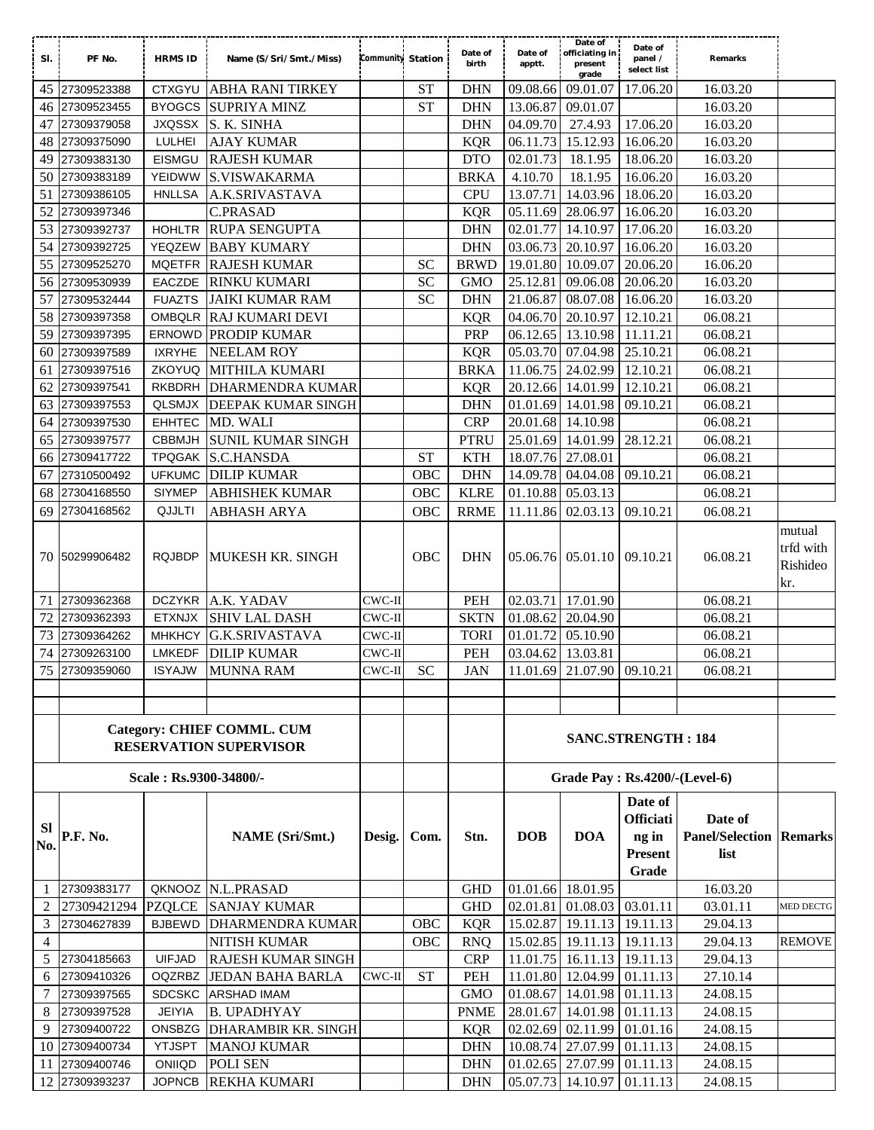| SI.              | PF No.         | <b>HRMS ID</b>         | Name (S/Sri/Smt./Miss)                                             | Community Station |            | Date of<br>birth | Date of<br>apptt. | Date of<br>officiating in<br>present<br>grade | Date of<br>panel /<br>select list                               | Remarks                                           |                                        |
|------------------|----------------|------------------------|--------------------------------------------------------------------|-------------------|------------|------------------|-------------------|-----------------------------------------------|-----------------------------------------------------------------|---------------------------------------------------|----------------------------------------|
| 45               | 27309523388    | <b>CTXGYU</b>          | <b>ABHA RANI TIRKEY</b>                                            |                   | <b>ST</b>  | <b>DHN</b>       | 09.08.66          | 09.01.07                                      | 17.06.20                                                        | 16.03.20                                          |                                        |
| 46               | 27309523455    | <b>BYOGCS</b>          | <b>SUPRIYA MINZ</b>                                                |                   | <b>ST</b>  | <b>DHN</b>       | 13.06.87          | 09.01.07                                      |                                                                 | 16.03.20                                          |                                        |
| 47               | 27309379058    | <b>JXQSSX</b>          | S. K. SINHA                                                        |                   |            | <b>DHN</b>       | 04.09.70          | 27.4.93                                       | 17.06.20                                                        | 16.03.20                                          |                                        |
| 48               | 27309375090    | <b>LULHEI</b>          | <b>AJAY KUMAR</b>                                                  |                   |            | <b>KQR</b>       | 06.11.73          | 15.12.93                                      | 16.06.20                                                        | 16.03.20                                          |                                        |
| 49               | 27309383130    | EISMGU                 | <b>RAJESH KUMAR</b>                                                |                   |            | <b>DTO</b>       | 02.01.73          | 18.1.95                                       | 18.06.20                                                        | 16.03.20                                          |                                        |
| 50               | 27309383189    | YEIDWW                 | <b>S.VISWAKARMA</b>                                                |                   |            | <b>BRKA</b>      | 4.10.70           | 18.1.95                                       | 16.06.20                                                        | 16.03.20                                          |                                        |
| 51               | 27309386105    | <b>HNLLSA</b>          | A.K.SRIVASTAVA                                                     |                   |            | <b>CPU</b>       | 13.07.71          | 14.03.96                                      | 18.06.20                                                        | 16.03.20                                          |                                        |
| 52               | 27309397346    |                        | <b>C.PRASAD</b>                                                    |                   |            | <b>KQR</b>       |                   | 05.11.69 28.06.97                             | 16.06.20                                                        | 16.03.20                                          |                                        |
| 53               | 27309392737    | <b>HOHLTR</b>          | <b>RUPA SENGUPTA</b>                                               |                   |            | <b>DHN</b>       | 02.01.77          | 14.10.97                                      | 17.06.20                                                        | 16.03.20                                          |                                        |
| 54               | 27309392725    | YEQZEW                 | <b>BABY KUMARY</b>                                                 |                   |            | <b>DHN</b>       | 03.06.73          | 20.10.97                                      | 16.06.20                                                        | 16.03.20                                          |                                        |
| 55               | 27309525270    | <b>MQETFR</b>          | <b>RAJESH KUMAR</b>                                                |                   | <b>SC</b>  | <b>BRWD</b>      | 19.01.80          | 10.09.07                                      | 20.06.20                                                        | 16.06.20                                          |                                        |
| 56               | 27309530939    | EACZDE                 | <b>RINKU KUMARI</b>                                                |                   | <b>SC</b>  | <b>GMO</b>       | 25.12.81          | 09.06.08                                      | 20.06.20                                                        | 16.03.20                                          |                                        |
| 57               | 27309532444    | <b>FUAZTS</b>          | <b>JAIKI KUMAR RAM</b>                                             |                   | <b>SC</b>  | <b>DHN</b>       |                   | 21.06.87 08.07.08                             | 16.06.20                                                        | 16.03.20                                          |                                        |
| 58               | 27309397358    |                        | OMBQLR RAJ KUMARI DEVI                                             |                   |            | <b>KQR</b>       |                   | 04.06.70 20.10.97                             | 12.10.21                                                        | 06.08.21                                          |                                        |
| 59               | 27309397395    |                        | <b>ERNOWD PRODIP KUMAR</b>                                         |                   |            | PRP              |                   | 06.12.65 13.10.98                             | 11.11.21                                                        | 06.08.21                                          |                                        |
| 60               | 27309397589    | <b>IXRYHE</b>          | <b>NEELAM ROY</b>                                                  |                   |            | <b>KQR</b>       |                   | 05.03.70 07.04.98                             | 25.10.21                                                        | 06.08.21                                          |                                        |
| 61               | 27309397516    | <b>ZKOYUQ</b>          | MITHILA KUMARI                                                     |                   |            | <b>BRKA</b>      |                   | 11.06.75 24.02.99                             | 12.10.21                                                        | 06.08.21                                          |                                        |
| 62               | 27309397541    | <b>RKBDRH</b>          | <b>DHARMENDRA KUMAR</b>                                            |                   |            | <b>KQR</b>       |                   | 20.12.66 14.01.99                             | 12.10.21                                                        | 06.08.21                                          |                                        |
| 63               | 27309397553    | QLSMJX                 | DEEPAK KUMAR SINGH                                                 |                   |            | <b>DHN</b>       |                   | 01.01.69 14.01.98                             | 09.10.21                                                        | 06.08.21                                          |                                        |
| 64               | 27309397530    | <b>EHHTEC</b>          | MD. WALI                                                           |                   |            | <b>CRP</b>       |                   | 20.01.68 14.10.98                             |                                                                 | 06.08.21                                          |                                        |
| 65               | 27309397577    | <b>CBBMJH</b>          | SUNIL KUMAR SINGH                                                  |                   |            | <b>PTRU</b>      |                   | 25.01.69 14.01.99                             | 28.12.21                                                        | 06.08.21                                          |                                        |
| 66               | 27309417722    | <b>TPQGAK</b>          | <b>S.C.HANSDA</b>                                                  |                   | <b>ST</b>  | <b>KTH</b>       |                   | 18.07.76 27.08.01                             |                                                                 | 06.08.21                                          |                                        |
| 67               | 27310500492    | <b>UFKUMC</b>          | <b>DILIP KUMAR</b>                                                 |                   | OBC        | <b>DHN</b>       |                   | 14.09.78 04.04.08                             | 09.10.21                                                        | 06.08.21                                          |                                        |
| 68               | 27304168550    | <b>SIYMEP</b>          | ABHISHEK KUMAR                                                     |                   | OBC        | <b>KLRE</b>      |                   | 01.10.88 05.03.13                             |                                                                 | 06.08.21                                          |                                        |
| 69               | 27304168562    | QJJLTI                 | <b>ABHASH ARYA</b>                                                 |                   | OBC        | <b>RRME</b>      | 11.11.86          | 02.03.13                                      | 09.10.21                                                        | 06.08.21                                          |                                        |
|                  | 70 50299906482 | <b>RQJBDP</b>          | MUKESH KR. SINGH                                                   |                   | <b>OBC</b> | <b>DHN</b>       |                   | 05.06.76 05.01.10                             | 09.10.21                                                        | 06.08.21                                          | mutual<br>trfd with<br>Rishideo<br>kr. |
| 71               | 27309362368    | <b>DCZYKR</b>          | A.K. YADAV                                                         | $CWC-II$          |            | PEH              |                   | 02.03.71 17.01.90                             |                                                                 | 06.08.21                                          |                                        |
| 72               | 27309362393    | <b>ETXNJX</b>          | <b>SHIV LAL DASH</b>                                               | $CWC-II$          |            | <b>SKTN</b>      | 01.08.62          | 20.04.90                                      |                                                                 | 06.08.21                                          |                                        |
| 73               | 27309364262    | <b>MHKHCY</b>          | <b>G.K.SRIVASTAVA</b>                                              | $CWC-II$          |            | <b>TORI</b>      | 01.01.72          | 05.10.90                                      |                                                                 | 06.08.21                                          |                                        |
| 74               | 27309263100    | <b>LMKEDF</b>          | <b>DILIP KUMAR</b>                                                 | $CWC-II$          |            | <b>PEH</b>       | 03.04.62          | 13.03.81                                      |                                                                 | 06.08.21                                          |                                        |
|                  | 75 27309359060 | <b>ISYAJW</b>          | <b>MUNNA RAM</b>                                                   | $CWC-H$           | <b>SC</b>  | <b>JAN</b>       |                   | 11.01.69 21.07.90 09.10.21                    |                                                                 | 06.08.21                                          |                                        |
|                  |                |                        |                                                                    |                   |            |                  |                   |                                               |                                                                 |                                                   |                                        |
|                  |                |                        |                                                                    |                   |            |                  |                   |                                               |                                                                 |                                                   |                                        |
|                  |                |                        | <b>Category: CHIEF COMML. CUM</b><br><b>RESERVATION SUPERVISOR</b> |                   |            |                  |                   |                                               | <b>SANC.STRENGTH: 184</b>                                       |                                                   |                                        |
|                  |                | Scale: Rs.9300-34800/- |                                                                    |                   |            |                  |                   | <b>Grade Pay : Rs.4200/-(Level-6)</b>         |                                                                 |                                                   |                                        |
| <b>SI</b><br>No. | P.F. No.       |                        | <b>NAME</b> (Sri/Smt.)                                             | Desig.            | Com.       | Stn.             | <b>DOB</b>        | <b>DOA</b>                                    | Date of<br><b>Officiati</b><br>ng in<br><b>Present</b><br>Grade | Date of<br><b>Panel/Selection Remarks</b><br>list |                                        |
| 1                | 27309383177    |                        | QKNOOZ N.L.PRASAD                                                  |                   |            | <b>GHD</b>       |                   | 01.01.66 18.01.95                             |                                                                 | 16.03.20                                          |                                        |
| 2                | 27309421294    | <b>PZQLCE</b>          | <b>SANJAY KUMAR</b>                                                |                   |            | <b>GHD</b>       | 02.01.81          | 01.08.03                                      | 03.01.11                                                        | 03.01.11                                          | MED DECTG                              |
| 3                | 27304627839    | <b>BJBEWD</b>          | <b>DHARMENDRA KUMAR</b>                                            |                   | OBC        | <b>KQR</b>       |                   | 15.02.87 19.11.13                             | 19.11.13                                                        | 29.04.13                                          |                                        |
| 4                |                |                        | NITISH KUMAR                                                       |                   | OBC        | <b>RNQ</b>       |                   | 15.02.85 19.11.13                             | 19.11.13                                                        | $\overline{29.04.13}$                             | <b>REMOVE</b>                          |
| 5                | 27304185663    | <b>UIFJAD</b>          | <b>RAJESH KUMAR SINGH</b>                                          |                   |            | <b>CRP</b>       |                   | 11.01.75 16.11.13                             | 19.11.13                                                        | 29.04.13                                          |                                        |
| 6                | 27309410326    |                        | OQZRBZ JEDAN BAHA BARLA                                            | CWC-II            | <b>ST</b>  | PEH              |                   | 11.01.80 12.04.99                             | 01.11.13                                                        | 27.10.14                                          |                                        |
| 7                | 27309397565    | <b>SDCSKC</b>          | <b>ARSHAD IMAM</b>                                                 |                   |            | <b>GMO</b>       |                   | 01.08.67 14.01.98                             | 01.11.13                                                        | 24.08.15                                          |                                        |
| 8                | 27309397528    | <b>JEIYIA</b>          | <b>B. UPADHYAY</b>                                                 |                   |            | <b>PNME</b>      |                   | 28.01.67 14.01.98                             | 01.11.13                                                        | 24.08.15                                          |                                        |
| 9                | 27309400722    | ONSBZG                 | <b>DHARAMBIR KR. SINGH</b>                                         |                   |            | <b>KQR</b>       |                   | 02.02.69 02.11.99                             | 01.01.16                                                        | 24.08.15                                          |                                        |
|                  | 10 27309400734 | <b>YTJSPT</b>          | <b>MANOJ KUMAR</b>                                                 |                   |            | <b>DHN</b>       |                   | 10.08.74 27.07.99                             | 01.11.13                                                        | 24.08.15                                          |                                        |
| 11               | 27309400746    | ONIIQD                 | POLI SEN                                                           |                   |            | <b>DHN</b>       |                   | 01.02.65 27.07.99 01.11.13                    |                                                                 | 24.08.15                                          |                                        |
|                  | 12 27309393237 | <b>JOPNCB</b>          | REKHA KUMARI                                                       |                   |            | <b>DHN</b>       |                   | 05.07.73 14.10.97                             | 01.11.13                                                        | 24.08.15                                          |                                        |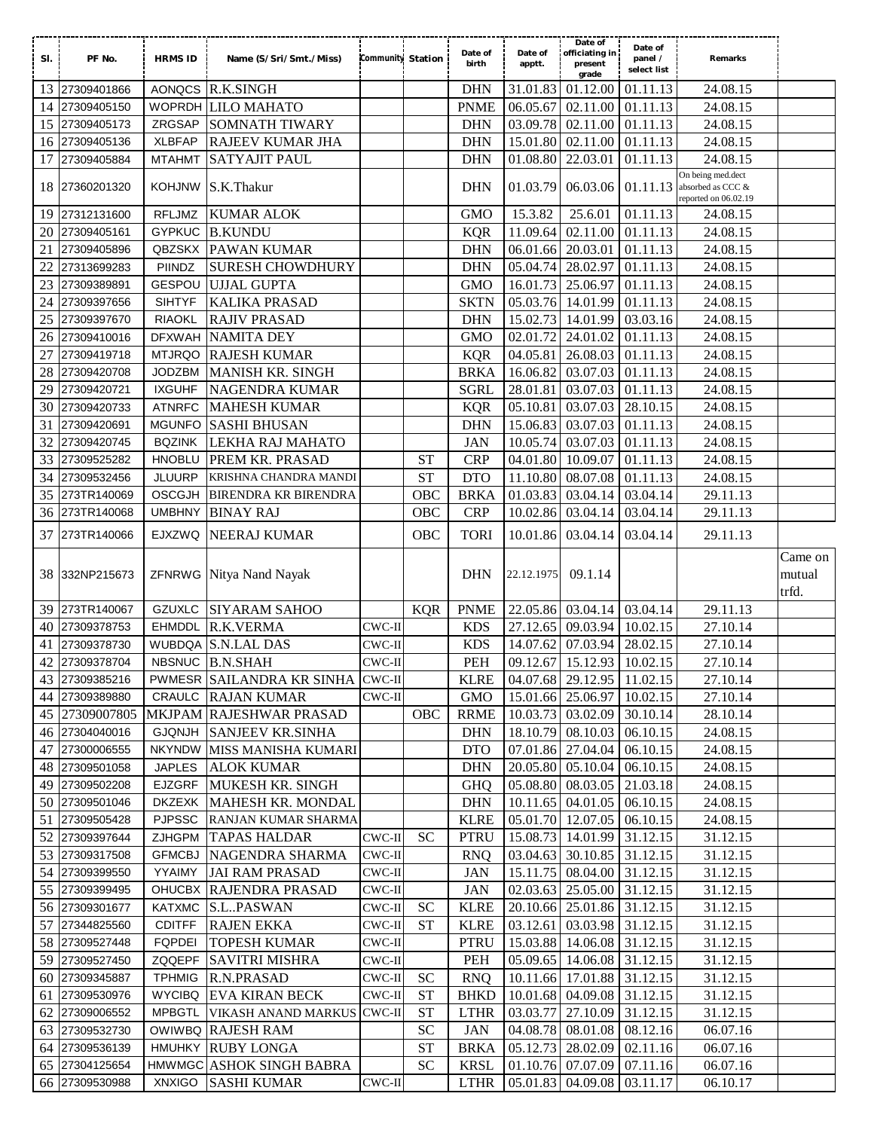| SI. | PF No.                           | <b>HRMS ID</b> | Name (S/Sri/Smt./Miss)                          | Community Station |                    | Date of<br>birth           | Date of<br>apptt. | Date of<br>officiating in<br>present<br>grade   | Date of<br>panel /<br>select list | Remarks                                |                 |
|-----|----------------------------------|----------------|-------------------------------------------------|-------------------|--------------------|----------------------------|-------------------|-------------------------------------------------|-----------------------------------|----------------------------------------|-----------------|
| 13  | 27309401866                      | <b>AONQCS</b>  | <b>R.K.SINGH</b>                                |                   |                    | <b>DHN</b>                 | 31.01.83          | 01.12.00                                        | 01.11.13                          | 24.08.15                               |                 |
| 14  | 27309405150                      |                | WOPRDH LILO MAHATO                              |                   |                    | <b>PNME</b>                | 06.05.67          | 02.11.00                                        | 01.11.13                          | 24.08.15                               |                 |
| 15  | 27309405173                      | ZRGSAP         | <b>SOMNATH TIWARY</b>                           |                   |                    | <b>DHN</b>                 | 03.09.78          | 02.11.00                                        | 01.11.13                          | 24.08.15                               |                 |
| 16  | 27309405136                      | <b>XLBFAP</b>  | RAJEEV KUMAR JHA                                |                   |                    | <b>DHN</b>                 | 15.01.80          | 02.11.00                                        | 01.11.13                          | 24.08.15                               |                 |
| 17  | 27309405884                      | <b>MTAHMT</b>  | <b>SATYAJIT PAUL</b>                            |                   |                    | <b>DHN</b>                 | 01.08.80          | 22.03.01                                        | 01.11.13                          | 24.08.15                               |                 |
|     | 18 27360201320                   | <b>KOHJNW</b>  | S.K.Thakur                                      |                   |                    | <b>DHN</b>                 | 01.03.79          | 06.03.06                                        | 01.11.13                          | On being med.dect<br>absorbed as CCC & |                 |
|     | 27312131600                      | <b>RFLJMZ</b>  |                                                 |                   |                    | <b>GMO</b>                 | 15.3.82           | 25.6.01                                         |                                   | reported on 06.02.19                   |                 |
| 19  |                                  |                | <b>KUMAR ALOK</b>                               |                   |                    |                            |                   |                                                 | 01.11.13                          | 24.08.15                               |                 |
| 20  | 27309405161                      | <b>GYPKUC</b>  | <b>B.KUNDU</b>                                  |                   |                    | <b>KQR</b>                 | 11.09.64          | 02.11.00                                        | 01.11.13                          | 24.08.15                               |                 |
| 21  | 27309405896                      | QBZSKX         | <b>PAWAN KUMAR</b>                              |                   |                    | <b>DHN</b>                 |                   | 06.01.66 20.03.01                               | $\overline{01.11.13}$             | 24.08.15                               |                 |
| 22  | 27313699283                      | PIINDZ         | <b>SURESH CHOWDHURY</b>                         |                   |                    | <b>DHN</b>                 | 05.04.74          | 28.02.97                                        | 01.11.13                          | 24.08.15                               |                 |
| 23  | 27309389891                      | GESPOU         | <b>UJJAL GUPTA</b>                              |                   |                    | <b>GMO</b>                 |                   | 16.01.73 25.06.97                               | 01.11.13                          | 24.08.15                               |                 |
| 24  | 27309397656                      | <b>SIHTYF</b>  | <b>KALIKA PRASAD</b>                            |                   |                    | <b>SKTN</b>                |                   | 05.03.76 14.01.99                               | 01.11.13                          | 24.08.15                               |                 |
| 25  | 27309397670                      | <b>RIAOKL</b>  | <b>RAJIV PRASAD</b>                             |                   |                    | <b>DHN</b>                 |                   | 15.02.73 14.01.99                               | 03.03.16                          | 24.08.15                               |                 |
| 26  | 27309410016                      | <b>DFXWAH</b>  | <b>NAMITA DEY</b>                               |                   |                    | <b>GMO</b>                 | 02.01.72          | 24.01.02                                        | 01.11.13                          | 24.08.15                               |                 |
| 27  | 27309419718                      | <b>MTJRQO</b>  | <b>RAJESH KUMAR</b>                             |                   |                    | <b>KQR</b>                 | 04.05.81          | 26.08.03                                        | 01.11.13                          | 24.08.15                               |                 |
| 28  | 27309420708                      | <b>JODZBM</b>  | <b>MANISH KR. SINGH</b>                         |                   |                    | <b>BRKA</b>                | 16.06.82          | 03.07.03                                        | 01.11.13                          | 24.08.15                               |                 |
| 29  | 27309420721                      | <b>IXGUHF</b>  | NAGENDRA KUMAR                                  |                   |                    | SGRL                       | 28.01.81          | 03.07.03                                        | 01.11.13                          | 24.08.15                               |                 |
| 30  | 27309420733                      | <b>ATNRFC</b>  | <b>MAHESH KUMAR</b>                             |                   |                    | <b>KQR</b>                 | 05.10.81          | 03.07.03                                        | 28.10.15                          | 24.08.15                               |                 |
| 31  | 27309420691                      | <b>MGUNFO</b>  | <b>SASHI BHUSAN</b>                             |                   |                    | <b>DHN</b>                 | 15.06.83          | 03.07.03                                        | 01.11.13                          | 24.08.15                               |                 |
| 32  | 27309420745                      | <b>BQZINK</b>  | LEKHA RAJ MAHATO                                |                   |                    | <b>JAN</b>                 | 10.05.74          | 03.07.03                                        | 01.11.13                          | 24.08.15                               |                 |
| 33  | 27309525282                      | <b>HNOBLU</b>  | PREM KR. PRASAD                                 |                   | <b>ST</b>          | <b>CRP</b>                 | 04.01.80          | 10.09.07                                        | 01.11.13                          | 24.08.15                               |                 |
| 34  | 27309532456                      | <b>JLUURP</b>  | KRISHNA CHANDRA MANDI                           |                   | <b>ST</b>          | <b>DTO</b>                 | 11.10.80          | 08.07.08                                        | 01.11.13                          | 24.08.15                               |                 |
| 35  | 273TR140069                      | <b>OSCGJH</b>  | <b>BIRENDRA KR BIRENDRA</b>                     |                   | OBC                | <b>BRKA</b>                | 01.03.83          | 03.04.14                                        | 03.04.14                          | 29.11.13                               |                 |
| 36  | 273TR140068                      | <b>UMBHNY</b>  | <b>BINAY RAJ</b>                                |                   | OBC                | <b>CRP</b>                 | 10.02.86          | 03.04.14                                        | 03.04.14                          | 29.11.13                               |                 |
| 37  | 273TR140066                      | <b>EJXZWQ</b>  | <b>NEERAJ KUMAR</b>                             |                   | OBC                | <b>TORI</b>                | 10.01.86          | 03.04.14                                        | 03.04.14                          | 29.11.13                               |                 |
|     |                                  |                |                                                 |                   |                    |                            |                   |                                                 |                                   |                                        |                 |
| 38  | 332NP215673                      |                | ZFNRWG Nitya Nand Nayak                         |                   |                    | <b>DHN</b>                 | 22.12.1975        | 09.1.14                                         |                                   |                                        | Came on         |
|     |                                  |                |                                                 |                   |                    |                            |                   |                                                 |                                   |                                        | mutual<br>trfd. |
| 39  | 273TR140067                      | <b>GZUXLC</b>  | <b>SIYARAM SAHOO</b>                            |                   | <b>KQR</b>         | <b>PNME</b>                |                   | 22.05.86 03.04.14                               | 03.04.14                          | 29.11.13                               |                 |
| 40  | 27309378753                      | <b>EHMDDL</b>  | R.K.VERMA                                       | $CWC-II$          |                    | <b>KDS</b>                 | 27.12.65          | 09.03.94                                        | 10.02.15                          | 27.10.14                               |                 |
| 41  | 27309378730                      |                | WUBDQA S.N.LAL DAS                              | $CWC-II$          |                    | <b>KDS</b>                 | 14.07.62          | 07.03.94                                        | 28.02.15                          | 27.10.14                               |                 |
| 42  | 27309378704                      |                | NBSNUC B.N.SHAH                                 | CWC-II            |                    | <b>PEH</b>                 |                   | 09.12.67 15.12.93 10.02.15                      |                                   | 27.10.14                               |                 |
|     | 43 27309385216                   |                |                                                 |                   |                    |                            |                   |                                                 |                                   |                                        |                 |
|     |                                  |                | PWMESR SAILANDRA KR SINHA CWC-II                | $CWC-II$          |                    | <b>KLRE</b><br>GMO         |                   | 04.07.68 29.12.95 11.02.15                      | 10.02.15                          | 27.10.14                               |                 |
|     | 44 27309389880                   |                | CRAULC RAJAN KUMAR                              |                   | <b>OBC</b>         |                            |                   | 15.01.66 25.06.97                               | 30.10.14                          | 27.10.14                               |                 |
|     | 45 27309007805                   |                | MKJPAM RAJESHWAR PRASAD                         |                   |                    | <b>RRME</b><br><b>DHN</b>  |                   | 10.03.73 03.02.09                               |                                   | 28.10.14                               |                 |
|     | 46 27304040016                   |                | GJQNJH SANJEEV KR.SINHA                         |                   |                    |                            |                   | 18.10.79 08.10.03                               | 06.10.15                          | 24.08.15                               |                 |
| 47  | 27300006555                      | <b>JAPLES</b>  | NKYNDW MISS MANISHA KUMARI<br><b>ALOK KUMAR</b> |                   |                    | <b>DTO</b><br><b>DHN</b>   |                   | 07.01.86 27.04.04                               | 06.10.15                          | 24.08.15<br>24.08.15                   |                 |
| 49  | 48 27309501058<br>27309502208    | EJZGRF         |                                                 |                   |                    |                            |                   | 20.05.80 05.10.04                               | 06.10.15                          |                                        |                 |
|     | 50 27309501046                   |                | MUKESH KR. SINGH                                |                   |                    | <b>GHQ</b>                 |                   | 05.08.80 08.03.05                               | 21.03.18                          | 24.08.15                               |                 |
|     | 27309505428                      |                | DKZEXK MAHESH KR. MONDAL                        |                   |                    | <b>DHN</b><br><b>KLRE</b>  |                   | 10.11.65 04.01.05<br>05.01.70 12.07.05          | 06.10.15                          | 24.08.15<br>24.08.15                   |                 |
| 51  |                                  |                | PJPSSC RANJAN KUMAR SHARMA                      |                   |                    |                            |                   |                                                 | 06.10.15                          |                                        |                 |
|     | 52 27309397644                   |                | ZJHGPM TAPAS HALDAR                             | $CWC-H$           | <b>SC</b>          | <b>PTRU</b>                |                   | 15.08.73 14.01.99                               | 31.12.15                          | 31.12.15                               |                 |
|     | 53 27309317508                   | <b>GFMCBJ</b>  | NAGENDRA SHARMA                                 | $CWC-II$          |                    | <b>RNQ</b>                 |                   | 03.04.63 30.10.85                               | 31.12.15                          | 31.12.15                               |                 |
|     | 54 27309399550                   | YYAIMY         | <b>JAI RAM PRASAD</b>                           | $CWC$ -II         |                    | JAN                        |                   | 15.11.75 08.04.00                               | 31.12.15                          | 31.12.15                               |                 |
|     | 55 27309399495                   |                | OHUCBX RAJENDRA PRASAD                          | $CWC-II$          |                    | JAN                        |                   | 02.03.63 25.05.00                               | 31.12.15                          | 31.12.15                               |                 |
|     | 56 27309301677                   |                | KATXMC S.L.PASWAN                               | $CWC-II$          | <b>SC</b>          | <b>KLRE</b>                |                   | 20.10.66 25.01.86                               | 31.12.15                          | 31.12.15                               |                 |
| 57  | 27344825560                      | <b>CDITFF</b>  | <b>RAJEN EKKA</b>                               | $CWC-II$          | <b>ST</b>          | <b>KLRE</b>                |                   | 03.12.61 03.03.98                               | 31.12.15                          | 31.12.15                               |                 |
|     | 58 27309527448                   | FQPDEI         | <b>TOPESH KUMAR</b>                             | $CWC-H$           |                    | <b>PTRU</b>                |                   | 15.03.88 14.06.08                               | 31.12.15                          | 31.12.15                               |                 |
|     | 59 27309527450                   |                | ZQQEPF SAVITRI MISHRA                           | $CWC-II$          |                    | PEH                        |                   | 05.09.65 14.06.08                               | 31.12.15                          | 31.12.15                               |                 |
|     | 60 27309345887                   | TPHMIG         | R.N.PRASAD                                      | $CWC-II$          | <b>SC</b>          | <b>RNQ</b>                 |                   | 10.11.66 17.01.88 31.12.15                      |                                   | 31.12.15                               |                 |
| 61  | 27309530976                      | <b>WYCIBQ</b>  | <b>EVA KIRAN BECK</b>                           | CWC-II            | <b>ST</b>          | <b>BHKD</b>                |                   | 10.01.68 04.09.08                               | 31.12.15                          | 31.12.15                               |                 |
|     | 62 27309006552                   | <b>MPBGTL</b>  | <b>VIKASH ANAND MARKUS</b>                      | CWC-II            | ${\cal S}{\cal T}$ | <b>LTHR</b>                |                   | 03.03.77 27.10.09                               | 31.12.15                          | 31.12.15                               |                 |
|     | 63 27309532730                   |                | OWIWBQ RAJESH RAM                               |                   | <b>SC</b>          | <b>JAN</b>                 |                   | 04.08.78 08.01.08                               | 08.12.16                          | 06.07.16                               |                 |
|     | 64 27309536139                   |                | HMUHKY RUBY LONGA                               |                   | <b>ST</b>          | <b>BRKA</b>                |                   | 05.12.73 28.02.09                               | 02.11.16                          | 06.07.16                               |                 |
|     | 65 27304125654<br>66 27309530988 | XNXIGO         | HMWMGC ASHOK SINGH BABRA<br><b>SASHI KUMAR</b>  | $CWC-II$          | <b>SC</b>          | <b>KRSL</b><br><b>LTHR</b> |                   | 01.10.76 07.07.09<br>05.01.83 04.09.08 03.11.17 | 07.11.16                          | 06.07.16<br>06.10.17                   |                 |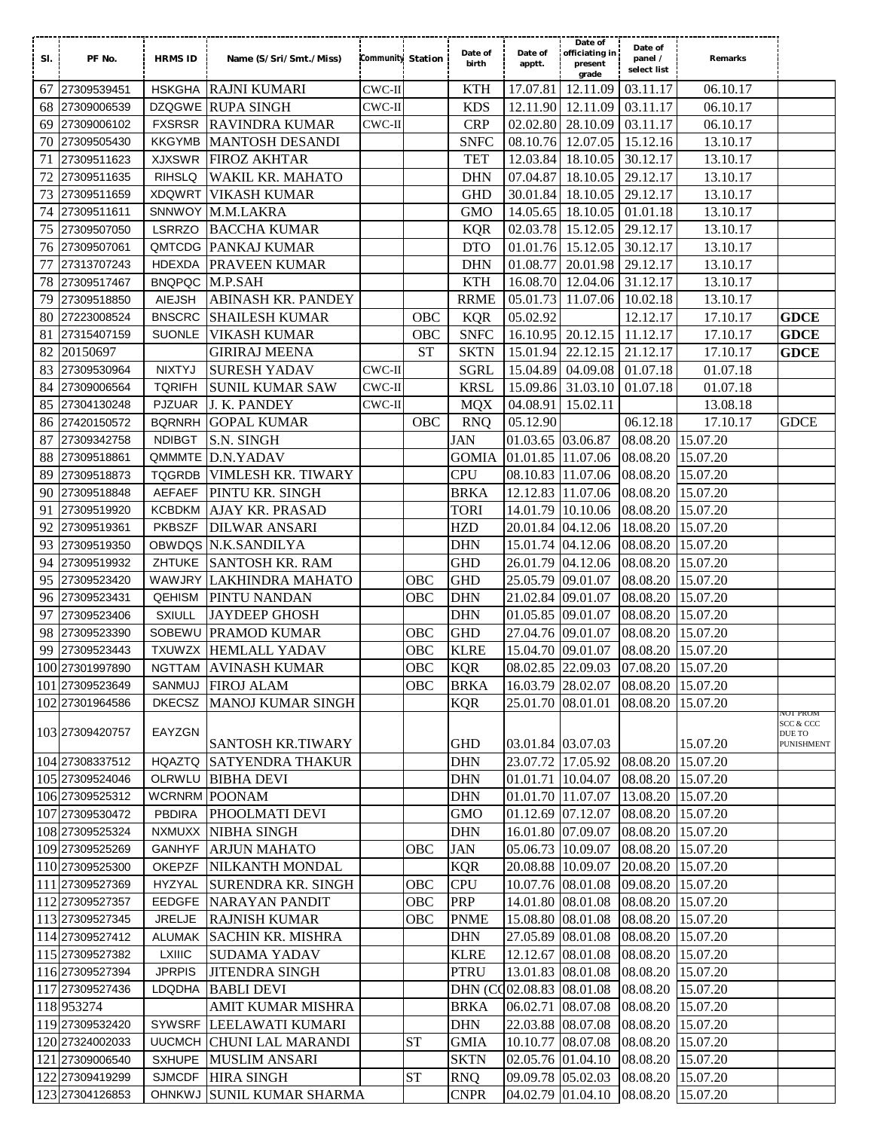|     |                                  |                |                                                     |                          |            |                          |                      | Date of                                         |                      |                      |                                          |  |
|-----|----------------------------------|----------------|-----------------------------------------------------|--------------------------|------------|--------------------------|----------------------|-------------------------------------------------|----------------------|----------------------|------------------------------------------|--|
| SI. | PF No.                           | <b>HRMS ID</b> | Name (S/Sri/Smt./Miss)                              | <b>Community Station</b> |            | Date of                  | Date of              | officiating in                                  | Date of<br>panel /   | Remarks              |                                          |  |
|     |                                  |                |                                                     |                          |            | birth                    | apptt.               | present<br>grade                                | select list          |                      |                                          |  |
|     | 67 27309539451                   |                | HSKGHA RAJNI KUMARI                                 | $CWC-II$                 |            | <b>KTH</b>               | 17.07.81             | 12.11.09                                        | 03.11.17             | 06.10.17             |                                          |  |
|     | 68 27309006539                   |                | DZQGWE RUPA SINGH                                   | $CWC-H$                  |            | <b>KDS</b>               |                      | 12.11.90 12.11.09                               | 03.11.17             | 06.10.17             |                                          |  |
|     | 69 27309006102                   |                | <b>FXSRSR RAVINDRA KUMAR</b>                        | CWC-II                   |            | <b>CRP</b>               |                      | 02.02.80 28.10.09                               | 03.11.17             | 06.10.17             |                                          |  |
|     | 70 27309505430                   | <b>KKGYMB</b>  | <b>MANTOSH DESANDI</b>                              |                          |            | <b>SNFC</b>              |                      | 08.10.76 12.07.05 15.12.16                      |                      | 13.10.17             |                                          |  |
|     | 71 27309511623                   | <b>XJXSWR</b>  | <b>FIROZ AKHTAR</b>                                 |                          |            | <b>TET</b>               |                      | 12.03.84 18.10.05 30.12.17                      |                      | 13.10.17             |                                          |  |
|     | 72 27309511635                   | <b>RIHSLQ</b>  | <b>WAKIL KR. MAHATO</b>                             |                          |            | <b>DHN</b>               | 07.04.87             | 18.10.05 29.12.17                               |                      | 13.10.17             |                                          |  |
|     | 73 27309511659                   | <b>XDQWRT</b>  | <b>VIKASH KUMAR</b>                                 |                          |            | <b>GHD</b>               |                      | 30.01.84 18.10.05 29.12.17                      |                      | 13.10.17             |                                          |  |
|     | 74 27309511611                   |                | SNNWOY M.M.LAKRA                                    |                          |            | <b>GMO</b>               |                      | 14.05.65 18.10.05 01.01.18                      |                      | 13.10.17             |                                          |  |
|     | 75 27309507050                   | LSRRZO         | <b>BACCHA KUMAR</b>                                 |                          |            | <b>KQR</b>               |                      | 02.03.78 15.12.05 29.12.17                      |                      | 13.10.17             |                                          |  |
|     | 76 27309507061                   |                | <b>QMTCDG PANKAJ KUMAR</b>                          |                          |            | <b>DTO</b>               |                      | 01.01.76 15.12.05 30.12.17                      |                      | 13.10.17             |                                          |  |
|     | 77 27313707243                   |                | HDEXDA PRAVEEN KUMAR                                |                          |            | <b>DHN</b>               | 01.08.77             | 20.01.98   29.12.17                             |                      | 13.10.17             |                                          |  |
|     | 78 27309517467                   |                | BNQPQC M.P.SAH                                      |                          |            | <b>KTH</b>               |                      | 16.08.70 12.04.06 31.12.17                      |                      | 13.10.17             |                                          |  |
|     | 79 27309518850                   | AIEJSH         | <b>ABINASH KR. PANDEY</b>                           |                          |            | <b>RRME</b>              |                      | 05.01.73 11.07.06 10.02.18                      |                      | 13.10.17             |                                          |  |
|     | 80 27223008524                   | <b>BNSCRC</b>  | <b>SHAILESH KUMAR</b>                               |                          | OBC        | <b>KQR</b>               | 05.02.92             |                                                 | 12.12.17             | 17.10.17             | <b>GDCE</b>                              |  |
|     | 81 27315407159                   | <b>SUONLE</b>  | <b>VIKASH KUMAR</b>                                 |                          | <b>OBC</b> | <b>SNFC</b>              |                      | 16.10.95 20.12.15 11.12.17                      |                      | 17.10.17             | <b>GDCE</b>                              |  |
|     | 82 20150697                      |                | <b>GIRIRAJ MEENA</b>                                |                          | <b>ST</b>  | <b>SKTN</b>              | 15.01.94             | $22.12.15$ 21.12.17                             |                      | 17.10.17             | <b>GDCE</b>                              |  |
|     | 83 27309530964                   | <b>NIXTYJ</b>  | <b>SURESH YADAV</b>                                 | $CWC-II$                 |            | <b>SGRL</b>              |                      | 15.04.89 04.09.08 01.07.18                      |                      | 01.07.18             |                                          |  |
|     | 84 27309006564                   | <b>TQRIFH</b>  | <b>SUNIL KUMAR SAW</b>                              | $CWC-II$                 |            | <b>KRSL</b>              |                      | 15.09.86 31.03.10 01.07.18                      |                      | 01.07.18             |                                          |  |
|     | 85 27304130248                   | <b>PJZUAR</b>  | J. K. PANDEY                                        | $CWC-H$                  |            | <b>MQX</b>               | 04.08.91             | 15.02.11                                        |                      | 13.08.18             |                                          |  |
|     | 86 27420150572                   |                | BORNRH GOPAL KUMAR                                  |                          | OBC        | <b>RNQ</b>               | 05.12.90             |                                                 | 06.12.18             | 17.10.17             | <b>GDCE</b>                              |  |
|     | 87 27309342758                   | <b>NDIBGT</b>  | S.N. SINGH                                          |                          |            | <b>JAN</b>               | 01.03.65 03.06.87    |                                                 | 08.08.20 15.07.20    |                      |                                          |  |
|     | 88 27309518861                   |                | QMMMTE D.N.YADAV                                    |                          |            | <b>GOMIA</b>             | 01.01.85 11.07.06    |                                                 | 08.08.20             | 15.07.20             |                                          |  |
|     | 89 27309518873                   | TQGRDB         | <b>VIMLESH KR. TIWARY</b>                           |                          |            | <b>CPU</b>               | 08.10.83 11.07.06    |                                                 | 08.08.20             | 15.07.20             |                                          |  |
|     | 90 27309518848                   | AEFAEF         | PINTU KR. SINGH                                     |                          |            | <b>BRKA</b>              | 12.12.83 11.07.06    |                                                 | 08.08.20             | 15.07.20             |                                          |  |
| 91  | 27309519920                      | KCBDKM         | <b>AJAY KR. PRASAD</b>                              |                          |            | <b>TORI</b>              | 14.01.79             | 10.10.06 08.08.20                               |                      | 15.07.20             |                                          |  |
|     | 92 27309519361                   | <b>PKBSZF</b>  | <b>DILWAR ANSARI</b>                                |                          |            | <b>HZD</b>               | 20.01.84 04.12.06    |                                                 | 18.08.20             | 15.07.20             |                                          |  |
|     |                                  |                |                                                     |                          |            |                          |                      |                                                 |                      |                      |                                          |  |
|     | 93 27309519350<br>94 27309519932 | <b>ZHTUKE</b>  | OBWDQS N.K.SANDILYA<br><b>SANTOSH KR. RAM</b>       |                          |            | <b>DHN</b><br><b>GHD</b> | 15.01.74             | 04.12.06<br>04.12.06                            | 08.08.20<br>08.08.20 | 15.07.20<br>15.07.20 |                                          |  |
|     | 95 27309523420                   |                | WAWJRY LAKHINDRA MAHATO                             |                          | OBC        | <b>GHD</b>               | 26.01.79<br>25.05.79 | 09.01.07                                        | 08.08.20             | 15.07.20             |                                          |  |
|     |                                  |                | PINTU NANDAN                                        |                          |            |                          |                      | 09.01.07                                        | 08.08.20             |                      |                                          |  |
|     | 96 27309523431                   | <b>QEHISM</b>  |                                                     |                          | OBC        | <b>DHN</b>               | 21.02.84             |                                                 |                      | 15.07.20<br>15.07.20 |                                          |  |
|     | 97 27309523406                   | <b>SXIULL</b>  | <b>JAYDEEP GHOSH</b>                                |                          |            | <b>DHN</b>               | 01.05.85             | 09.01.07                                        | 08.08.20             |                      |                                          |  |
|     | 98 27309523390<br>99 27309523443 |                | SOBEWU PRAMOD KUMAR                                 |                          | OBC        | <b>GHD</b>               | 27.04.76 09.01.07    |                                                 | 08.08.20             | 15.07.20<br>15.07.20 |                                          |  |
|     | 100 27301997890                  |                | <b>TXUWZX HEMLALL YADAV</b><br>NGTTAM AVINASH KUMAR |                          | OBC        | <b>KLRE</b>              | 15.04.70             | 09.01.07<br>08.02.85 22.09.03 07.08.20 15.07.20 | 08.08.20             |                      |                                          |  |
|     | 101 27309523649                  |                |                                                     |                          | OBC        | <b>KQR</b>               |                      |                                                 |                      |                      |                                          |  |
|     | 102 27301964586                  |                | SANMUJ FIROJ ALAM                                   |                          | OBC        | <b>BRKA</b>              |                      | 16.03.79 28.02.07 08.08.20 15.07.20             |                      |                      |                                          |  |
|     |                                  |                | DKECSZ MANOJ KUMAR SINGH                            |                          |            | <b>KOR</b>               |                      | 25.01.70 08.01.01 08.08.20 15.07.20             |                      |                      | IUI PRUM                                 |  |
|     | 103 27309420757                  | EAYZGN         | <b>SANTOSH KR.TIWARY</b>                            |                          |            | <b>GHD</b>               | 03.01.84 03.07.03    |                                                 |                      | 15.07.20             | SCC & CCC<br>DUE TO<br><b>PUNISHMENT</b> |  |
|     | 104 27308337512                  |                | HQAZTQ SATYENDRA THAKUR                             |                          |            | <b>DHN</b>               |                      | 23.07.72 17.05.92 08.08.20                      |                      | 15.07.20             |                                          |  |
|     | 105 27309524046                  |                | OLRWLU BIBHA DEVI                                   |                          |            | <b>DHN</b>               |                      | 01.01.71 10.04.07 08.08.20 15.07.20             |                      |                      |                                          |  |
|     | 106 27309525312                  |                | WCRNRM POONAM                                       |                          |            | <b>DHN</b>               |                      | 01.01.70 11.07.07 13.08.20 15.07.20             |                      |                      |                                          |  |
|     | 107 27309530472                  | PBDIRA         | PHOOLMATI DEVI                                      |                          |            | <b>GMO</b>               |                      | 01.12.69 07.12.07 08.08.20 15.07.20             |                      |                      |                                          |  |
|     | 108 27309525324                  |                | NXMUXX NIBHA SINGH                                  |                          |            | <b>DHN</b>               |                      | 16.01.80 07.09.07 08.08.20 15.07.20             |                      |                      |                                          |  |
|     | 109 27309525269                  | GANHYF         | <b>ARJUN MAHATO</b>                                 |                          | <b>OBC</b> | <b>JAN</b>               |                      | 05.06.73 10.09.07 08.08.20 15.07.20             |                      |                      |                                          |  |
|     | 110 27309525300                  | OKEPZF         | NILKANTH MONDAL                                     |                          |            | <b>KQR</b>               |                      | 20.08.88 10.09.07 20.08.20 15.07.20             |                      |                      |                                          |  |
|     | 111 27309527369                  | HYZYAL         | <b>SURENDRA KR. SINGH</b>                           |                          | OBC        | <b>CPU</b>               | 10.07.76 08.01.08    |                                                 | 09.08.20 15.07.20    |                      |                                          |  |
|     | 112 27309527357                  | EEDGFE         | <b>NARAYAN PANDIT</b>                               |                          | OBC        | <b>PRP</b>               |                      | 14.01.80 08.01.08 08.08.20 15.07.20             |                      |                      |                                          |  |
|     | 113 27309527345                  | <b>JRELJE</b>  | <b>RAJNISH KUMAR</b>                                |                          | OBC        | <b>PNME</b>              |                      | 15.08.80 08.01.08 08.08.20 15.07.20             |                      |                      |                                          |  |
|     | 114 27309527412                  | ALUMAK         | <b>SACHIN KR. MISHRA</b>                            |                          |            | <b>DHN</b>               |                      | 27.05.89 08.01.08 08.08.20 15.07.20             |                      |                      |                                          |  |
|     | 115 27309527382                  | <b>LXIIIC</b>  | <b>SUDAMA YADAV</b>                                 |                          |            | <b>KLRE</b>              |                      | 12.12.67 08.01.08 08.08.20 15.07.20             |                      |                      |                                          |  |
|     | 116 27309527394                  | <b>JPRPIS</b>  | <b>JITENDRA SINGH</b>                               |                          |            | <b>PTRU</b>              |                      | 13.01.83 08.01.08 08.08.20 15.07.20             |                      |                      |                                          |  |
|     | 117 27309527436                  | LDQDHA         | <b>BABLI DEVI</b>                                   |                          |            |                          |                      | DHN (CO02.08.83 08.01.08 08.08.20 15.07.20      |                      |                      |                                          |  |
|     | 118 953274                       |                | AMIT KUMAR MISHRA                                   |                          |            | <b>BRKA</b>              | 06.02.71             | 08.07.08                                        | 08.08.20 15.07.20    |                      |                                          |  |
|     | 119 27309532420                  |                | SYWSRF LEELAWATI KUMARI                             |                          |            | <b>DHN</b>               | 22.03.88 08.07.08    |                                                 | 08.08.20 15.07.20    |                      |                                          |  |
|     | 120 27324002033                  |                | UUCMCH CHUNI LAL MARANDI                            |                          | <b>ST</b>  | <b>GMIA</b>              | 10.10.77 08.07.08    |                                                 | 08.08.20 15.07.20    |                      |                                          |  |
|     | 121 27309006540                  |                | SXHUPE MUSLIM ANSARI                                |                          |            | <b>SKTN</b>              | 02.05.76 01.04.10    |                                                 | 08.08.20 15.07.20    |                      |                                          |  |
|     | 122 27309419299                  |                | SJMCDF HIRA SINGH                                   |                          | <b>ST</b>  | <b>RNQ</b>               |                      | 09.09.78 05.02.03 08.08.20 15.07.20             |                      |                      |                                          |  |
|     | 123 27304126853                  |                | OHNKWJ SUNIL KUMAR SHARMA                           |                          |            | <b>CNPR</b>              |                      | 04.02.79 01.04.10 08.08.20 15.07.20             |                      |                      |                                          |  |
|     |                                  |                |                                                     |                          |            |                          |                      |                                                 |                      |                      |                                          |  |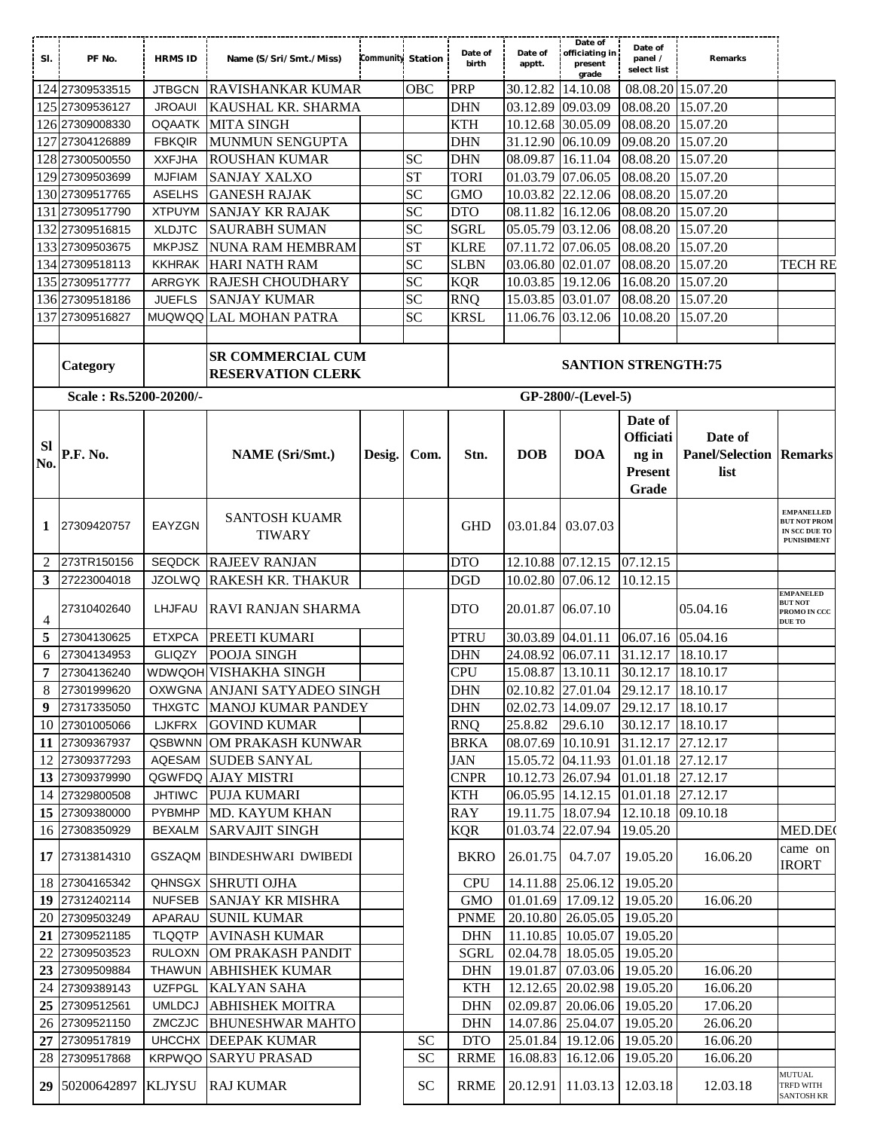| SI.             | PF No.                             | <b>HRMS ID</b> | Name (S/Sri/Smt./Miss)                               | Community Station |                        | Date of<br>birth          | Date of<br>apptt. | Date of<br>officiating in<br>present<br>grade    | Date of<br>panel /<br>select list | Remarks                                |                                                                                |
|-----------------|------------------------------------|----------------|------------------------------------------------------|-------------------|------------------------|---------------------------|-------------------|--------------------------------------------------|-----------------------------------|----------------------------------------|--------------------------------------------------------------------------------|
|                 | 124 27309533515                    | <b>JTBGCN</b>  | <b>RAVISHANKAR KUMAR</b>                             |                   | OBC                    | PRP                       | 30.12.82          | 14.10.08                                         | 08.08.20 15.07.20                 |                                        |                                                                                |
|                 | 125 27309536127                    | <b>JROAUI</b>  | KAUSHAL KR. SHARMA                                   |                   |                        | <b>DHN</b>                | 03.12.89          | 09.03.09                                         | 08.08.20                          | 15.07.20                               |                                                                                |
|                 | 126 27309008330                    | <b>OQAATK</b>  | <b>MITA SINGH</b>                                    |                   |                        | <b>KTH</b>                | 10.12.68 30.05.09 |                                                  | 08.08.20                          | 15.07.20                               |                                                                                |
|                 | 127 27304126889                    | <b>FBKQIR</b>  | MUNMUN SENGUPTA                                      |                   |                        | <b>DHN</b>                | 31.12.90          | 06.10.09                                         | 09.08.20                          | 15.07.20                               |                                                                                |
|                 | 128 27300500550                    | <b>XXFJHA</b>  | <b>ROUSHAN KUMAR</b>                                 |                   | <b>SC</b>              | <b>DHN</b>                | 08.09.87          | 16.11.04                                         | 08.08.20                          | 15.07.20                               |                                                                                |
|                 | 129 27309503699                    | <b>MJFIAM</b>  | <b>SANJAY XALXO</b>                                  |                   | <b>ST</b>              | <b>TORI</b>               | 01.03.79          | 07.06.05                                         | 08.08.20                          | 15.07.20                               |                                                                                |
|                 | 130 27309517765                    | <b>ASELHS</b>  | <b>GANESH RAJAK</b>                                  |                   | SC                     | <b>GMO</b>                | 10.03.82 22.12.06 |                                                  | 08.08.20                          | 15.07.20                               |                                                                                |
|                 | 131 27309517790                    | <b>XTPUYM</b>  | <b>SANJAY KR RAJAK</b>                               |                   | <b>SC</b>              | <b>DTO</b>                | 08.11.82          | 16.12.06                                         | 08.08.20                          | 15.07.20                               |                                                                                |
|                 | 132 27309516815                    | <b>XLDJTC</b>  | <b>SAURABH SUMAN</b>                                 |                   | <b>SC</b>              | <b>SGRL</b>               | 05.05.79          | 03.12.06                                         | 08.08.20                          | 15.07.20                               |                                                                                |
|                 | 133 27309503675                    | <b>MKPJSZ</b>  | <b>NUNA RAM HEMBRAM</b>                              |                   | <b>ST</b>              | <b>KLRE</b>               | 07.11.72          | 07.06.05                                         | 08.08.20                          | 15.07.20                               |                                                                                |
|                 | 134 27309518113                    | <b>KKHRAK</b>  | <b>HARI NATH RAM</b>                                 |                   | SC                     | <b>SLBN</b>               | 03.06.80          | 02.01.07                                         | 08.08.20                          | 15.07.20                               | <b>TECH RE</b>                                                                 |
|                 | 135 27309517777                    | ARRGYK         | <b>RAJESH CHOUDHARY</b>                              |                   | <b>SC</b>              | <b>KQR</b>                | 10.03.85          | 19.12.06                                         | 16.08.20                          | 15.07.20                               |                                                                                |
|                 | 136 27309518186                    | <b>JUEFLS</b>  | <b>SANJAY KUMAR</b>                                  |                   | <b>SC</b>              | <b>RNQ</b>                | 15.03.85          | 03.01.07                                         | 08.08.20                          | 15.07.20                               |                                                                                |
|                 |                                    |                |                                                      |                   | <b>SC</b>              |                           |                   |                                                  |                                   |                                        |                                                                                |
|                 | 137 27309516827                    |                | MUQWQQ LAL MOHAN PATRA                               |                   |                        | <b>KRSL</b>               | 11.06.76 03.12.06 |                                                  | 10.08.20                          | 15.07.20                               |                                                                                |
|                 | Category<br>Scale: Rs.5200-20200/- |                | <b>SR COMMERCIAL CUM</b><br><b>RESERVATION CLERK</b> |                   |                        |                           |                   | <b>SANTION STRENGTH:75</b><br>GP-2800/-(Level-5) |                                   |                                        |                                                                                |
|                 |                                    |                |                                                      |                   |                        |                           |                   |                                                  |                                   |                                        |                                                                                |
| Sl              |                                    |                |                                                      |                   |                        |                           |                   |                                                  | Date of<br><b>Officiati</b>       | Date of                                |                                                                                |
| No.             | P.F. No.                           |                | <b>NAME</b> (Sri/Smt.)                               | Desig.            | Com.                   | Stn.                      | <b>DOB</b>        | <b>DOA</b>                                       | ng in<br><b>Present</b><br>Grade  | <b>Panel/Selection Remarks</b><br>list |                                                                                |
| 1               | 27309420757                        | EAYZGN         | <b>SANTOSH KUAMR</b><br><b>TIWARY</b>                |                   |                        | <b>GHD</b>                |                   | 03.01.84 03.07.03                                |                                   |                                        | <b>EMPANELLED</b><br><b>BUT NOT PROM</b><br>IN SCC DUE TO<br><b>PUNISHMENT</b> |
| 2               | 273TR150156                        | <b>SEQDCK</b>  | <b>RAJEEV RANJAN</b>                                 |                   |                        | <b>DTO</b>                | 12.10.88 07.12.15 |                                                  | 07.12.15                          |                                        |                                                                                |
| 3               | 27223004018                        | <b>JZOLWQ</b>  | <b>RAKESH KR. THAKUR</b>                             |                   |                        | <b>DGD</b>                | 10.02.80 07.06.12 |                                                  | 10.12.15                          |                                        |                                                                                |
| 4               | 27310402640                        | LHJFAU         | RAVI RANJAN SHARMA                                   |                   |                        | <b>DTO</b>                | 20.01.87 06.07.10 |                                                  |                                   | 05.04.16                               | EMPANELED<br><b>BUT NOT</b><br>PROMO IN CCC<br>DUE TO                          |
| 5               | 27304130625                        | <b>ETXPCA</b>  | PREETI KUMARI                                        |                   |                        | PTRU                      | 30.03.89          | 04.01.11                                         | 06.07.16 05.04.16                 |                                        |                                                                                |
| 6               | 27304134953                        | <b>GLIQZY</b>  | POOJA SINGH                                          |                   |                        | <b>DHN</b>                | 24.08.92 06.07.11 |                                                  | 31.12.17 18.10.17                 |                                        |                                                                                |
| $7\phantom{.0}$ | 27304136240                        |                | WDWQOH VISHAKHA SINGH                                |                   |                        | <b>CPU</b>                |                   | 15.08.87 13.10.11 30.12.17 18.10.17              |                                   |                                        |                                                                                |
| 8               | 27301999620                        |                | OXWGNA ANJANI SATYADEO SINGH                         |                   |                        | DHN                       |                   | 02.10.82 27.01.04 29.12.17 18.10.17              |                                   |                                        |                                                                                |
| 9               | 27317335050                        | <b>THXGTC</b>  | MANOJ KUMAR PANDEY                                   |                   |                        | <b>DHN</b>                | 02.02.73 14.09.07 |                                                  | 29.12.17                          | 18.10.17                               |                                                                                |
|                 | 10 27301005066                     | <b>LJKFRX</b>  | <b>GOVIND KUMAR</b>                                  |                   |                        | <b>RNQ</b>                | 25.8.82           | 29.6.10                                          | 30.12.17 18.10.17                 |                                        |                                                                                |
|                 | 11 27309367937                     | QSBWNN         | OM PRAKASH KUNWAR                                    |                   |                        | <b>BRKA</b>               | 08.07.69          | 10.10.91                                         | 31.12.17 27.12.17                 |                                        |                                                                                |
|                 | 12 27309377293                     | AQESAM         | <b>SUDEB SANYAL</b>                                  |                   |                        | <b>JAN</b>                | 15.05.72          | 04.11.93                                         | 01.01.18 27.12.17                 |                                        |                                                                                |
|                 | 13 27309379990                     |                | QGWFDQ AJAY MISTRI                                   |                   |                        | <b>CNPR</b>               |                   | 10.12.73 26.07.94                                | 01.01.18 27.12.17                 |                                        |                                                                                |
|                 | 14 27329800508                     | <b>JHTIWC</b>  | <b>PUJA KUMARI</b>                                   |                   |                        | <b>KTH</b>                | 06.05.95 14.12.15 |                                                  | 01.01.18 27.12.17                 |                                        |                                                                                |
|                 | 15 27309380000                     | PYBMHP         | MD. KAYUM KHAN                                       |                   |                        | <b>RAY</b>                |                   | 19.11.75 18.07.94                                | 12.10.18 09.10.18                 |                                        |                                                                                |
|                 | 16 27308350929                     | <b>BEXALM</b>  | <b>SARVAJIT SINGH</b>                                |                   |                        | <b>KQR</b>                | 01.03.74 22.07.94 |                                                  | 19.05.20                          |                                        | MED.DEC                                                                        |
|                 | 17 27313814310                     |                | GSZAQM BINDESHWARI DWIBEDI                           |                   |                        | <b>BKRO</b>               | 26.01.75          | 04.7.07                                          | 19.05.20                          | 16.06.20                               | came on<br><b>IRORT</b>                                                        |
|                 | 18 27304165342                     |                | QHNSGX SHRUTI OJHA                                   |                   |                        | <b>CPU</b>                |                   | 14.11.88 25.06.12                                | 19.05.20                          |                                        |                                                                                |
|                 | 19 27312402114                     | <b>NUFSEB</b>  | <b>SANJAY KR MISHRA</b>                              |                   |                        | <b>GMO</b>                |                   | 01.01.69 17.09.12                                | 19.05.20                          | 16.06.20                               |                                                                                |
|                 | 20 27309503249                     | APARAU         | <b>SUNIL KUMAR</b>                                   |                   |                        | <b>PNME</b>               |                   | 20.10.80 26.05.05                                | 19.05.20                          |                                        |                                                                                |
|                 | 21 27309521185                     | <b>TLQQTP</b>  | <b>AVINASH KUMAR</b>                                 |                   |                        | <b>DHN</b>                |                   | 11.10.85 10.05.07                                | 19.05.20                          |                                        |                                                                                |
|                 |                                    | <b>RULOXN</b>  | OM PRAKASH PANDIT                                    |                   |                        | <b>SGRL</b>               |                   | 02.04.78 18.05.05 19.05.20                       |                                   |                                        |                                                                                |
|                 |                                    |                |                                                      |                   |                        |                           |                   |                                                  |                                   |                                        |                                                                                |
|                 | 22 27309503523                     |                |                                                      |                   |                        |                           |                   |                                                  |                                   |                                        |                                                                                |
|                 | 23 27309509884                     | <b>THAWUN</b>  | <b>ABHISHEK KUMAR</b>                                |                   |                        | <b>DHN</b>                | 19.01.87          | 07.03.06                                         | 19.05.20                          | 16.06.20                               |                                                                                |
|                 | 24 27309389143                     | <b>UZFPGL</b>  | <b>KALYAN SAHA</b>                                   |                   |                        | <b>KTH</b>                |                   | 12.12.65 20.02.98                                | 19.05.20                          | 16.06.20                               |                                                                                |
|                 | 25 27309512561                     | <b>UMLDCJ</b>  | <b>ABHISHEK MOITRA</b>                               |                   |                        | <b>DHN</b>                | 02.09.87          | 20.06.06                                         | 19.05.20                          | 17.06.20                               |                                                                                |
|                 | 26 27309521150                     | ZMCZJC         | <b>BHUNESHWAR MAHTO</b>                              |                   |                        | <b>DHN</b>                |                   | 14.07.86 25.04.07                                | 19.05.20                          | 26.06.20                               |                                                                                |
|                 | 27 27309517819<br>28 27309517868   |                | UHCCHX DEEPAK KUMAR<br><b>KRPWQO SARYU PRASAD</b>    |                   | <b>SC</b><br><b>SC</b> | <b>DTO</b><br><b>RRME</b> |                   | 25.01.84 19.12.06<br>16.08.83 16.12.06           | 19.05.20<br>19.05.20              | 16.06.20<br>16.06.20                   |                                                                                |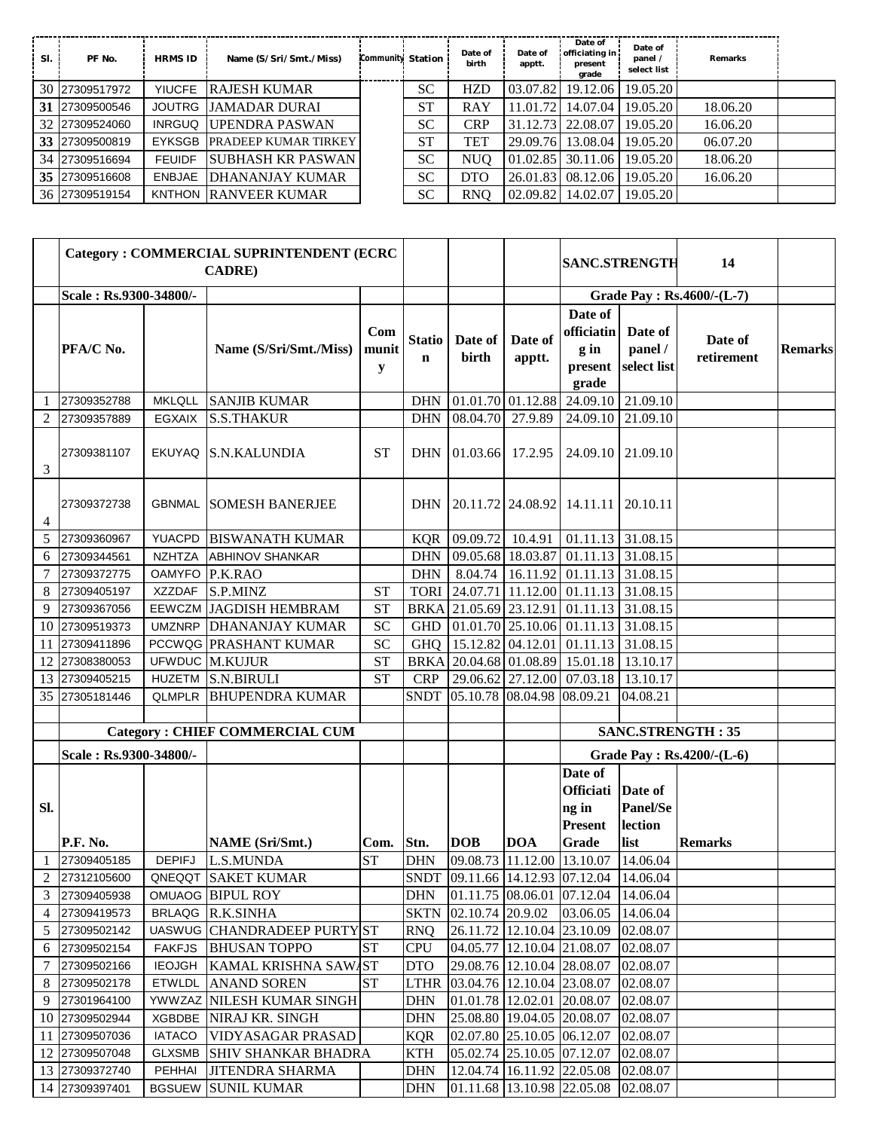| SI. | PF No.         | <b>HRMS ID</b> | Name (S/Sri/Smt./Miss)      | Community Station | Date of<br>birth | Date of<br>apptt. | Date of<br>officiating in<br>present<br>grade | Date of<br>panel /<br>select list | Remarks  |  |
|-----|----------------|----------------|-----------------------------|-------------------|------------------|-------------------|-----------------------------------------------|-----------------------------------|----------|--|
| 30  | 27309517972    | <b>YIUCFE</b>  | <b>RAJESH KUMAR</b>         | <b>SC</b>         | HZD              | 03.07.82          |                                               | 19.12.06   19.05.20               |          |  |
| 31  | 27309500546    |                | JOUTRG JJAMADAR DURAI       | <b>ST</b>         | RAY              | 11.01.72          | 14.07.04                                      | 19.05.20                          | 18.06.20 |  |
| 32  | 27309524060    | <b>INRGUQ</b>  | <b>UPENDRA PASWAN</b>       | <b>SC</b>         | <b>CRP</b>       |                   | 31.12.73 22.08.07                             | 19.05.20                          | 16.06.20 |  |
| 33  | 27309500819    |                | EYKSGB PRADEEP KUMAR TIRKEY | <b>ST</b>         | TET              | 29.09.76          | 13.08.04                                      | 19.05.20                          | 06.07.20 |  |
| 34  | 27309516694    | <b>FEUIDF</b>  | <b>SUBHASH KR PASWAN</b>    | <b>SC</b>         | NUO              | 01.02.85          |                                               | 30.11.06   19.05.20               | 18.06.20 |  |
| 35  | 27309516608    | ENBJAE         | DHANANJAY KUMAR             | <b>SC</b>         | <b>DTO</b>       | 26.01.83          |                                               | 08.12.06   19.05.20               | 16.06.20 |  |
|     | 36 27309519154 |                | KNTHON RANVEER KUMAR        | <b>SC</b>         | <b>RNO</b>       | 02.09.82          | 14.02.07                                      | 19.05.20                          |          |  |

|              |                        |               | <b>Category: COMMERCIAL SUPRINTENDENT (ECRC</b><br><b>CADRE</b> ) |                   |                              |                                         |                   | <b>SANC.STRENGTH</b>                                |                                   | 14                        |                |
|--------------|------------------------|---------------|-------------------------------------------------------------------|-------------------|------------------------------|-----------------------------------------|-------------------|-----------------------------------------------------|-----------------------------------|---------------------------|----------------|
|              | Scale: Rs.9300-34800/- |               |                                                                   |                   |                              |                                         |                   |                                                     |                                   | Grade Pay: Rs.4600/-(L-7) |                |
|              | PFA/C No.              |               | Name (S/Sri/Smt./Miss)                                            | Com<br>munit<br>y | <b>Statio</b><br>$\mathbf n$ | Date of<br>birth                        | Date of<br>apptt. | Date of<br>officiatin<br>$g$ in<br>present<br>grade | Date of<br>panel /<br>select list | Date of<br>retirement     | <b>Remarks</b> |
| 1            | 27309352788            | <b>MKLQLL</b> | <b>SANJIB KUMAR</b>                                               |                   | <b>DHN</b>                   | 01.01.70 01.12.88                       |                   | 24.09.10                                            | 21.09.10                          |                           |                |
| 2            | 27309357889            | <b>EGXAIX</b> | <b>S.S.THAKUR</b>                                                 |                   | <b>DHN</b>                   | 08.04.70 27.9.89                        |                   | 24.09.10                                            | 21.09.10                          |                           |                |
| 3            | 27309381107            |               | EKUYAQ S.N.KALUNDIA                                               | <b>ST</b>         | <b>DHN</b>                   | 01.03.66 17.2.95                        |                   |                                                     | 24.09.10 21.09.10                 |                           |                |
| 4            | 27309372738            |               | <b>GBNMAL SOMESH BANERJEE</b>                                     |                   | <b>DHN</b>                   | 20.11.72 24.08.92 14.11.11              |                   |                                                     | 20.10.11                          |                           |                |
| 5            | 27309360967            | YUACPD        | <b>BISWANATH KUMAR</b>                                            |                   | KQR                          |                                         |                   | $[09.09.72]$ 10.4.91 $[01.11.13]$ 31.08.15          |                                   |                           |                |
| 6            | 27309344561            | <b>NZHTZA</b> | <b>ABHINOV SHANKAR</b>                                            |                   | <b>DHN</b>                   |                                         |                   | 09.05.68 18.03.87 01.11.13                          | 31.08.15                          |                           |                |
| 7            | 27309372775            | <b>OAMYFO</b> | P.K.RAO                                                           |                   | <b>DHN</b>                   |                                         |                   | 8.04.74   16.11.92   01.11.13                       | 31.08.15                          |                           |                |
| 8            | 27309405197            | <b>XZZDAF</b> | S.P.MINZ                                                          | <b>ST</b>         | <b>TORI</b>                  | 24.07.71 11.12.00 01.11.13              |                   |                                                     | 31.08.15                          |                           |                |
| 9            | 27309367056            |               | EEWCZM JAGDISH HEMBRAM                                            | <b>ST</b>         | <b>BRKA</b>                  | 21.05.69 23.12.91                       |                   | 01.11.13                                            | 31.08.15                          |                           |                |
| 10           | 27309519373            |               | UMZNRP DHANANJAY KUMAR                                            | <b>SC</b>         | <b>GHD</b>                   |                                         |                   | $01.01.70$ 25.10.06 01.11.13 31.08.15               |                                   |                           |                |
| 11           | 27309411896            |               | PCCWQG PRASHANT KUMAR                                             | SC                | <b>GHQ</b>                   | 15.12.82 04.12.01                       |                   | 01.11.13                                            | 31.08.15                          |                           |                |
| 12           | 27308380053            |               | UFWDUC M.KUJUR                                                    | <b>ST</b>         | <b>BRKA</b>                  |                                         |                   | 20.04.68 01.08.89 15.01.18                          | 13.10.17                          |                           |                |
| 13           | 27309405215            |               | HUZETM S.N.BIRULI                                                 | <b>ST</b>         | <b>CRP</b>                   |                                         | 29.06.62 27.12.00 | 07.03.18                                            | 13.10.17                          |                           |                |
| 35           | 27305181446            | <b>QLMPLR</b> | <b>BHUPENDRA KUMAR</b>                                            |                   | <b>SNDT</b>                  | 05.10.78 08.04.98 08.09.21              |                   |                                                     | 04.08.21                          |                           |                |
|              |                        |               |                                                                   |                   |                              |                                         |                   |                                                     |                                   |                           |                |
|              |                        |               | <b>Category: CHIEF COMMERCIAL CUM</b>                             |                   |                              |                                         |                   | <b>SANC.STRENGTH: 35</b>                            |                                   |                           |                |
|              | Scale: Rs.9300-34800/- |               |                                                                   |                   |                              |                                         |                   | Grade Pay : Rs.4200/-(L-6)                          |                                   |                           |                |
|              |                        |               |                                                                   |                   |                              |                                         |                   | Date of                                             |                                   |                           |                |
|              |                        |               |                                                                   |                   |                              |                                         |                   | <b>Officiati</b>                                    | Date of                           |                           |                |
| SI.          |                        |               |                                                                   |                   |                              |                                         |                   | ng in                                               | <b>Panel/Se</b>                   |                           |                |
|              |                        |               |                                                                   |                   |                              |                                         |                   | Present                                             | lection                           |                           |                |
|              | <b>P.F. No.</b>        |               | <b>NAME</b> (Sri/Smt.)                                            | Com.              | Stn.                         | <b>DOB</b>                              | <b>DOA</b>        | <b>Grade</b>                                        | list                              | <b>Remarks</b>            |                |
| $\mathbf{1}$ | 27309405185            | <b>DEPIFJ</b> | <b>L.S.MUNDA</b>                                                  | <b>ST</b>         | <b>DHN</b>                   | 09.08.73 11.12.00 13.10.07              |                   |                                                     | 14.06.04                          |                           |                |
|              | 2 27312105600          |               | QNEQQT SAKET KUMAR                                                |                   |                              |                                         |                   | SNDT 09.11.66 14.12.93 07.12.04 14.06.04            |                                   |                           |                |
|              | 3 27309405938          |               | OMUAOG BIPUL ROY                                                  |                   | DHN                          |                                         |                   | 01.11.75 08.06.01 07.12.04 14.06.04                 |                                   |                           |                |
|              | 4 27309419573          |               | BRLAQG R.K.SINHA                                                  |                   |                              | SKTN 02.10.74 20.9.02                   |                   | 03.06.05                                            | 14.06.04                          |                           |                |
|              | 5 27309502142          |               | UASWUG CHANDRADEEP PURTYST                                        |                   | RNQ                          | 26.11.72 12.10.04 23.10.09              |                   |                                                     | 02.08.07                          |                           |                |
|              | 6 27309502154          |               | FAKFJS BHUSAN TOPPO                                               | <b>ST</b>         | <b>CPU</b>                   | 04.05.77 12.10.04 21.08.07              |                   |                                                     | 02.08.07                          |                           |                |
|              | 7 27309502166          |               | IEOJGH KAMAL KRISHNA SAWAST                                       |                   | DTO                          | 29.08.76 12.10.04 28.08.07              |                   |                                                     | 02.08.07                          |                           |                |
|              | 8 27309502178          |               | <b>ETWLDL</b> ANAND SOREN                                         | <b>ST</b>         | LTHR                         | 03.04.76 12.10.04 23.08.07              |                   |                                                     | 02.08.07                          |                           |                |
|              | 9 27301964100          |               | YWWZAZ NILESH KUMAR SINGH                                         |                   | DHN                          | 01.01.78 12.02.01 20.08.07              |                   |                                                     | 02.08.07                          |                           |                |
|              | 10 27309502944         |               | <b>XGBDBE</b> NIRAJ KR. SINGH                                     |                   | DHN                          | 25.08.80 19.04.05 20.08.07              |                   |                                                     | 02.08.07                          |                           |                |
|              | 11 27309507036         |               | IATACO VIDYASAGAR PRASAD                                          |                   | KQR                          | $[02.07.80 \,   25.10.05 \,   06.12.07$ |                   |                                                     | 02.08.07                          |                           |                |
|              | 12 27309507048         |               | <b>GLXSMB SHIV SHANKAR BHADRA</b>                                 |                   | KTH                          | 05.02.74 25.10.05 07.12.07              |                   |                                                     | 02.08.07                          |                           |                |
|              | 13 27309372740         |               | PEHHAI JITENDRA SHARMA                                            |                   | DHN                          | 12.04.74 16.11.92 22.05.08              |                   |                                                     | 02.08.07                          |                           |                |
|              | 14 27309397401         |               | <b>BGSUEW SUNIL KUMAR</b>                                         |                   | <b>DHN</b>                   | 01.11.68 13.10.98 22.05.08              |                   |                                                     | 02.08.07                          |                           |                |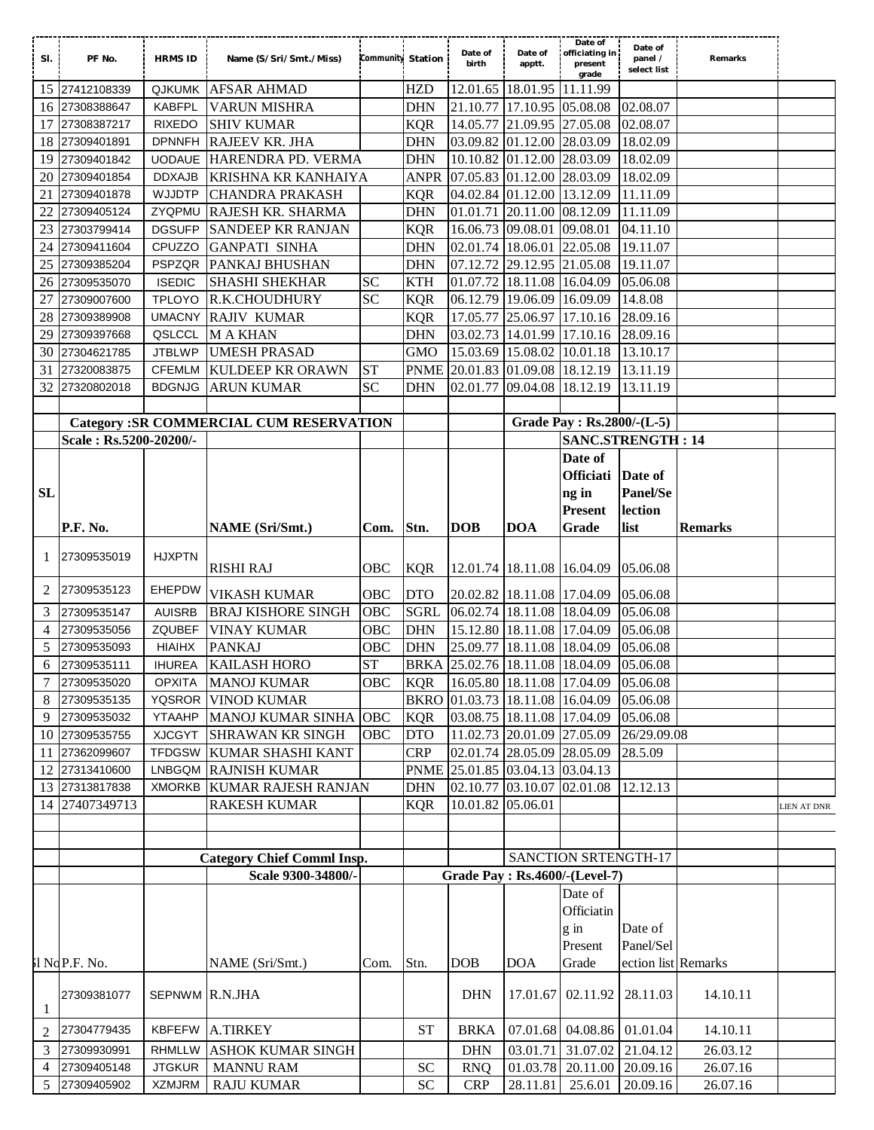| SI.            | PF No.                 | <b>HRMS ID</b> | Name (S/Sri/Smt./Miss)                         | Community Station |             | Date of<br>birth                | Date of<br>apptt.          | Date of<br>officiating in<br>present<br>grade | Date of<br>panel /<br>select list | Remarks        |                    |
|----------------|------------------------|----------------|------------------------------------------------|-------------------|-------------|---------------------------------|----------------------------|-----------------------------------------------|-----------------------------------|----------------|--------------------|
| 15             | 27412108339            | <b>QJKUMK</b>  | <b>AFSAR AHMAD</b>                             |                   | <b>HZD</b>  |                                 | 12.01.65 18.01.95 11.11.99 |                                               |                                   |                |                    |
| 16             | 27308388647            | <b>KABFPL</b>  | <b>VARUN MISHRA</b>                            |                   | <b>DHN</b>  | 21.10.77                        | 17.10.95 05.08.08          |                                               | 02.08.07                          |                |                    |
| 17             | 27308387217            | <b>RIXEDO</b>  | <b>SHIV KUMAR</b>                              |                   | <b>KQR</b>  | 14.05.77                        | 21.09.95 27.05.08          |                                               | 02.08.07                          |                |                    |
| 18             | 27309401891            | <b>DPNNFH</b>  | RAJEEV KR. JHA                                 |                   | <b>DHN</b>  | 03.09.82 01.12.00               |                            | 28.03.09                                      | 18.02.09                          |                |                    |
| 19             | 27309401842            | <b>UODAUE</b>  | HARENDRA PD. VERMA                             |                   | <b>DHN</b>  | 10.10.82 01.12.00 28.03.09      |                            |                                               | 18.02.09                          |                |                    |
| 20             | 27309401854            | <b>DDXAJB</b>  | KRISHNA KR KANHAIYA                            |                   | <b>ANPR</b> | 07.05.83 01.12.00 28.03.09      |                            |                                               | 18.02.09                          |                |                    |
| 21             | 27309401878            | <b>WJJDTP</b>  | <b>CHANDRA PRAKASH</b>                         |                   | <b>KQR</b>  | 04.02.84 01.12.00               |                            | 13.12.09                                      | 11.11.09                          |                |                    |
| 22             | 27309405124            | ZYQPMU         | <b>RAJESH KR. SHARMA</b>                       |                   | <b>DHN</b>  | 01.01.71 20.11.00               |                            | 08.12.09                                      | 11.11.09                          |                |                    |
| 23             | 27303799414            | <b>DGSUFP</b>  | <b>SANDEEP KR RANJAN</b>                       |                   | <b>KQR</b>  | 16.06.73 09.08.01               |                            | 09.08.01                                      | 04.11.10                          |                |                    |
| 24             | 27309411604            | CPUZZO         | <b>GANPATI SINHA</b>                           |                   | <b>DHN</b>  | 02.01.74 18.06.01               |                            | 22.05.08                                      | 19.11.07                          |                |                    |
| 25             | 27309385204            | <b>PSPZQR</b>  | PANKAJ BHUSHAN                                 |                   | <b>DHN</b>  | 07.12.72 29.12.95 21.05.08      |                            |                                               | 19.11.07                          |                |                    |
| 26             | 27309535070            | <b>ISEDIC</b>  | <b>SHASHI SHEKHAR</b>                          | <b>SC</b>         | <b>KTH</b>  | 01.07.72 18.11.08 16.04.09      |                            |                                               | 05.06.08                          |                |                    |
| 27             | 27309007600            | <b>TPLOYO</b>  | R.K.CHOUDHURY                                  | SC                | <b>KQR</b>  | 06.12.79 19.06.09 16.09.09      |                            |                                               | 14.8.08                           |                |                    |
| 28             | 27309389908            |                | UMACNY RAJIV KUMAR                             |                   | <b>KQR</b>  | 17.05.77 25.06.97 17.10.16      |                            |                                               | 28.09.16                          |                |                    |
| 29             | 27309397668            | QSLCCL         | <b>MAKHAN</b>                                  |                   | <b>DHN</b>  | 03.02.73 14.01.99 17.10.16      |                            |                                               | 28.09.16                          |                |                    |
| 30             | 27304621785            | <b>JTBLWP</b>  | <b>UMESH PRASAD</b>                            |                   | <b>GMO</b>  | 15.03.69 15.08.02 10.01.18      |                            |                                               | 13.10.17                          |                |                    |
| 31             | 27320083875            | <b>CFEMLM</b>  | <b>KULDEEP KR ORAWN</b>                        | <b>ST</b>         | <b>PNME</b> | 20.01.83 01.09.08 18.12.19      |                            |                                               | 13.11.19                          |                |                    |
| 32             | 27320802018            | <b>BDGNJG</b>  | <b>ARUN KUMAR</b>                              | <b>SC</b>         | <b>DHN</b>  | 02.01.77                        | 09.04.08                   | 18.12.19                                      | 13.11.19                          |                |                    |
|                |                        |                |                                                |                   |             |                                 |                            |                                               |                                   |                |                    |
|                |                        |                | <b>Category: SR COMMERCIAL CUM RESERVATION</b> |                   |             |                                 |                            | Grade Pay: Rs.2800/-(L-5)                     |                                   |                |                    |
|                | Scale: Rs.5200-20200/- |                |                                                |                   |             |                                 |                            | <b>SANC.STRENGTH: 14</b>                      |                                   |                |                    |
|                |                        |                |                                                |                   |             |                                 |                            | Date of                                       |                                   |                |                    |
|                |                        |                |                                                |                   |             |                                 |                            | <b>Officiati</b>                              | Date of                           |                |                    |
| <b>SL</b>      |                        |                |                                                |                   |             |                                 |                            | ng in                                         | <b>Panel/Se</b>                   |                |                    |
|                |                        |                |                                                |                   |             |                                 |                            | <b>Present</b>                                | <b>lection</b>                    |                |                    |
|                | P.F. No.               |                | <b>NAME</b> (Sri/Smt.)                         | Com.              | Stn.        | <b>DOB</b>                      | <b>DOA</b>                 | Grade                                         | list                              | <b>Remarks</b> |                    |
|                |                        |                |                                                |                   |             |                                 |                            |                                               |                                   |                |                    |
| 1              | 27309535019            | <b>HJXPTN</b>  | <b>RISHI RAJ</b>                               | OBC               | <b>KQR</b>  | 12.01.74 18.11.08 16.04.09      |                            |                                               | 05.06.08                          |                |                    |
|                |                        |                |                                                |                   |             |                                 |                            |                                               |                                   |                |                    |
| 2              | 27309535123            | <b>EHEPDW</b>  | <b>VIKASH KUMAR</b>                            | OBC               | <b>DTO</b>  | 20.02.82 18.11.08 17.04.09      |                            |                                               | 05.06.08                          |                |                    |
| 3              | 27309535147            | <b>AUISRB</b>  | <b>BRAJ KISHORE SINGH</b>                      | OBC               | <b>SGRL</b> | 06.02.74 18.11.08 18.04.09      |                            |                                               | 05.06.08                          |                |                    |
| $\overline{4}$ | 27309535056            | ZQUBEF         | <b>VINAY KUMAR</b>                             | OBC               | <b>DHN</b>  | 15.12.80 18.11.08 17.04.09      |                            |                                               | 05.06.08                          |                |                    |
| 5              | 27309535093            | <b>HIAIHX</b>  | <b>PANKAJ</b>                                  | OBC               | <b>DHN</b>  | 25.09.77 18.11.08 18.04.09      |                            |                                               | 05.06.08                          |                |                    |
| 6              | 27309535111            | <b>IHUREA</b>  | <b>KAILASH HORO</b>                            | <b>ST</b>         | <b>BRKA</b> | 25.02.76 18.11.08 18.04.09      |                            |                                               | 05.06.08                          |                |                    |
|                | 27309535020            |                | OPXITA MANOJ KUMAR                             | OBC               | <b>KQR</b>  |                                 |                            | 16.05.80 18.11.08 17.04.09                    | 05.06.08                          |                |                    |
| 8              | 27309535135            |                |                                                |                   |             |                                 |                            |                                               |                                   |                |                    |
| 9              | 27309535032            |                | YQSROR VINOD KUMAR                             |                   |             | BKRO 01.03.73 18.11.08 16.04.09 |                            |                                               | 05.06.08                          |                |                    |
| 10             |                        |                | YTAAHP MANOJ KUMAR SINHA                       | <b>OBC</b>        | <b>KQR</b>  | 03.08.75 18.11.08 17.04.09      |                            |                                               | 05.06.08                          |                |                    |
|                | 27309535755            |                | XJCGYT SHRAWAN KR SINGH                        | <b>OBC</b>        | <b>DTO</b>  | 11.02.73 20.01.09 27.05.09      |                            |                                               | 26/29.09.08                       |                |                    |
| 11             | 27362099607            |                | TFDGSW KUMAR SHASHI KANT                       |                   | <b>CRP</b>  | 02.01.74 28.05.09 28.05.09      |                            |                                               | 28.5.09                           |                |                    |
| 12             | 27313410600            |                | LNBGQM RAJNISH KUMAR                           |                   | <b>PNME</b> | 25.01.85 03.04.13 03.04.13      |                            |                                               |                                   |                |                    |
| 13             | 27313817838            | <b>XMORKB</b>  | <b>KUMAR RAJESH RANJAN</b>                     |                   | <b>DHN</b>  | 02.10.77 03.10.07 02.01.08      |                            |                                               | 12.12.13                          |                |                    |
| 14             | 27407349713            |                | <b>RAKESH KUMAR</b>                            |                   | <b>KQR</b>  | 10.01.82 05.06.01               |                            |                                               |                                   |                | <b>LIEN AT DNR</b> |
|                |                        |                |                                                |                   |             |                                 |                            |                                               |                                   |                |                    |
|                |                        |                |                                                |                   |             |                                 |                            |                                               |                                   |                |                    |
|                |                        |                | <b>Category Chief Comml Insp.</b>              |                   |             |                                 |                            | <b>SANCTION SRTENGTH-17</b>                   |                                   |                |                    |
|                |                        |                | Scale 9300-34800/-                             |                   |             |                                 |                            | <b>Grade Pay: Rs.4600/-(Level-7)</b>          |                                   |                |                    |
|                |                        |                |                                                |                   |             |                                 |                            | Date of                                       |                                   |                |                    |
|                |                        |                |                                                |                   |             |                                 |                            | Officiatin                                    |                                   |                |                    |
|                |                        |                |                                                |                   |             |                                 |                            | g in                                          | Date of                           |                |                    |
|                |                        |                |                                                |                   |             |                                 |                            | Present                                       | Panel/Sel                         |                |                    |
|                | I NdP.F. No.           |                | NAME (Sri/Smt.)                                | Com.              | Stn.        | <b>DOB</b>                      | <b>DOA</b>                 | Grade                                         | ection list Remarks               |                |                    |
|                | 27309381077            |                |                                                |                   |             |                                 |                            |                                               |                                   |                |                    |
| 1              |                        | SEPNWM R.N.JHA |                                                |                   |             | <b>DHN</b>                      |                            | 17.01.67 02.11.92 28.11.03                    |                                   | 14.10.11       |                    |
| 2              | 27304779435            |                | KBFEFW A.TIRKEY                                |                   | <b>ST</b>   | <b>BRKA</b>                     |                            | 07.01.68 04.08.86 01.01.04                    |                                   | 14.10.11       |                    |
| 3              | 27309930991            | <b>RHMLLW</b>  | <b>ASHOK KUMAR SINGH</b>                       |                   |             | <b>DHN</b>                      |                            | 03.01.71 31.07.02                             | 21.04.12                          | 26.03.12       |                    |
| 4              | 27309405148            | <b>JTGKUR</b>  | <b>MANNU RAM</b>                               |                   | <b>SC</b>   | <b>RNQ</b>                      |                            | 01.03.78 20.11.00                             | 20.09.16                          | 26.07.16       |                    |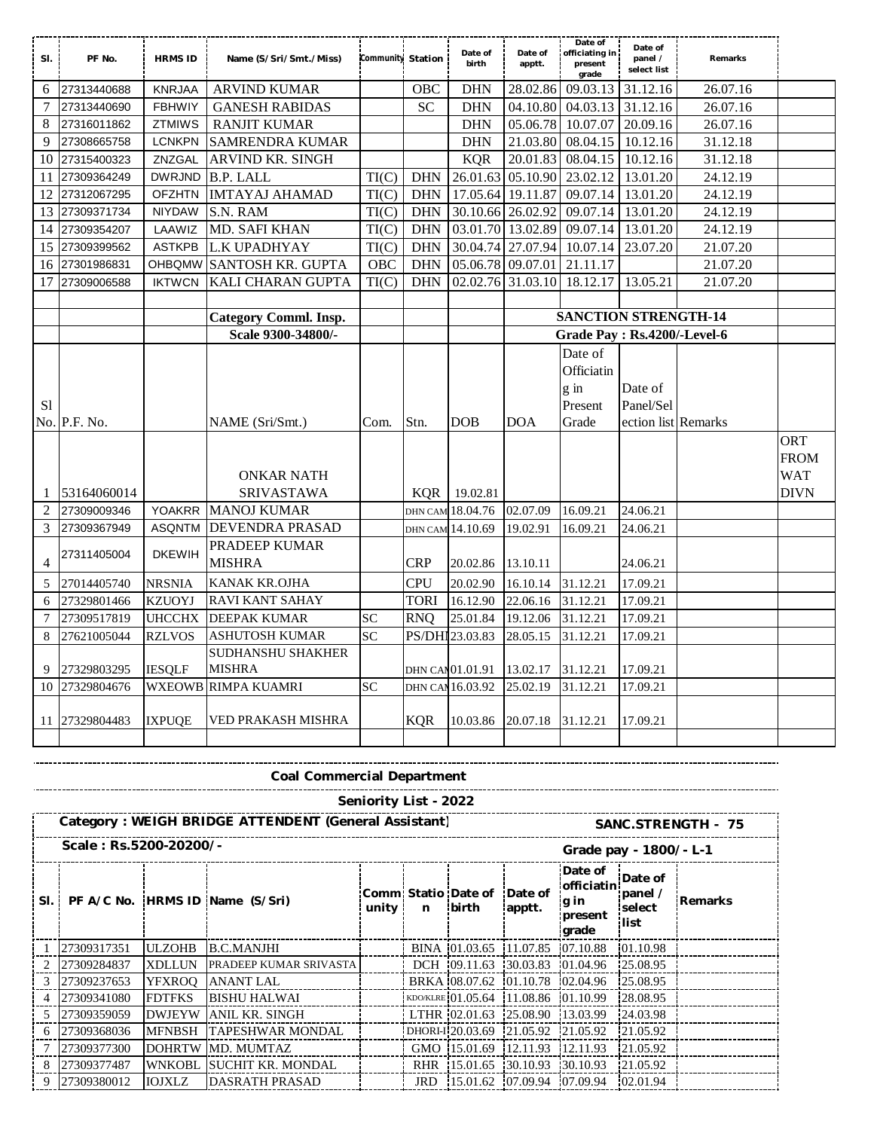| SI.            | PF No.         | <b>HRMS ID</b> | Name (S/Sri/Smt./Miss)       | Community Station |            | Date of<br>birth | Date of<br>apptt. | Date of<br>officiating in<br>present<br>grade | Date of<br>panel /<br>select list | Remarks  |             |
|----------------|----------------|----------------|------------------------------|-------------------|------------|------------------|-------------------|-----------------------------------------------|-----------------------------------|----------|-------------|
| 6              | 27313440688    | <b>KNRJAA</b>  | <b>ARVIND KUMAR</b>          |                   | <b>OBC</b> | <b>DHN</b>       | 28.02.86          | 09.03.13                                      | 31.12.16                          | 26.07.16 |             |
| 7              | 27313440690    | <b>FBHWIY</b>  | <b>GANESH RABIDAS</b>        |                   | <b>SC</b>  | <b>DHN</b>       | 04.10.80          | 04.03.13                                      | 31.12.16                          | 26.07.16 |             |
| 8              | 27316011862    | <b>ZTMIWS</b>  | <b>RANJIT KUMAR</b>          |                   |            | <b>DHN</b>       | 05.06.78          | 10.07.07                                      | 20.09.16                          | 26.07.16 |             |
| 9              | 27308665758    | <b>LCNKPN</b>  | SAMRENDRA KUMAR              |                   |            | <b>DHN</b>       | 21.03.80          | 08.04.15                                      | 10.12.16                          | 31.12.18 |             |
| 10             | 27315400323    | ZNZGAL         | ARVIND KR. SINGH             |                   |            | <b>KQR</b>       | 20.01.83          | 08.04.15                                      | 10.12.16                          | 31.12.18 |             |
| 11             | 27309364249    | <b>DWRJND</b>  | B.P. LALL                    | TI(C)             | <b>DHN</b> |                  | 26.01.63 05.10.90 | 23.02.12                                      | 13.01.20                          | 24.12.19 |             |
| 12             | 27312067295    | <b>OFZHTN</b>  | <b>IMTAYAJ AHAMAD</b>        | TI(C)             | <b>DHN</b> |                  | 17.05.64 19.11.87 | 09.07.14                                      | 13.01.20                          | 24.12.19 |             |
| 13             | 27309371734    | <b>NIYDAW</b>  | S.N. RAM                     | TI(C)             | <b>DHN</b> |                  | 30.10.66 26.02.92 | 09.07.14                                      | 13.01.20                          | 24.12.19 |             |
| 14             | 27309354207    | LAAWIZ         | MD. SAFI KHAN                | TI(C)             | <b>DHN</b> |                  | 03.01.70 13.02.89 | 09.07.14                                      | 13.01.20                          | 24.12.19 |             |
| 15             | 27309399562    | <b>ASTKPB</b>  | L.K UPADHYAY                 | TI(C)             | <b>DHN</b> |                  | 30.04.74 27.07.94 | 10.07.14                                      | 23.07.20                          | 21.07.20 |             |
| 16             | 27301986831    |                | OHBOMW SANTOSH KR. GUPTA     | <b>OBC</b>        | <b>DHN</b> |                  | 05.06.78 09.07.01 | 21.11.17                                      |                                   | 21.07.20 |             |
| 17             | 27309006588    | <b>IKTWCN</b>  | KALI CHARAN GUPTA            | TI(C)             | <b>DHN</b> |                  | 02.02.76 31.03.10 | 18.12.17                                      | 13.05.21                          | 21.07.20 |             |
|                |                |                |                              |                   |            |                  |                   |                                               |                                   |          |             |
|                |                |                | <b>Category Comml. Insp.</b> |                   |            |                  |                   | <b>SANCTION STRENGTH-14</b>                   |                                   |          |             |
|                |                |                | Scale 9300-34800/-           |                   |            |                  |                   | Grade Pay: Rs.4200/-Level-6                   |                                   |          |             |
|                |                |                |                              |                   |            |                  |                   | Date of                                       |                                   |          |             |
|                |                |                |                              |                   |            |                  |                   | Officiatin                                    |                                   |          |             |
|                |                |                |                              |                   |            |                  |                   | g in                                          | Date of                           |          |             |
| S1             |                |                |                              |                   |            |                  |                   | Present                                       | Panel/Sel                         |          |             |
|                | No. P.F. No.   |                | NAME (Sri/Smt.)              | Com.              | Stn.       | DOB              | <b>DOA</b>        | Grade                                         | ection list Remarks               |          |             |
|                |                |                |                              |                   |            |                  |                   |                                               |                                   |          | <b>ORT</b>  |
|                |                |                |                              |                   |            |                  |                   |                                               |                                   |          | <b>FROM</b> |
|                |                |                | <b>ONKAR NATH</b>            |                   |            |                  |                   |                                               |                                   |          | <b>WAT</b>  |
| 1              | 53164060014    |                | <b>SRIVASTAWA</b>            |                   | KOR        | 19.02.81         |                   |                                               |                                   |          | <b>DIVN</b> |
| $\overline{2}$ | 27309009346    | <b>YOAKRR</b>  | <b>MANOJ KUMAR</b>           |                   |            | DHN CAM 18.04.76 | 02.07.09          | 16.09.21                                      | 24.06.21                          |          |             |
| 3              | 27309367949    | ASQNTM         | <b>DEVENDRA PRASAD</b>       |                   |            | dhn cam 14.10.69 | 19.02.91          | 16.09.21                                      | 24.06.21                          |          |             |
|                | 27311405004    | <b>DKEWIH</b>  | PRADEEP KUMAR                |                   |            |                  |                   |                                               |                                   |          |             |
| $\overline{4}$ |                |                | MISHRA                       |                   | <b>CRP</b> | 20.02.86         | 13.10.11          |                                               | 24.06.21                          |          |             |
| 5              | 27014405740    | <b>NRSNIA</b>  | KANAK KR.OJHA                |                   | <b>CPU</b> | 20.02.90         | 16.10.14          | 31.12.21                                      | 17.09.21                          |          |             |
| 6              | 27329801466    | <b>KZUOYJ</b>  | <b>RAVI KANT SAHAY</b>       |                   | TORI       | 16.12.90         | 22.06.16          | 31.12.21                                      | 17.09.21                          |          |             |
| 7              | 27309517819    | <b>UHCCHX</b>  | <b>DEEPAK KUMAR</b>          | <b>SC</b>         | <b>RNO</b> | 25.01.84         | 19.12.06          | 31.12.21                                      | 17.09.21                          |          |             |
| 8              | 27621005044    | <b>RZLVOS</b>  | ASHUTOSH KUMAR               | <b>SC</b>         |            | PS/DHI 23.03.83  | 28.05.15          | 31.12.21                                      | 17.09.21                          |          |             |
|                |                |                | SUDHANSHU SHAKHER            |                   |            |                  |                   |                                               |                                   |          |             |
| 9              | 27329803295    | <b>IESQLF</b>  | <b>MISHRA</b>                |                   |            | DHN CAM 01.01.91 | 13.02.17          | 31.12.21                                      | 17.09.21                          |          |             |
| 10             | 27329804676    |                | <b>WXEOWB RIMPA KUAMRI</b>   | <b>SC</b>         |            | DHN CAN 16.03.92 | 25.02.19          | 31.12.21                                      | 17.09.21                          |          |             |
|                |                |                |                              |                   |            |                  |                   |                                               |                                   |          |             |
|                | 11 27329804483 | <b>IXPUQE</b>  | VED PRAKASH MISHRA           |                   | <b>KQR</b> | 10.03.86         | 20.07.18          | 31.12.21                                      | 17.09.21                          |          |             |
|                |                |                |                              |                   |            |                  |                   |                                               |                                   |          |             |

**Coal Commercial Department**

**Scale : Rs.5200-20200/- Grade pay - 1800/- L-1 Sl. PF A/C No. HRMS ID Name (S/Sri) Comm unity Statio Date of n birth Date of apptt. Date of officiatin g in present grade Date of panel / select list Remarks** 1 27309317351 ULZOHB B.C.MANJHI BINA 01.03.65 11.07.85 07.10.88 01.10.98 2 27309284837 XDLLUN PRADEEP KUMAR SRIVASTA DCH 09.11.63 30.03.83 01.04.96 25.08.95 3 27309237653 YFXROQ ANANT LAL BRKA 08.07.62 01.10.78 02.04.96 25.08.95 4 27309341080 FDTFKS BISHU HALWAI KDOKLRE 01.05.64 11.08.86 01.10.99 28.08.95 5 27309359059 DWJEYW ANIL KR. SINGH LTHR 02.01.63 25.08.90 13.03.99 24.03.98 6 27309368036 MFNBSH TAPESHWAR MONDAL | DHORI-120.03.69 21.05.92 21.05.92 21.05.92 7 27309377300 DOHRTW MD. MUMTAZ GMO 15.01.69 12.11.93 12.11.93 21.05.92 8 27309377487 WNKOBL SUCHIT KR. MONDAL | RHR 15.01.65 30.10.93 30.10.93 21.05.92 9 27309380012 **IOJXLZ** DASRATH PRASAD **JRD IS.01.62** 07.09.94 07.09.94 02.01.94 **Seniority List - 2022** Category : WEIGH BRIDGE ATTENDENT (General Assistant) **SANC.STRENGTH - 75**